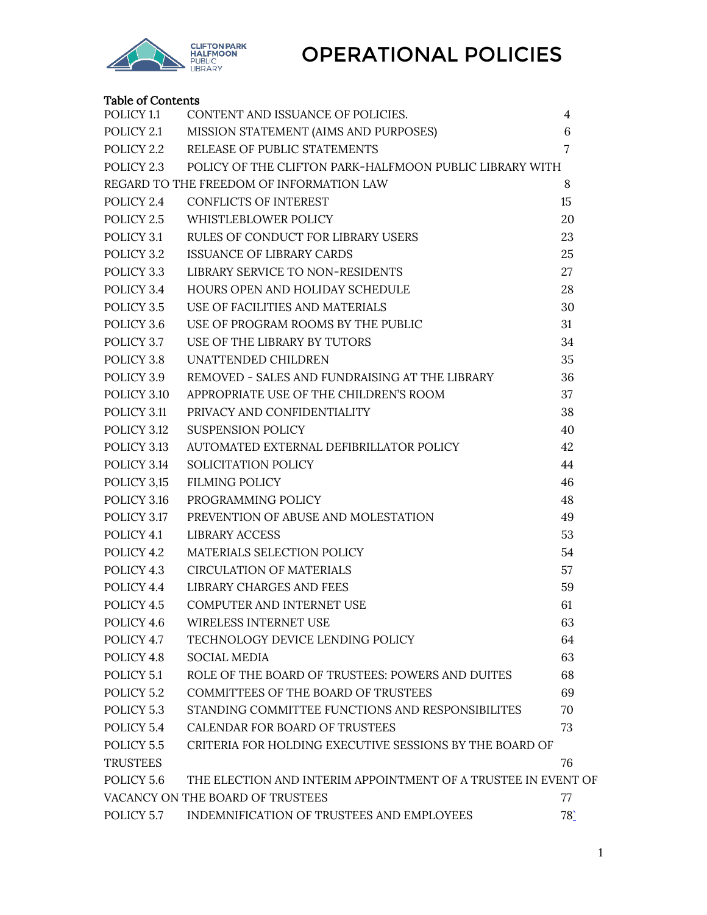

### Table of Contents

| POLICY <sub>1.1</sub>                                                       | CONTENT AND ISSUANCE OF POLICIES.                       | 4   |  |
|-----------------------------------------------------------------------------|---------------------------------------------------------|-----|--|
| POLICY 2.1                                                                  | MISSION STATEMENT (AIMS AND PURPOSES)                   | 6   |  |
| POLICY 2.2                                                                  | RELEASE OF PUBLIC STATEMENTS                            | 7   |  |
| POLICY 2.3                                                                  | POLICY OF THE CLIFTON PARK-HALFMOON PUBLIC LIBRARY WITH |     |  |
|                                                                             | REGARD TO THE FREEDOM OF INFORMATION LAW                | 8   |  |
| POLICY 2.4                                                                  | <b>CONFLICTS OF INTEREST</b>                            | 15  |  |
| POLICY 2.5                                                                  | WHISTLEBLOWER POLICY                                    | 20  |  |
| POLICY 3.1                                                                  | RULES OF CONDUCT FOR LIBRARY USERS                      | 23  |  |
| POLICY 3.2                                                                  | <b>ISSUANCE OF LIBRARY CARDS</b>                        | 25  |  |
| POLICY 3.3                                                                  | LIBRARY SERVICE TO NON-RESIDENTS                        | 27  |  |
| POLICY 3.4                                                                  | HOURS OPEN AND HOLIDAY SCHEDULE                         | 28  |  |
| POLICY 3.5                                                                  | USE OF FACILITIES AND MATERIALS                         | 30  |  |
| POLICY 3.6                                                                  | USE OF PROGRAM ROOMS BY THE PUBLIC                      | 31  |  |
| POLICY 3.7                                                                  | USE OF THE LIBRARY BY TUTORS                            | 34  |  |
| POLICY 3.8                                                                  | UNATTENDED CHILDREN                                     | 35  |  |
| POLICY 3.9                                                                  | REMOVED - SALES AND FUNDRAISING AT THE LIBRARY          | 36  |  |
| POLICY 3.10                                                                 | APPROPRIATE USE OF THE CHILDREN'S ROOM                  | 37  |  |
| POLICY 3.11                                                                 | PRIVACY AND CONFIDENTIALITY                             | 38  |  |
| POLICY 3.12                                                                 | <b>SUSPENSION POLICY</b>                                | 40  |  |
| POLICY 3.13                                                                 | AUTOMATED EXTERNAL DEFIBRILLATOR POLICY                 | 42  |  |
| POLICY 3.14                                                                 | SOLICITATION POLICY                                     | 44  |  |
| POLICY 3,15                                                                 | <b>FILMING POLICY</b>                                   | 46  |  |
| POLICY 3.16                                                                 | PROGRAMMING POLICY                                      | 48  |  |
| POLICY 3.17                                                                 | PREVENTION OF ABUSE AND MOLESTATION                     | 49  |  |
| POLICY 4.1                                                                  | LIBRARY ACCESS                                          | 53  |  |
| POLICY 4.2                                                                  | MATERIALS SELECTION POLICY                              | 54  |  |
| POLICY 4.3                                                                  | <b>CIRCULATION OF MATERIALS</b>                         | 57  |  |
| POLICY 4.4                                                                  | LIBRARY CHARGES AND FEES                                | 59  |  |
| POLICY 4.5                                                                  | COMPUTER AND INTERNET USE                               | 61  |  |
|                                                                             | POLICY 4.6 WIRELESS INTERNET USE                        | 63  |  |
| POLICY 4.7                                                                  | TECHNOLOGY DEVICE LENDING POLICY                        | 64  |  |
| POLICY 4.8                                                                  | <b>SOCIAL MEDIA</b>                                     | 63  |  |
| POLICY 5.1                                                                  | ROLE OF THE BOARD OF TRUSTEES: POWERS AND DUITES        | 68  |  |
| POLICY 5.2                                                                  | <b>COMMITTEES OF THE BOARD OF TRUSTEES</b>              | 69  |  |
| POLICY 5.3                                                                  | STANDING COMMITTEE FUNCTIONS AND RESPONSIBILITES        | 70  |  |
| POLICY 5.4                                                                  | CALENDAR FOR BOARD OF TRUSTEES                          | 73  |  |
| POLICY 5.5                                                                  | CRITERIA FOR HOLDING EXECUTIVE SESSIONS BY THE BOARD OF |     |  |
| <b>TRUSTEES</b>                                                             |                                                         | 76  |  |
| POLICY 5.6<br>THE ELECTION AND INTERIM APPOINTMENT OF A TRUSTEE IN EVENT OF |                                                         |     |  |
|                                                                             | VACANCY ON THE BOARD OF TRUSTEES                        | 77  |  |
| POLICY 5.7                                                                  | INDEMNIFICATION OF TRUSTEES AND EMPLOYEES               | 78' |  |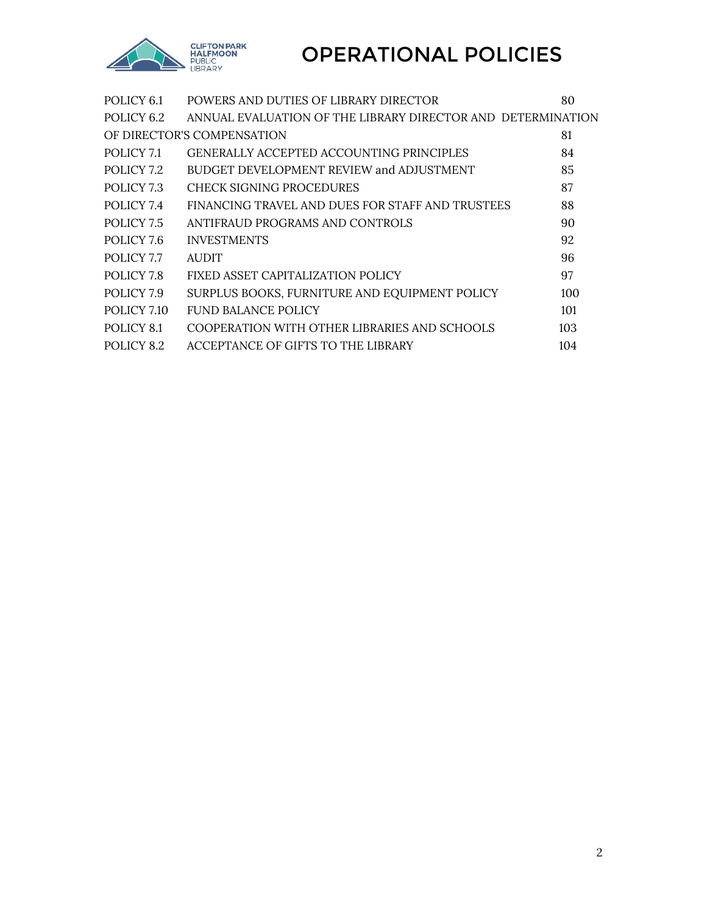

| POLICY 6.1  | POWERS AND DUTIES OF LIBRARY DIRECTOR                       | 80  |
|-------------|-------------------------------------------------------------|-----|
| POLICY 6.2  | ANNUAL EVALUATION OF THE LIBRARY DIRECTOR AND DETERMINATION |     |
|             | OF DIRECTOR'S COMPENSATION                                  | 81  |
| POLICY 7.1  | GENERALLY ACCEPTED ACCOUNTING PRINCIPLES                    | 84  |
| POLICY 7.2  | BUDGET DEVELOPMENT REVIEW and ADJUSTMENT                    | 85  |
| POLICY 7.3  | CHECK SIGNING PROCEDURES                                    | 87  |
| POLICY 7.4  | FINANCING TRAVEL AND DUES FOR STAFF AND TRUSTEES            | 88  |
| POLICY 7.5  | ANTIFRAUD PROGRAMS AND CONTROLS                             | 90  |
| POLICY 7.6  | <b>INVESTMENTS</b>                                          | 92  |
| POLICY 7.7  | <b>AUDIT</b>                                                | 96  |
| POLICY 7.8  | FIXED ASSET CAPITALIZATION POLICY                           | 97  |
| POLICY 7.9  | SURPLUS BOOKS, FURNITURE AND EQUIPMENT POLICY               | 100 |
| POLICY 7.10 | <b>FUND BALANCE POLICY</b>                                  | 101 |
| POLICY 8.1  | COOPERATION WITH OTHER LIBRARIES AND SCHOOLS                | 103 |
| POLICY 8.2  | ACCEPTANCE OF GIFTS TO THE LIBRARY                          | 104 |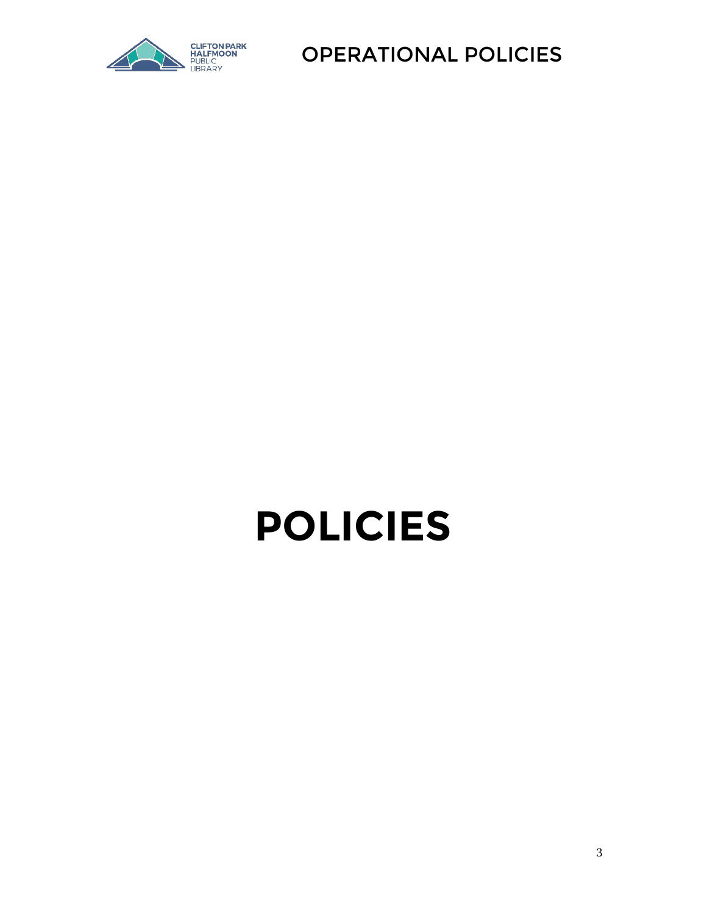

# **POLICIES**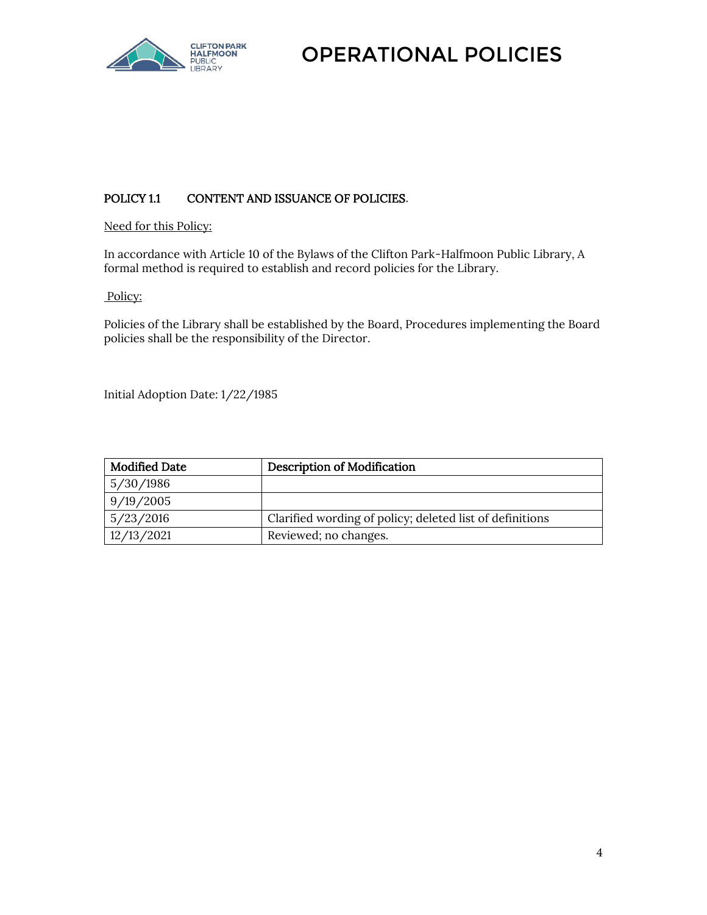

#### <span id="page-3-0"></span>POLICY 1.1 CONTENT AND ISSUANCE OF POLICIES.

#### Need for this Policy:

In accordance with Article 10 of the Bylaws of the Clifton Park-Halfmoon Public Library, A formal method is required to establish and record policies for the Library.

#### Policy:

Policies of the Library shall be established by the Board, Procedures implementing the Board policies shall be the responsibility of the Director.

Initial Adoption Date: 1/22/1985

| <b>Modified Date</b> | <b>Description of Modification</b>                       |
|----------------------|----------------------------------------------------------|
| 5/30/1986            |                                                          |
| 9/19/2005            |                                                          |
| 5/23/2016            | Clarified wording of policy; deleted list of definitions |
| 12/13/2021           | Reviewed; no changes.                                    |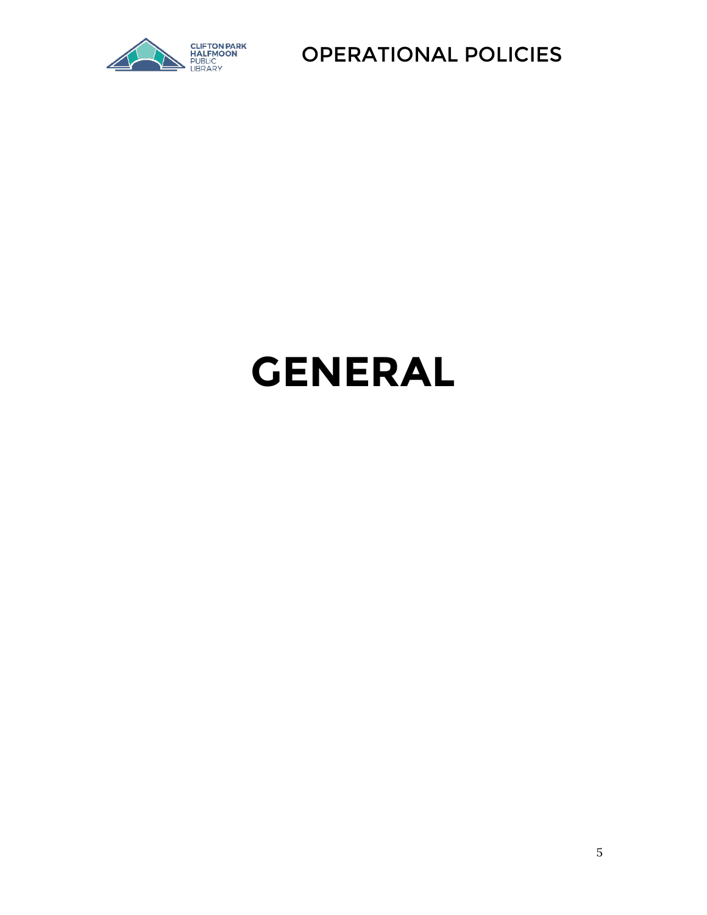

## **GENERAL**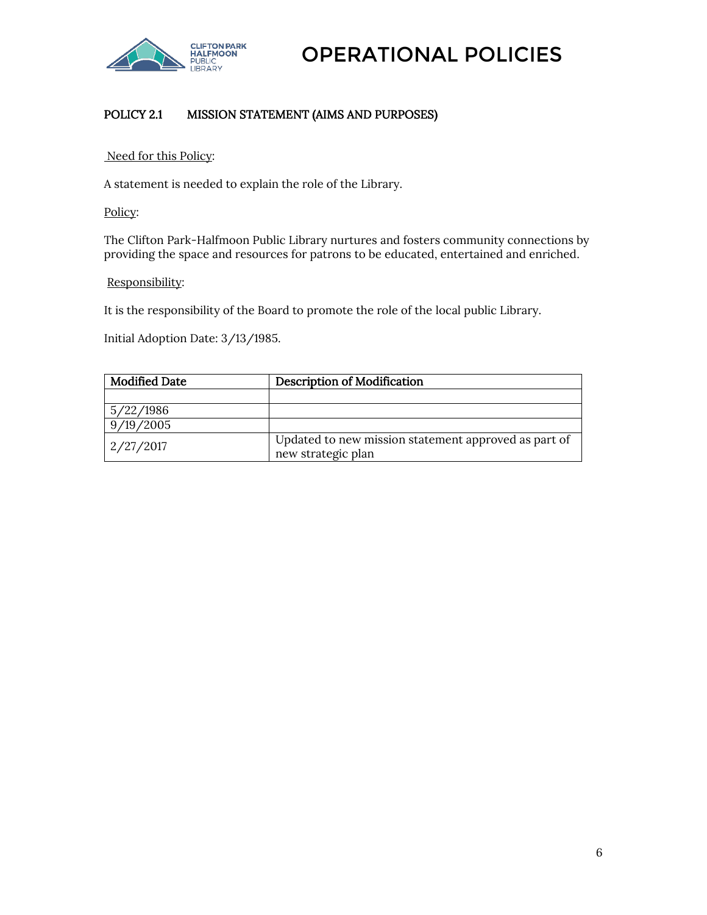

#### <span id="page-5-0"></span>POLICY 2.1 MISSION STATEMENT (AIMS AND PURPOSES)

#### Need for this Policy:

A statement is needed to explain the role of the Library.

Policy:

The Clifton Park-Halfmoon Public Library nurtures and fosters community connections by providing the space and resources for patrons to be educated, entertained and enriched.

#### Responsibility:

It is the responsibility of the Board to promote the role of the local public Library.

Initial Adoption Date: 3/13/1985.

| <b>Modified Date</b> | <b>Description of Modification</b>                                         |
|----------------------|----------------------------------------------------------------------------|
|                      |                                                                            |
| 5/22/1986            |                                                                            |
| 9/19/2005            |                                                                            |
| 2/27/2017            | Updated to new mission statement approved as part of<br>new strategic plan |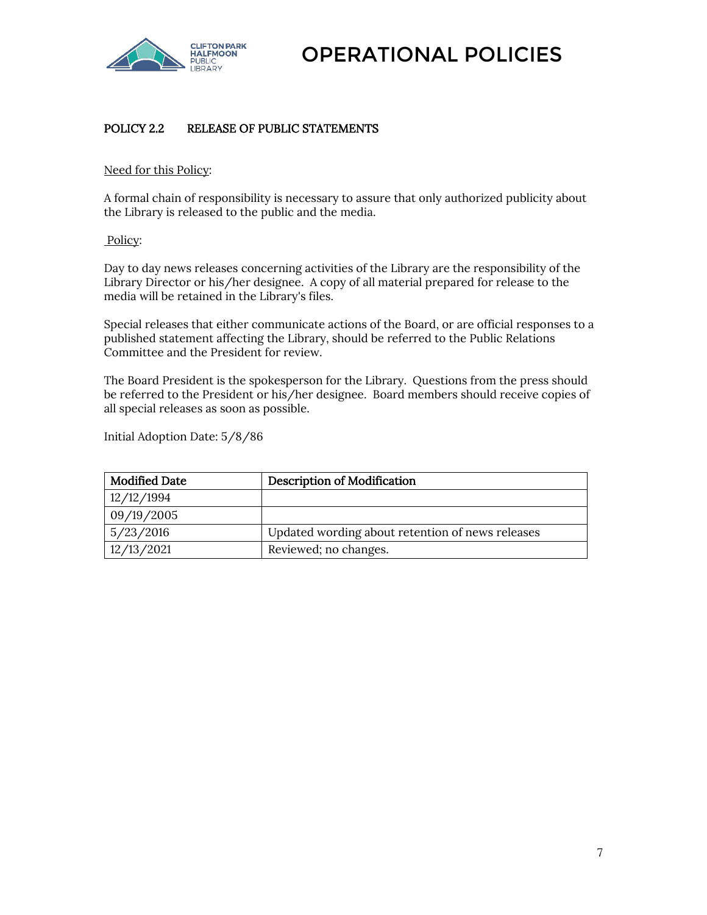

#### <span id="page-6-0"></span>POLICY 2.2 RELEASE OF PUBLIC STATEMENTS

#### Need for this Policy:

A formal chain of responsibility is necessary to assure that only authorized publicity about the Library is released to the public and the media.

#### Policy:

Day to day news releases concerning activities of the Library are the responsibility of the Library Director or his/her designee. A copy of all material prepared for release to the media will be retained in the Library's files.

Special releases that either communicate actions of the Board, or are official responses to a published statement affecting the Library, should be referred to the Public Relations Committee and the President for review.

The Board President is the spokesperson for the Library. Questions from the press should be referred to the President or his/her designee. Board members should receive copies of all special releases as soon as possible.

Initial Adoption Date: 5/8/86

| <b>Modified Date</b> | <b>Description of Modification</b>               |
|----------------------|--------------------------------------------------|
| 12/12/1994           |                                                  |
| 09/19/2005           |                                                  |
| 5/23/2016            | Updated wording about retention of news releases |
| 12/13/2021           | Reviewed; no changes.                            |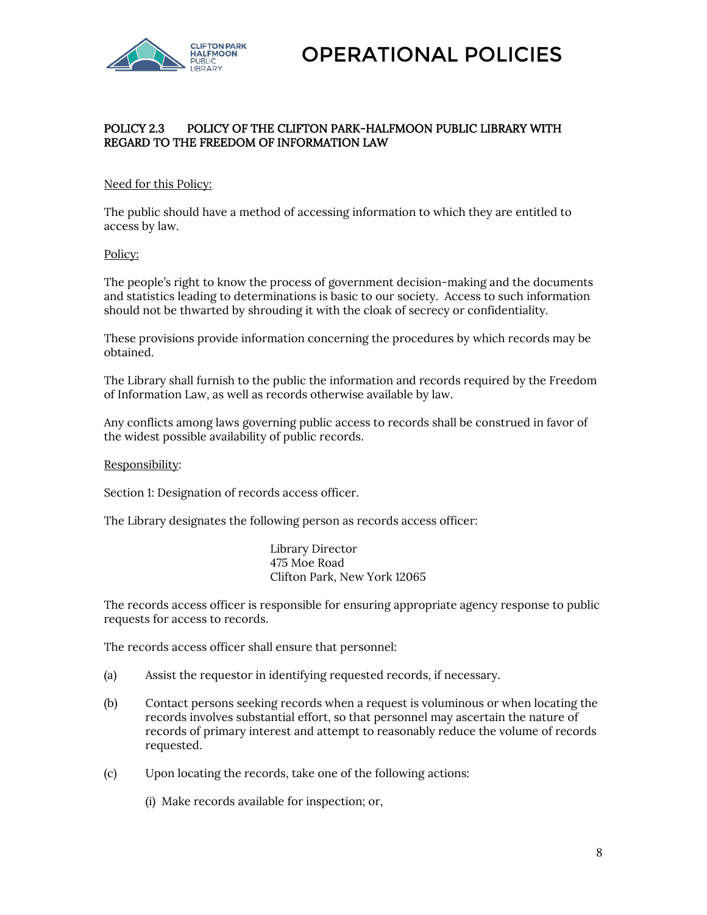

#### <span id="page-7-0"></span>POLICY 2.3 POLICY OF THE CLIFTON PARK-HALFMOON PUBLIC LIBRARY WITH REGARD TO THE FREEDOM OF INFORMATION LAW

#### Need for this Policy:

The public should have a method of accessing information to which they are entitled to access by law.

#### Policy:

The people's right to know the process of government decision-making and the documents and statistics leading to determinations is basic to our society. Access to such information should not be thwarted by shrouding it with the cloak of secrecy or confidentiality.

These provisions provide information concerning the procedures by which records may be obtained.

The Library shall furnish to the public the information and records required by the Freedom of Information Law, as well as records otherwise available by law.

Any conflicts among laws governing public access to records shall be construed in favor of the widest possible availability of public records.

#### Responsibility:

Section 1: Designation of records access officer.

The Library designates the following person as records access officer:

Library Director 475 Moe Road Clifton Park, New York 12065

The records access officer is responsible for ensuring appropriate agency response to public requests for access to records.

The records access officer shall ensure that personnel:

- (a) Assist the requestor in identifying requested records, if necessary.
- (b) Contact persons seeking records when a request is voluminous or when locating the records involves substantial effort, so that personnel may ascertain the nature of records of primary interest and attempt to reasonably reduce the volume of records requested.
- (c) Upon locating the records, take one of the following actions:

(i) Make records available for inspection; or,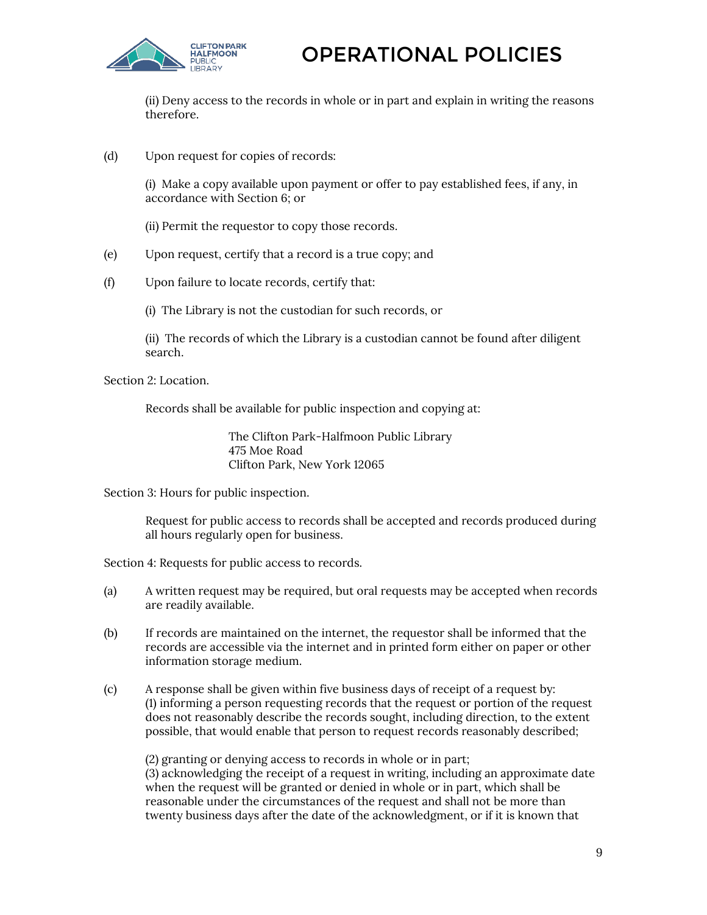

(ii) Deny access to the records in whole or in part and explain in writing the reasons therefore.

(d) Upon request for copies of records:

(i) Make a copy available upon payment or offer to pay established fees, if any, in accordance with Section 6; or

- (ii) Permit the requestor to copy those records.
- (e) Upon request, certify that a record is a true copy; and
- (f) Upon failure to locate records, certify that:
	- (i) The Library is not the custodian for such records, or

(ii) The records of which the Library is a custodian cannot be found after diligent search.

Section 2: Location.

Records shall be available for public inspection and copying at:

The Clifton Park-Halfmoon Public Library 475 Moe Road Clifton Park, New York 12065

Section 3: Hours for public inspection.

Request for public access to records shall be accepted and records produced during all hours regularly open for business.

Section 4: Requests for public access to records.

- (a) A written request may be required, but oral requests may be accepted when records are readily available.
- (b) If records are maintained on the internet, the requestor shall be informed that the records are accessible via the internet and in printed form either on paper or other information storage medium.
- (c) A response shall be given within five business days of receipt of a request by: (1) informing a person requesting records that the request or portion of the request does not reasonably describe the records sought, including direction, to the extent possible, that would enable that person to request records reasonably described;

(2) granting or denying access to records in whole or in part; (3) acknowledging the receipt of a request in writing, including an approximate date when the request will be granted or denied in whole or in part, which shall be reasonable under the circumstances of the request and shall not be more than twenty business days after the date of the acknowledgment, or if it is known that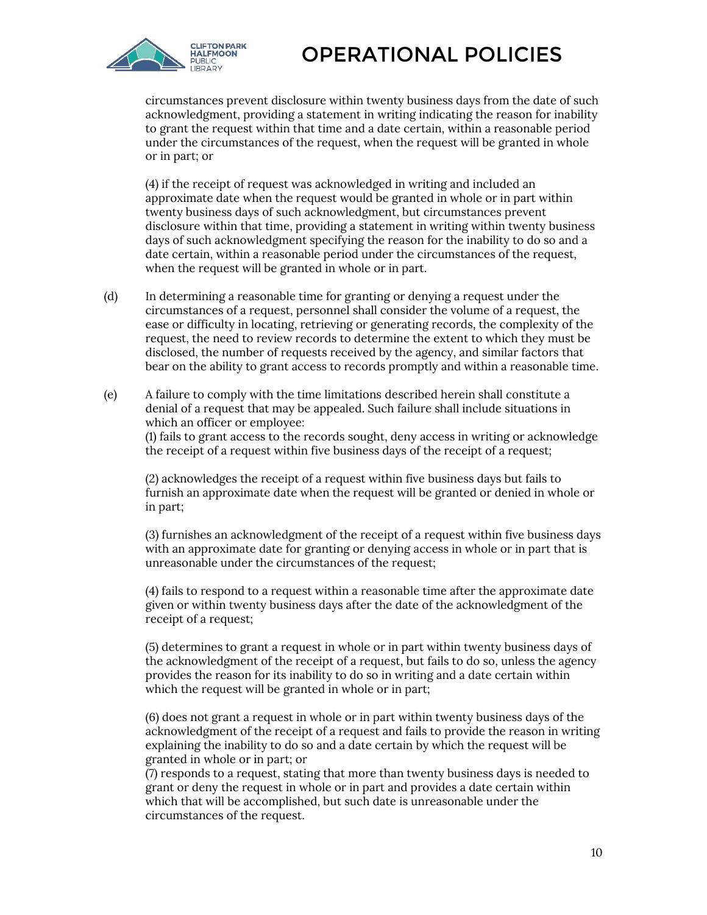

circumstances prevent disclosure within twenty business days from the date of such acknowledgment, providing a statement in writing indicating the reason for inability to grant the request within that time and a date certain, within a reasonable period under the circumstances of the request, when the request will be granted in whole or in part; or

(4) if the receipt of request was acknowledged in writing and included an approximate date when the request would be granted in whole or in part within twenty business days of such acknowledgment, but circumstances prevent disclosure within that time, providing a statement in writing within twenty business days of such acknowledgment specifying the reason for the inability to do so and a date certain, within a reasonable period under the circumstances of the request, when the request will be granted in whole or in part.

- (d) In determining a reasonable time for granting or denying a request under the circumstances of a request, personnel shall consider the volume of a request, the ease or difficulty in locating, retrieving or generating records, the complexity of the request, the need to review records to determine the extent to which they must be disclosed, the number of requests received by the agency, and similar factors that bear on the ability to grant access to records promptly and within a reasonable time.
- (e) A failure to comply with the time limitations described herein shall constitute a denial of a request that may be appealed. Such failure shall include situations in which an officer or employee:

(1) fails to grant access to the records sought, deny access in writing or acknowledge the receipt of a request within five business days of the receipt of a request;

(2) acknowledges the receipt of a request within five business days but fails to furnish an approximate date when the request will be granted or denied in whole or in part;

(3) furnishes an acknowledgment of the receipt of a request within five business days with an approximate date for granting or denying access in whole or in part that is unreasonable under the circumstances of the request;

(4) fails to respond to a request within a reasonable time after the approximate date given or within twenty business days after the date of the acknowledgment of the receipt of a request;

(5) determines to grant a request in whole or in part within twenty business days of the acknowledgment of the receipt of a request, but fails to do so, unless the agency provides the reason for its inability to do so in writing and a date certain within which the request will be granted in whole or in part;

(6) does not grant a request in whole or in part within twenty business days of the acknowledgment of the receipt of a request and fails to provide the reason in writing explaining the inability to do so and a date certain by which the request will be granted in whole or in part; or

(7) responds to a request, stating that more than twenty business days is needed to grant or deny the request in whole or in part and provides a date certain within which that will be accomplished, but such date is unreasonable under the circumstances of the request.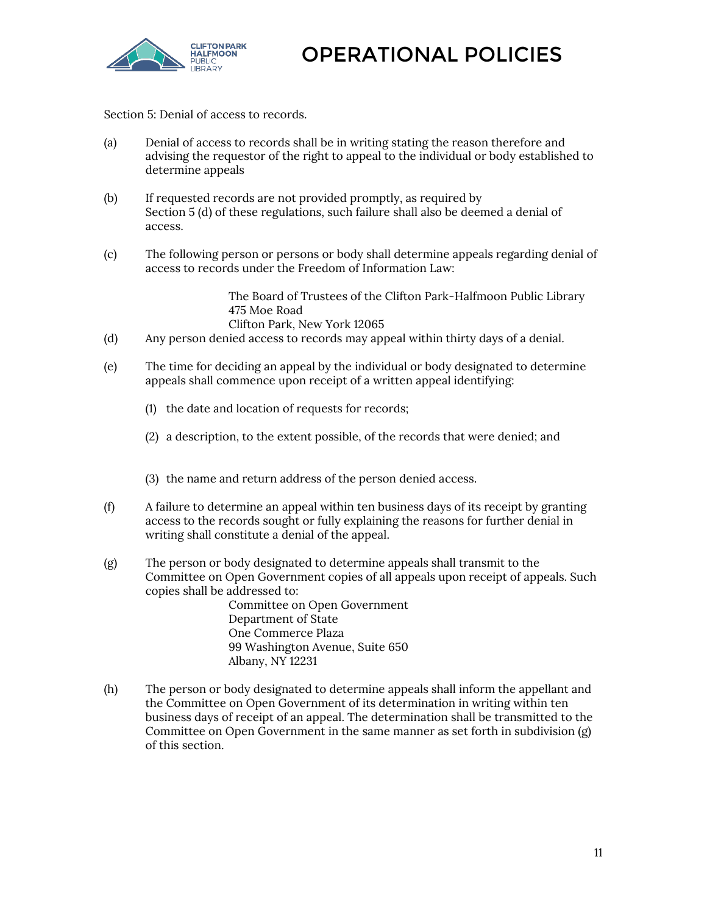

Section 5: Denial of access to records.

- (a) Denial of access to records shall be in writing stating the reason therefore and advising the requestor of the right to appeal to the individual or body established to determine appeals
- (b) If requested records are not provided promptly, as required by Section 5 (d) of these regulations, such failure shall also be deemed a denial of access.
- (c) The following person or persons or body shall determine appeals regarding denial of access to records under the Freedom of Information Law:

The Board of Trustees of the Clifton Park-Halfmoon Public Library 475 Moe Road Clifton Park, New York 12065

- (d) Any person denied access to records may appeal within thirty days of a denial.
- (e) The time for deciding an appeal by the individual or body designated to determine appeals shall commence upon receipt of a written appeal identifying:
	- (1) the date and location of requests for records;
	- (2) a description, to the extent possible, of the records that were denied; and
	- (3) the name and return address of the person denied access.
- (f) A failure to determine an appeal within ten business days of its receipt by granting access to the records sought or fully explaining the reasons for further denial in writing shall constitute a denial of the appeal.
- (g) The person or body designated to determine appeals shall transmit to the Committee on Open Government copies of all appeals upon receipt of appeals. Such copies shall be addressed to:

Committee on Open Government Department of State One Commerce Plaza 99 Washington Avenue, Suite 650 Albany, NY 12231

(h) The person or body designated to determine appeals shall inform the appellant and the Committee on Open Government of its determination in writing within ten business days of receipt of an appeal. The determination shall be transmitted to the Committee on Open Government in the same manner as set forth in subdivision (g) of this section.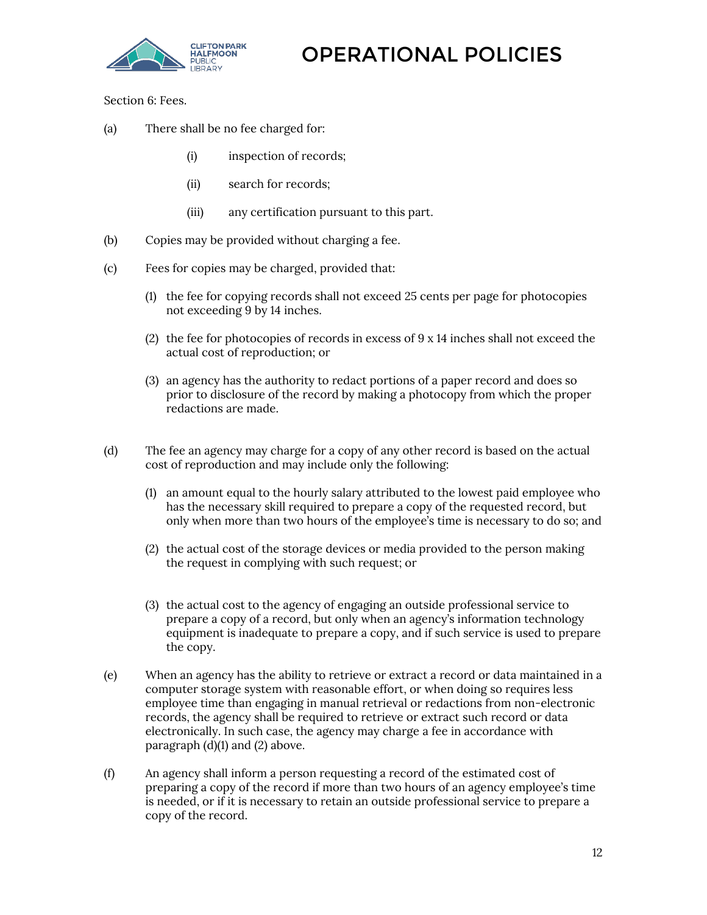

Section 6: Fees.

- (a) There shall be no fee charged for:
	- (i) inspection of records;
	- (ii) search for records;
	- (iii) any certification pursuant to this part.
- (b) Copies may be provided without charging a fee.
- (c) Fees for copies may be charged, provided that:
	- (1) the fee for copying records shall not exceed 25 cents per page for photocopies not exceeding 9 by 14 inches.
	- (2) the fee for photocopies of records in excess of 9 x 14 inches shall not exceed the actual cost of reproduction; or
	- (3) an agency has the authority to redact portions of a paper record and does so prior to disclosure of the record by making a photocopy from which the proper redactions are made.
- (d) The fee an agency may charge for a copy of any other record is based on the actual cost of reproduction and may include only the following:
	- (1) an amount equal to the hourly salary attributed to the lowest paid employee who has the necessary skill required to prepare a copy of the requested record, but only when more than two hours of the employee's time is necessary to do so; and
	- (2) the actual cost of the storage devices or media provided to the person making the request in complying with such request; or
	- (3) the actual cost to the agency of engaging an outside professional service to prepare a copy of a record, but only when an agency's information technology equipment is inadequate to prepare a copy, and if such service is used to prepare the copy.
- (e) When an agency has the ability to retrieve or extract a record or data maintained in a computer storage system with reasonable effort, or when doing so requires less employee time than engaging in manual retrieval or redactions from non-electronic records, the agency shall be required to retrieve or extract such record or data electronically. In such case, the agency may charge a fee in accordance with paragraph (d)(1) and (2) above.
- (f) An agency shall inform a person requesting a record of the estimated cost of preparing a copy of the record if more than two hours of an agency employee's time is needed, or if it is necessary to retain an outside professional service to prepare a copy of the record.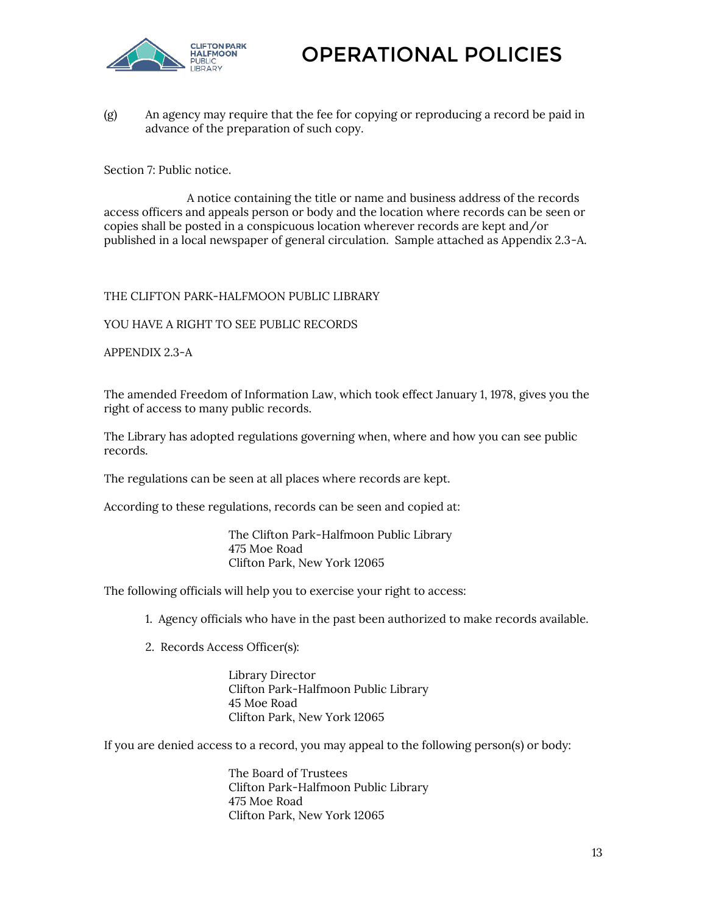

(g) An agency may require that the fee for copying or reproducing a record be paid in advance of the preparation of such copy.

Section 7: Public notice.

A notice containing the title or name and business address of the records access officers and appeals person or body and the location where records can be seen or copies shall be posted in a conspicuous location wherever records are kept and/or published in a local newspaper of general circulation. Sample attached as Appendix 2.3-A.

THE CLIFTON PARK-HALFMOON PUBLIC LIBRARY

YOU HAVE A RIGHT TO SEE PUBLIC RECORDS

APPENDIX 2.3-A

The amended Freedom of Information Law, which took effect January 1, 1978, gives you the right of access to many public records.

The Library has adopted regulations governing when, where and how you can see public records.

The regulations can be seen at all places where records are kept.

According to these regulations, records can be seen and copied at:

The Clifton Park-Halfmoon Public Library 475 Moe Road Clifton Park, New York 12065

The following officials will help you to exercise your right to access:

1. Agency officials who have in the past been authorized to make records available.

2. Records Access Officer(s):

Library Director Clifton Park-Halfmoon Public Library 45 Moe Road Clifton Park, New York 12065

If you are denied access to a record, you may appeal to the following person(s) or body:

The Board of Trustees Clifton Park-Halfmoon Public Library 475 Moe Road Clifton Park, New York 12065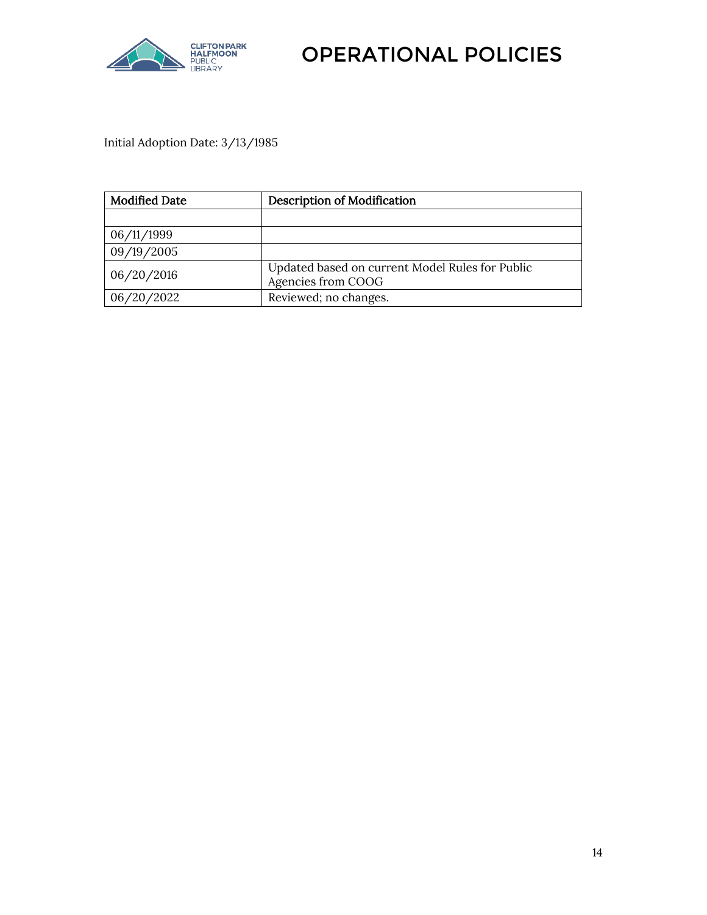

Initial Adoption Date: 3/13/1985

<span id="page-13-0"></span>

| <b>Modified Date</b> | <b>Description of Modification</b>                                    |  |
|----------------------|-----------------------------------------------------------------------|--|
|                      |                                                                       |  |
| 06/11/1999           |                                                                       |  |
| 09/19/2005           |                                                                       |  |
| 06/20/2016           | Updated based on current Model Rules for Public<br>Agencies from COOG |  |
| 06/20/2022           | Reviewed; no changes.                                                 |  |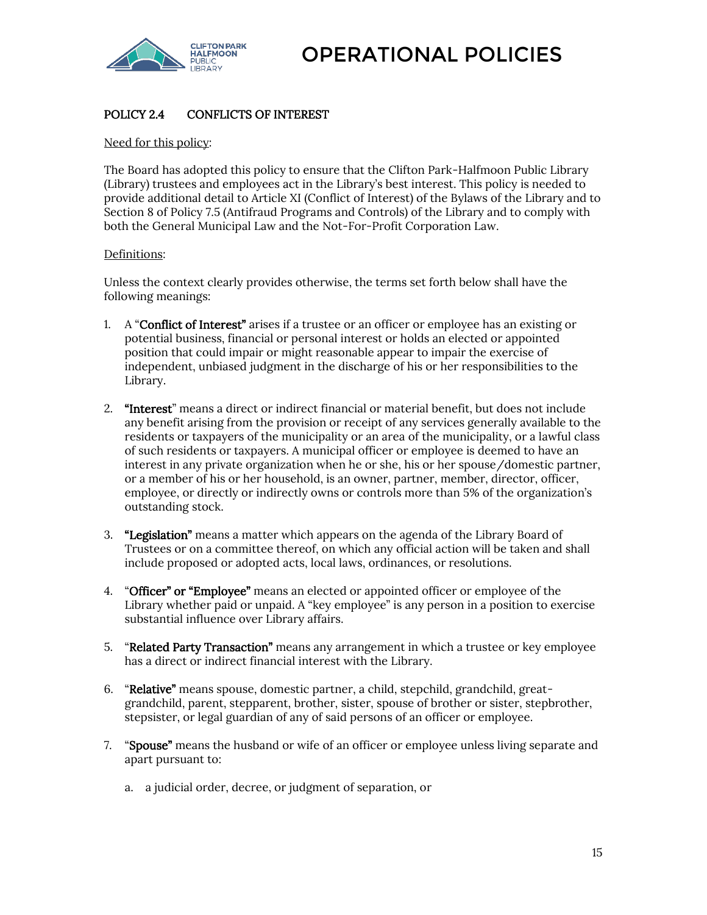

#### POLICY 2.4 CONFLICTS OF INTEREST

Need for this policy:

The Board has adopted this policy to ensure that the Clifton Park-Halfmoon Public Library (Library) trustees and employees act in the Library's best interest. This policy is needed to provide additional detail to Article XI (Conflict of Interest) of the Bylaws of the Library and to Section 8 of Policy 7.5 (Antifraud Programs and Controls) of the Library and to comply with both the General Municipal Law and the Not-For-Profit Corporation Law.

#### Definitions:

Unless the context clearly provides otherwise, the terms set forth below shall have the following meanings:

- 1. A "Conflict of Interest" arises if a trustee or an officer or employee has an existing or potential business, financial or personal interest or holds an elected or appointed position that could impair or might reasonable appear to impair the exercise of independent, unbiased judgment in the discharge of his or her responsibilities to the Library.
- 2. "Interest" means a direct or indirect financial or material benefit, but does not include any benefit arising from the provision or receipt of any services generally available to the residents or taxpayers of the municipality or an area of the municipality, or a lawful class of such residents or taxpayers. A municipal officer or employee is deemed to have an interest in any private organization when he or she, his or her spouse/domestic partner, or a member of his or her household, is an owner, partner, member, director, officer, employee, or directly or indirectly owns or controls more than 5% of the organization's outstanding stock.
- 3. "Legislation" means a matter which appears on the agenda of the Library Board of Trustees or on a committee thereof, on which any official action will be taken and shall include proposed or adopted acts, local laws, ordinances, or resolutions.
- 4. "Officer" or "Employee" means an elected or appointed officer or employee of the Library whether paid or unpaid. A "key employee" is any person in a position to exercise substantial influence over Library affairs.
- 5. "Related Party Transaction" means any arrangement in which a trustee or key employee has a direct or indirect financial interest with the Library.
- 6. "Relative" means spouse, domestic partner, a child, stepchild, grandchild, greatgrandchild, parent, stepparent, brother, sister, spouse of brother or sister, stepbrother, stepsister, or legal guardian of any of said persons of an officer or employee.
- 7. "Spouse" means the husband or wife of an officer or employee unless living separate and apart pursuant to:
	- a. a judicial order, decree, or judgment of separation, or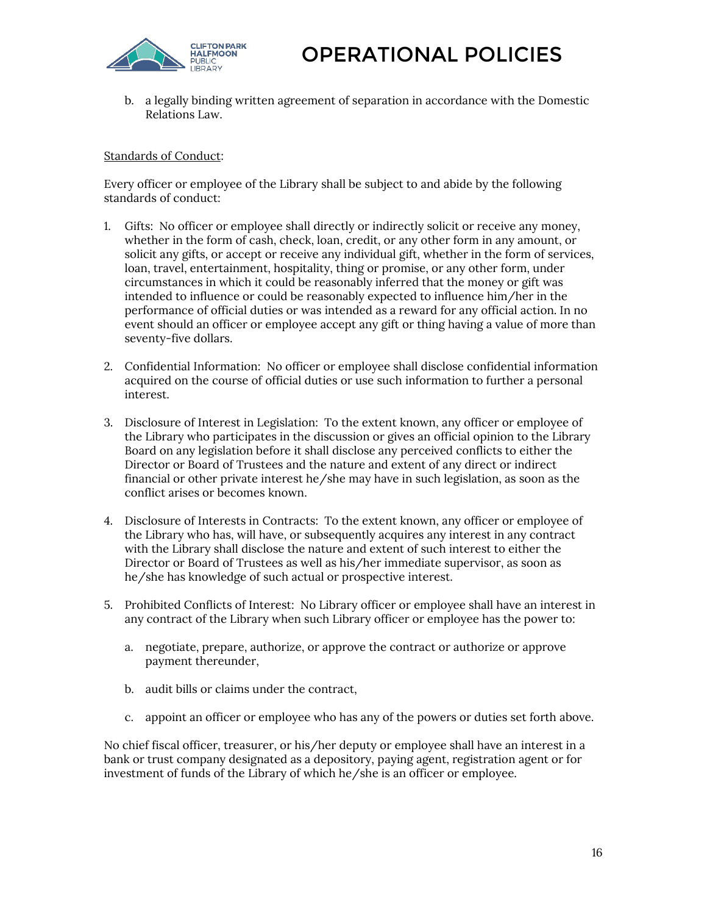

b. a legally binding written agreement of separation in accordance with the Domestic Relations Law.

#### Standards of Conduct:

Every officer or employee of the Library shall be subject to and abide by the following standards of conduct:

- 1. Gifts: No officer or employee shall directly or indirectly solicit or receive any money, whether in the form of cash, check, loan, credit, or any other form in any amount, or solicit any gifts, or accept or receive any individual gift, whether in the form of services, loan, travel, entertainment, hospitality, thing or promise, or any other form, under circumstances in which it could be reasonably inferred that the money or gift was intended to influence or could be reasonably expected to influence him/her in the performance of official duties or was intended as a reward for any official action. In no event should an officer or employee accept any gift or thing having a value of more than seventy-five dollars.
- 2. Confidential Information: No officer or employee shall disclose confidential information acquired on the course of official duties or use such information to further a personal interest.
- 3. Disclosure of Interest in Legislation: To the extent known, any officer or employee of the Library who participates in the discussion or gives an official opinion to the Library Board on any legislation before it shall disclose any perceived conflicts to either the Director or Board of Trustees and the nature and extent of any direct or indirect financial or other private interest he/she may have in such legislation, as soon as the conflict arises or becomes known.
- 4. Disclosure of Interests in Contracts: To the extent known, any officer or employee of the Library who has, will have, or subsequently acquires any interest in any contract with the Library shall disclose the nature and extent of such interest to either the Director or Board of Trustees as well as his/her immediate supervisor, as soon as he/she has knowledge of such actual or prospective interest.
- 5. Prohibited Conflicts of Interest: No Library officer or employee shall have an interest in any contract of the Library when such Library officer or employee has the power to:
	- a. negotiate, prepare, authorize, or approve the contract or authorize or approve payment thereunder,
	- b. audit bills or claims under the contract,
	- c. appoint an officer or employee who has any of the powers or duties set forth above.

No chief fiscal officer, treasurer, or his/her deputy or employee shall have an interest in a bank or trust company designated as a depository, paying agent, registration agent or for investment of funds of the Library of which he/she is an officer or employee.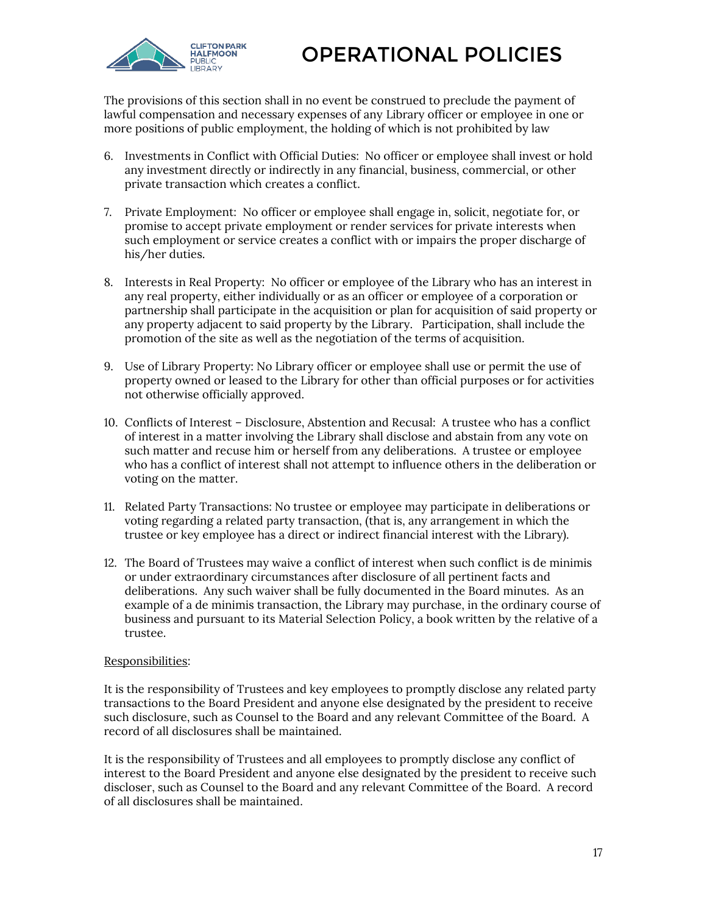

The provisions of this section shall in no event be construed to preclude the payment of lawful compensation and necessary expenses of any Library officer or employee in one or more positions of public employment, the holding of which is not prohibited by law

- 6. Investments in Conflict with Official Duties: No officer or employee shall invest or hold any investment directly or indirectly in any financial, business, commercial, or other private transaction which creates a conflict.
- 7. Private Employment: No officer or employee shall engage in, solicit, negotiate for, or promise to accept private employment or render services for private interests when such employment or service creates a conflict with or impairs the proper discharge of his/her duties.
- 8. Interests in Real Property: No officer or employee of the Library who has an interest in any real property, either individually or as an officer or employee of a corporation or partnership shall participate in the acquisition or plan for acquisition of said property or any property adjacent to said property by the Library. Participation, shall include the promotion of the site as well as the negotiation of the terms of acquisition.
- 9. Use of Library Property: No Library officer or employee shall use or permit the use of property owned or leased to the Library for other than official purposes or for activities not otherwise officially approved.
- 10. Conflicts of Interest Disclosure, Abstention and Recusal: A trustee who has a conflict of interest in a matter involving the Library shall disclose and abstain from any vote on such matter and recuse him or herself from any deliberations. A trustee or employee who has a conflict of interest shall not attempt to influence others in the deliberation or voting on the matter.
- 11. Related Party Transactions: No trustee or employee may participate in deliberations or voting regarding a related party transaction, (that is, any arrangement in which the trustee or key employee has a direct or indirect financial interest with the Library).
- 12. The Board of Trustees may waive a conflict of interest when such conflict is de minimis or under extraordinary circumstances after disclosure of all pertinent facts and deliberations. Any such waiver shall be fully documented in the Board minutes. As an example of a de minimis transaction, the Library may purchase, in the ordinary course of business and pursuant to its Material Selection Policy, a book written by the relative of a trustee.

#### Responsibilities:

It is the responsibility of Trustees and key employees to promptly disclose any related party transactions to the Board President and anyone else designated by the president to receive such disclosure, such as Counsel to the Board and any relevant Committee of the Board. A record of all disclosures shall be maintained.

It is the responsibility of Trustees and all employees to promptly disclose any conflict of interest to the Board President and anyone else designated by the president to receive such discloser, such as Counsel to the Board and any relevant Committee of the Board. A record of all disclosures shall be maintained.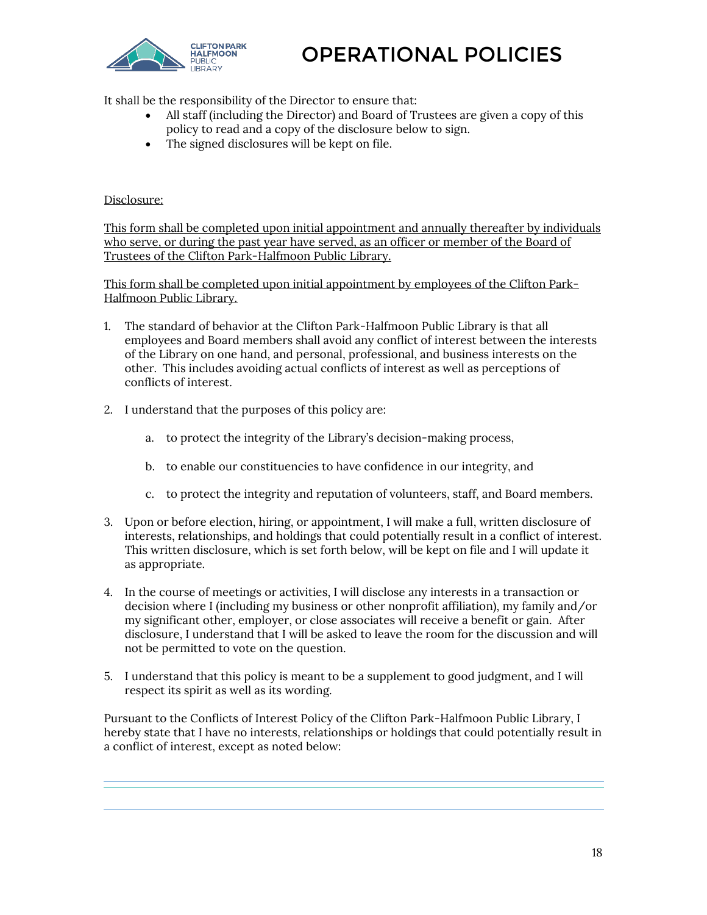

It shall be the responsibility of the Director to ensure that:

- All staff (including the Director) and Board of Trustees are given a copy of this policy to read and a copy of the disclosure below to sign.
- The signed disclosures will be kept on file.

#### Disclosure:

This form shall be completed upon initial appointment and annually thereafter by individuals who serve, or during the past year have served, as an officer or member of the Board of Trustees of the Clifton Park-Halfmoon Public Library.

This form shall be completed upon initial appointment by employees of the Clifton Park-Halfmoon Public Library.

- 1. The standard of behavior at the Clifton Park-Halfmoon Public Library is that all employees and Board members shall avoid any conflict of interest between the interests of the Library on one hand, and personal, professional, and business interests on the other. This includes avoiding actual conflicts of interest as well as perceptions of conflicts of interest.
- 2. I understand that the purposes of this policy are:
	- a. to protect the integrity of the Library's decision-making process,
	- b. to enable our constituencies to have confidence in our integrity, and
	- c. to protect the integrity and reputation of volunteers, staff, and Board members.
- 3. Upon or before election, hiring, or appointment, I will make a full, written disclosure of interests, relationships, and holdings that could potentially result in a conflict of interest. This written disclosure, which is set forth below, will be kept on file and I will update it as appropriate.
- 4. In the course of meetings or activities, I will disclose any interests in a transaction or decision where I (including my business or other nonprofit affiliation), my family and/or my significant other, employer, or close associates will receive a benefit or gain. After disclosure, I understand that I will be asked to leave the room for the discussion and will not be permitted to vote on the question.
- 5. I understand that this policy is meant to be a supplement to good judgment, and I will respect its spirit as well as its wording.

Pursuant to the Conflicts of Interest Policy of the Clifton Park-Halfmoon Public Library, I hereby state that I have no interests, relationships or holdings that could potentially result in a conflict of interest, except as noted below: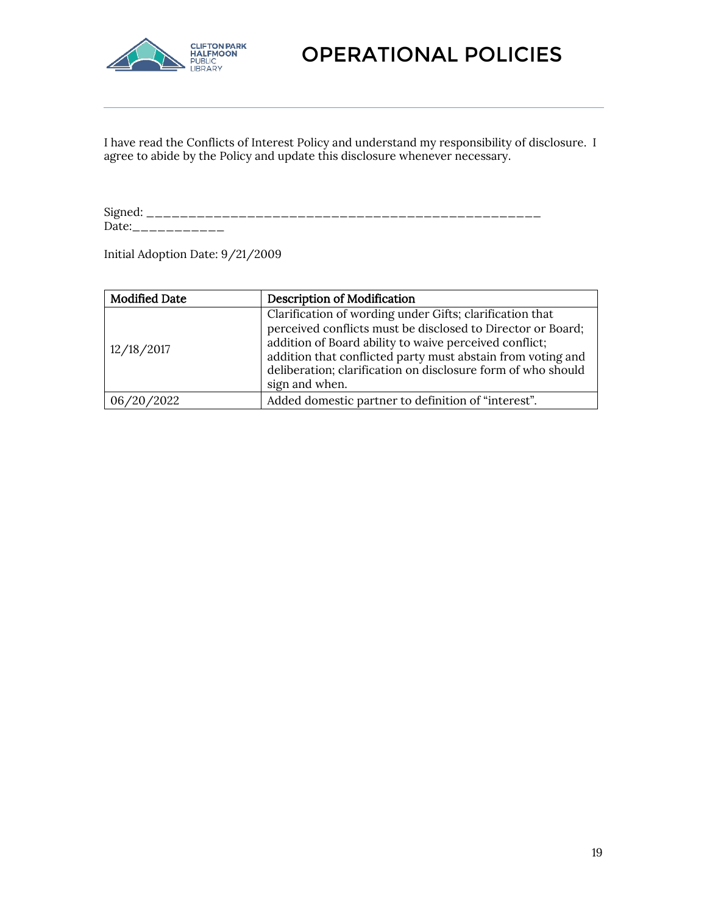

I have read the Conflicts of Interest Policy and understand my responsibility of disclosure. I agree to abide by the Policy and update this disclosure whenever necessary.

Signed: \_\_\_\_\_\_\_\_\_\_\_\_\_\_\_\_\_\_\_\_\_\_\_\_\_\_\_\_\_\_\_\_\_\_\_\_\_\_\_\_\_\_\_\_\_\_\_ Date:\_\_\_\_\_\_\_\_\_\_\_

Initial Adoption Date: 9/21/2009

| <b>Modified Date</b> | <b>Description of Modification</b>                                                                                                                                                                                                                                                                                                 |
|----------------------|------------------------------------------------------------------------------------------------------------------------------------------------------------------------------------------------------------------------------------------------------------------------------------------------------------------------------------|
| 12/18/2017           | Clarification of wording under Gifts; clarification that<br>perceived conflicts must be disclosed to Director or Board;<br>addition of Board ability to waive perceived conflict;<br>addition that conflicted party must abstain from voting and<br>deliberation; clarification on disclosure form of who should<br>sign and when. |
| 06/20/2022           | Added domestic partner to definition of "interest".                                                                                                                                                                                                                                                                                |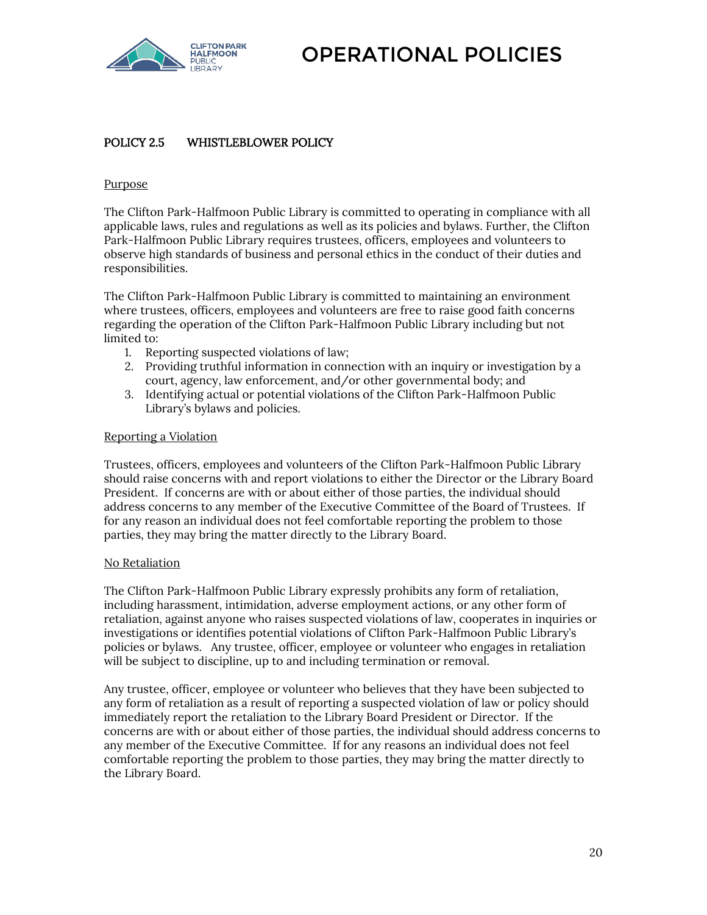

#### <span id="page-19-0"></span>POLICY 2.5 WHISTLEBLOWER POLICY

#### Purpose

The Clifton Park-Halfmoon Public Library is committed to operating in compliance with all applicable laws, rules and regulations as well as its policies and bylaws. Further, the Clifton Park-Halfmoon Public Library requires trustees, officers, employees and volunteers to observe high standards of business and personal ethics in the conduct of their duties and responsibilities.

The Clifton Park-Halfmoon Public Library is committed to maintaining an environment where trustees, officers, employees and volunteers are free to raise good faith concerns regarding the operation of the Clifton Park-Halfmoon Public Library including but not limited to:

- 1. Reporting suspected violations of law;
- 2. Providing truthful information in connection with an inquiry or investigation by a court, agency, law enforcement, and/or other governmental body; and
- 3. Identifying actual or potential violations of the Clifton Park-Halfmoon Public Library's bylaws and policies.

#### Reporting a Violation

Trustees, officers, employees and volunteers of the Clifton Park-Halfmoon Public Library should raise concerns with and report violations to either the Director or the Library Board President. If concerns are with or about either of those parties, the individual should address concerns to any member of the Executive Committee of the Board of Trustees. If for any reason an individual does not feel comfortable reporting the problem to those parties, they may bring the matter directly to the Library Board.

#### No Retaliation

The Clifton Park-Halfmoon Public Library expressly prohibits any form of retaliation, including harassment, intimidation, adverse employment actions, or any other form of retaliation, against anyone who raises suspected violations of law, cooperates in inquiries or investigations or identifies potential violations of Clifton Park-Halfmoon Public Library's policies or bylaws. Any trustee, officer, employee or volunteer who engages in retaliation will be subject to discipline, up to and including termination or removal.

Any trustee, officer, employee or volunteer who believes that they have been subjected to any form of retaliation as a result of reporting a suspected violation of law or policy should immediately report the retaliation to the Library Board President or Director. If the concerns are with or about either of those parties, the individual should address concerns to any member of the Executive Committee. If for any reasons an individual does not feel comfortable reporting the problem to those parties, they may bring the matter directly to the Library Board.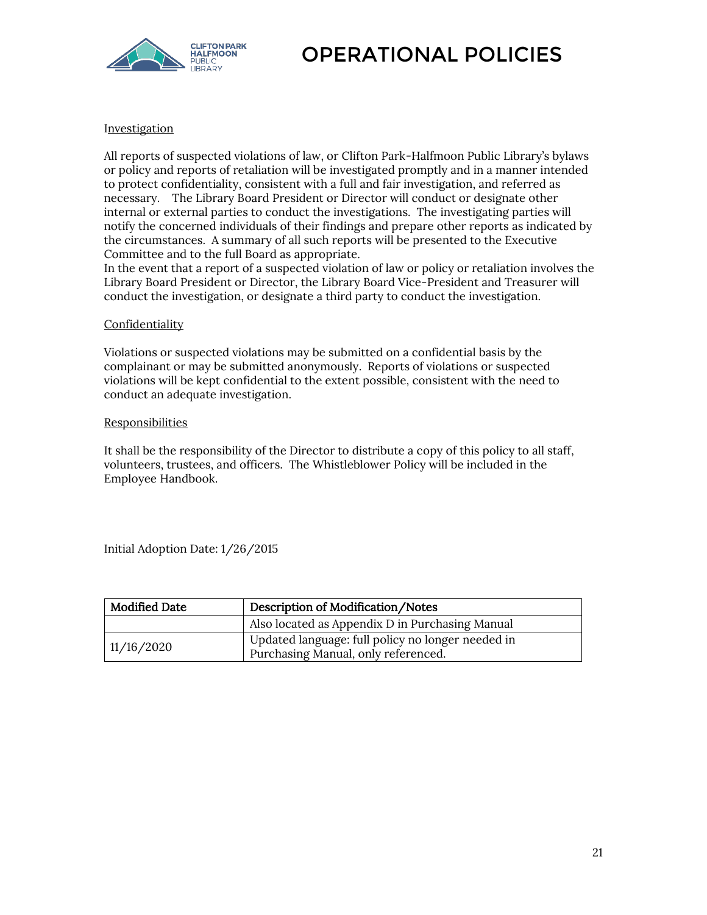

#### Investigation

All reports of suspected violations of law, or Clifton Park-Halfmoon Public Library's bylaws or policy and reports of retaliation will be investigated promptly and in a manner intended to protect confidentiality, consistent with a full and fair investigation, and referred as necessary. The Library Board President or Director will conduct or designate other internal or external parties to conduct the investigations. The investigating parties will notify the concerned individuals of their findings and prepare other reports as indicated by the circumstances. A summary of all such reports will be presented to the Executive Committee and to the full Board as appropriate.

In the event that a report of a suspected violation of law or policy or retaliation involves the Library Board President or Director, the Library Board Vice-President and Treasurer will conduct the investigation, or designate a third party to conduct the investigation.

#### **Confidentiality**

Violations or suspected violations may be submitted on a confidential basis by the complainant or may be submitted anonymously. Reports of violations or suspected violations will be kept confidential to the extent possible, consistent with the need to conduct an adequate investigation.

#### **Responsibilities**

It shall be the responsibility of the Director to distribute a copy of this policy to all staff, volunteers, trustees, and officers. The Whistleblower Policy will be included in the Employee Handbook.

Initial Adoption Date: 1/26/2015

| <b>Modified Date</b><br>Description of Modification/Notes |                                                                                          |
|-----------------------------------------------------------|------------------------------------------------------------------------------------------|
|                                                           | Also located as Appendix D in Purchasing Manual                                          |
| 11/16/2020                                                | Updated language: full policy no longer needed in<br>Purchasing Manual, only referenced. |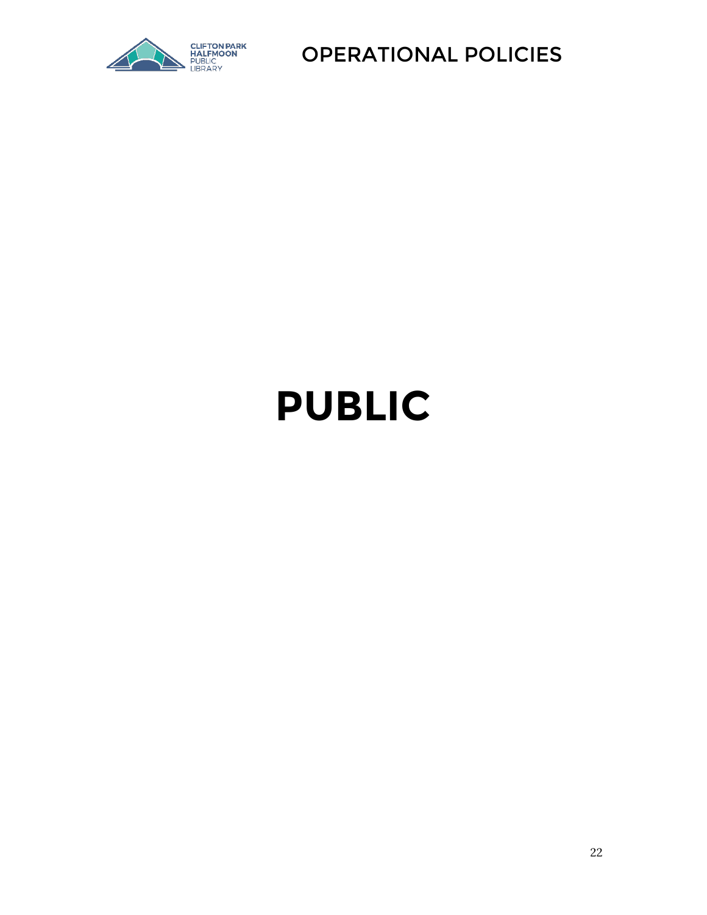

## **PUBLIC**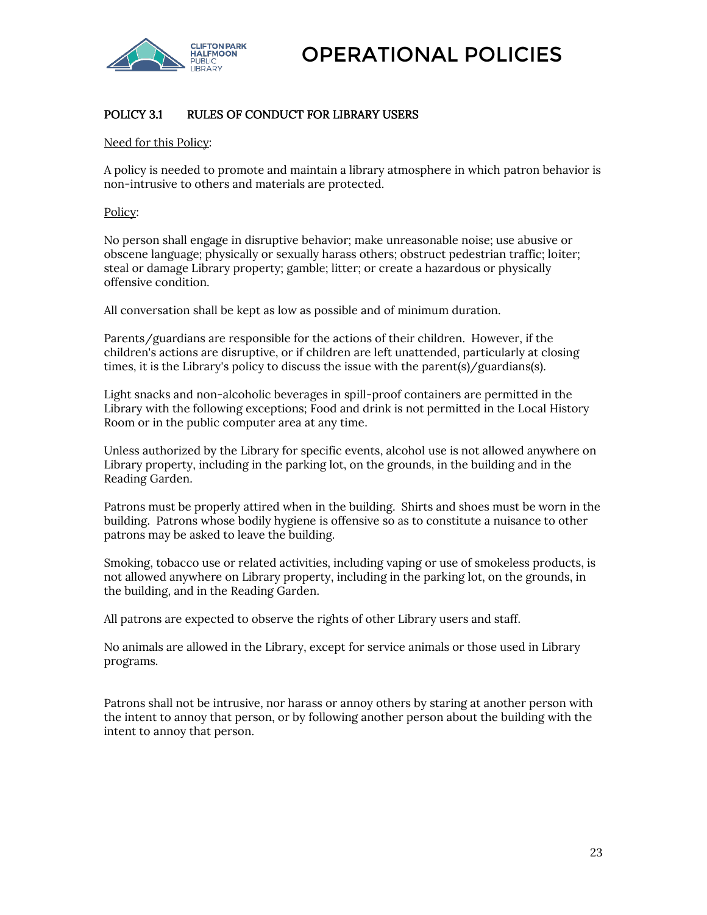

#### <span id="page-22-0"></span>POLICY 3.1 RULES OF CONDUCT FOR LIBRARY USERS

Need for this Policy:

A policy is needed to promote and maintain a library atmosphere in which patron behavior is non-intrusive to others and materials are protected.

Policy:

No person shall engage in disruptive behavior; make unreasonable noise; use abusive or obscene language; physically or sexually harass others; obstruct pedestrian traffic; loiter; steal or damage Library property; gamble; litter; or create a hazardous or physically offensive condition.

All conversation shall be kept as low as possible and of minimum duration.

Parents/guardians are responsible for the actions of their children. However, if the children's actions are disruptive, or if children are left unattended, particularly at closing times, it is the Library's policy to discuss the issue with the parent(s)/guardians(s).

Light snacks and non-alcoholic beverages in spill-proof containers are permitted in the Library with the following exceptions; Food and drink is not permitted in the Local History Room or in the public computer area at any time.

Unless authorized by the Library for specific events, alcohol use is not allowed anywhere on Library property, including in the parking lot, on the grounds, in the building and in the Reading Garden.

Patrons must be properly attired when in the building. Shirts and shoes must be worn in the building. Patrons whose bodily hygiene is offensive so as to constitute a nuisance to other patrons may be asked to leave the building.

Smoking, tobacco use or related activities, including vaping or use of smokeless products, is not allowed anywhere on Library property, including in the parking lot, on the grounds, in the building, and in the Reading Garden.

All patrons are expected to observe the rights of other Library users and staff.

No animals are allowed in the Library, except for service animals or those used in Library programs.

Patrons shall not be intrusive, nor harass or annoy others by staring at another person with the intent to annoy that person, or by following another person about the building with the intent to annoy that person.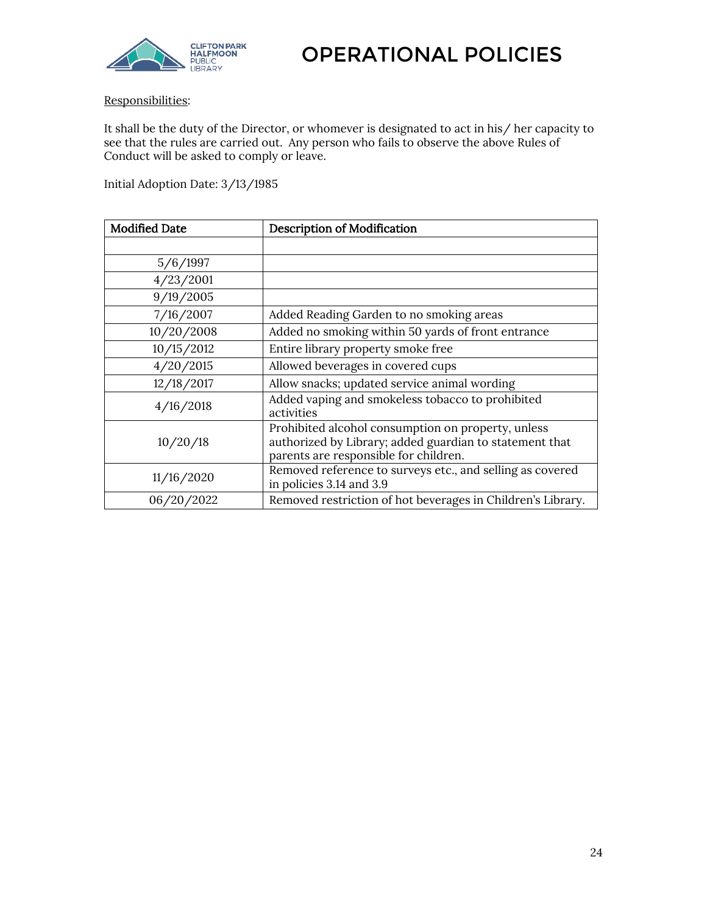

#### Responsibilities:

It shall be the duty of the Director, or whomever is designated to act in his/ her capacity to see that the rules are carried out. Any person who fails to observe the above Rules of Conduct will be asked to comply or leave.

Initial Adoption Date: 3/13/1985

| <b>Modified Date</b> | <b>Description of Modification</b>                                                                                                                     |
|----------------------|--------------------------------------------------------------------------------------------------------------------------------------------------------|
|                      |                                                                                                                                                        |
| 5/6/1997             |                                                                                                                                                        |
| 4/23/2001            |                                                                                                                                                        |
| 9/19/2005            |                                                                                                                                                        |
| 7/16/2007            | Added Reading Garden to no smoking areas                                                                                                               |
| 10/20/2008           | Added no smoking within 50 yards of front entrance                                                                                                     |
| 10/15/2012           | Entire library property smoke free                                                                                                                     |
| 4/20/2015            | Allowed beverages in covered cups                                                                                                                      |
| 12/18/2017           | Allow snacks; updated service animal wording                                                                                                           |
| 4/16/2018            | Added vaping and smokeless tobacco to prohibited<br>activities                                                                                         |
| 10/20/18             | Prohibited alcohol consumption on property, unless<br>authorized by Library; added guardian to statement that<br>parents are responsible for children. |
| 11/16/2020           | Removed reference to surveys etc., and selling as covered<br>in policies 3.14 and 3.9                                                                  |
| 06/20/2022           | Removed restriction of hot beverages in Children's Library.                                                                                            |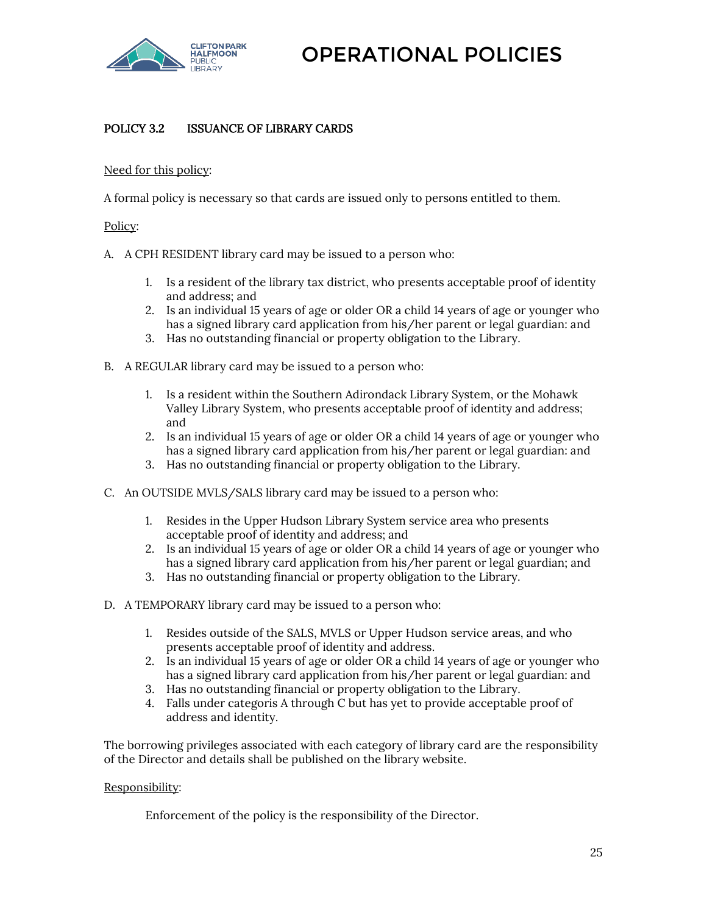

#### <span id="page-24-0"></span>POLICY 3.2 ISSUANCE OF LIBRARY CARDS

#### Need for this policy:

A formal policy is necessary so that cards are issued only to persons entitled to them.

#### Policy:

- A. A CPH RESIDENT library card may be issued to a person who:
	- 1. Is a resident of the library tax district, who presents acceptable proof of identity and address; and
	- 2. Is an individual 15 years of age or older OR a child 14 years of age or younger who has a signed library card application from his/her parent or legal guardian: and
	- 3. Has no outstanding financial or property obligation to the Library.
- B. A REGULAR library card may be issued to a person who:
	- 1. Is a resident within the Southern Adirondack Library System, or the Mohawk Valley Library System, who presents acceptable proof of identity and address; and
	- 2. Is an individual 15 years of age or older OR a child 14 years of age or younger who has a signed library card application from his/her parent or legal guardian: and
	- 3. Has no outstanding financial or property obligation to the Library.
- C. An OUTSIDE MVLS/SALS library card may be issued to a person who:
	- 1. Resides in the Upper Hudson Library System service area who presents acceptable proof of identity and address; and
	- 2. Is an individual 15 years of age or older OR a child 14 years of age or younger who has a signed library card application from his/her parent or legal guardian; and
	- 3. Has no outstanding financial or property obligation to the Library.
- D. A TEMPORARY library card may be issued to a person who:
	- 1. Resides outside of the SALS, MVLS or Upper Hudson service areas, and who presents acceptable proof of identity and address.
	- 2. Is an individual 15 years of age or older OR a child 14 years of age or younger who has a signed library card application from his/her parent or legal guardian: and
	- 3. Has no outstanding financial or property obligation to the Library.
	- 4. Falls under categoris A through C but has yet to provide acceptable proof of address and identity.

The borrowing privileges associated with each category of library card are the responsibility of the Director and details shall be published on the library website.

#### Responsibility:

Enforcement of the policy is the responsibility of the Director.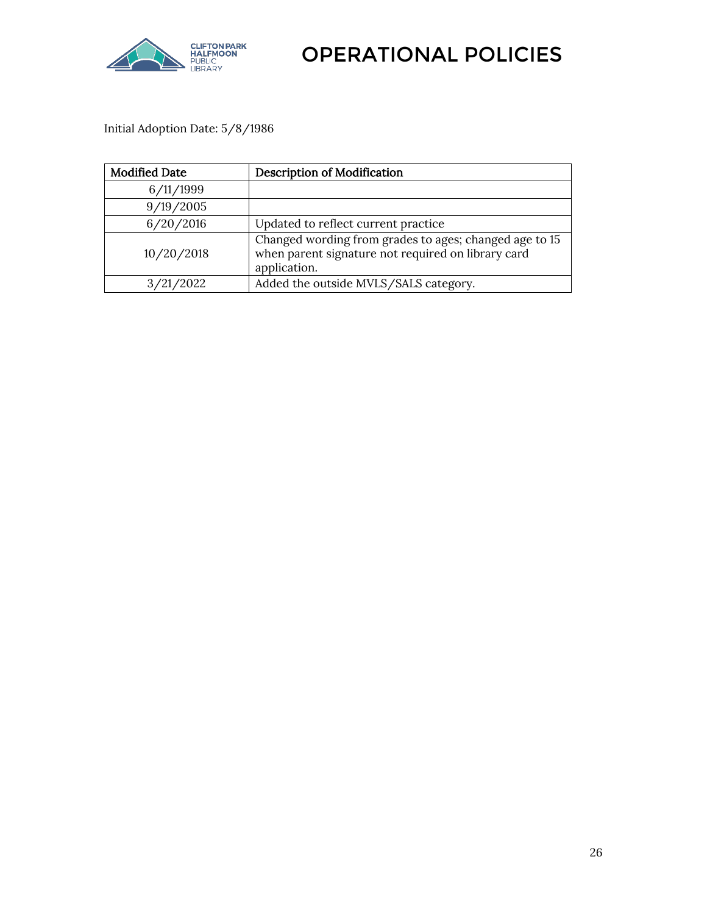

Initial Adoption Date: 5/8/1986

<span id="page-25-0"></span>

| <b>Modified Date</b> | <b>Description of Modification</b>                                                                                           |
|----------------------|------------------------------------------------------------------------------------------------------------------------------|
| 6/11/1999            |                                                                                                                              |
| 9/19/2005            |                                                                                                                              |
| 6/20/2016            | Updated to reflect current practice                                                                                          |
| 10/20/2018           | Changed wording from grades to ages; changed age to 15<br>when parent signature not required on library card<br>application. |
| 3/21/2022            | Added the outside MVLS/SALS category.                                                                                        |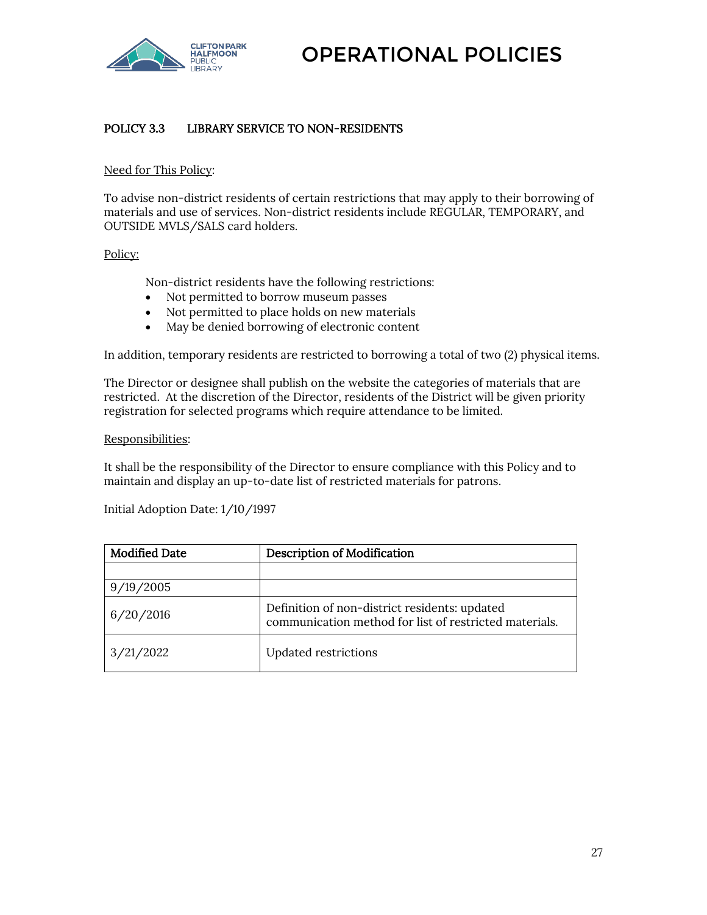

#### POLICY 3.3 LIBRARY SERVICE TO NON-RESIDENTS

#### Need for This Policy:

To advise non-district residents of certain restrictions that may apply to their borrowing of materials and use of services. Non-district residents include REGULAR, TEMPORARY, and OUTSIDE MVLS/SALS card holders.

#### Policy:

Non-district residents have the following restrictions:

- Not permitted to borrow museum passes
- Not permitted to place holds on new materials
- May be denied borrowing of electronic content

In addition, temporary residents are restricted to borrowing a total of two (2) physical items.

The Director or designee shall publish on the website the categories of materials that are restricted. At the discretion of the Director, residents of the District will be given priority registration for selected programs which require attendance to be limited.

#### Responsibilities:

It shall be the responsibility of the Director to ensure compliance with this Policy and to maintain and display an up-to-date list of restricted materials for patrons.

Initial Adoption Date: 1/10/1997

| <b>Modified Date</b> | <b>Description of Modification</b>                                                                      |
|----------------------|---------------------------------------------------------------------------------------------------------|
|                      |                                                                                                         |
| 9/19/2005            |                                                                                                         |
| 6/20/2016            | Definition of non-district residents: updated<br>communication method for list of restricted materials. |
| 3/21/2022            | <b>Updated restrictions</b>                                                                             |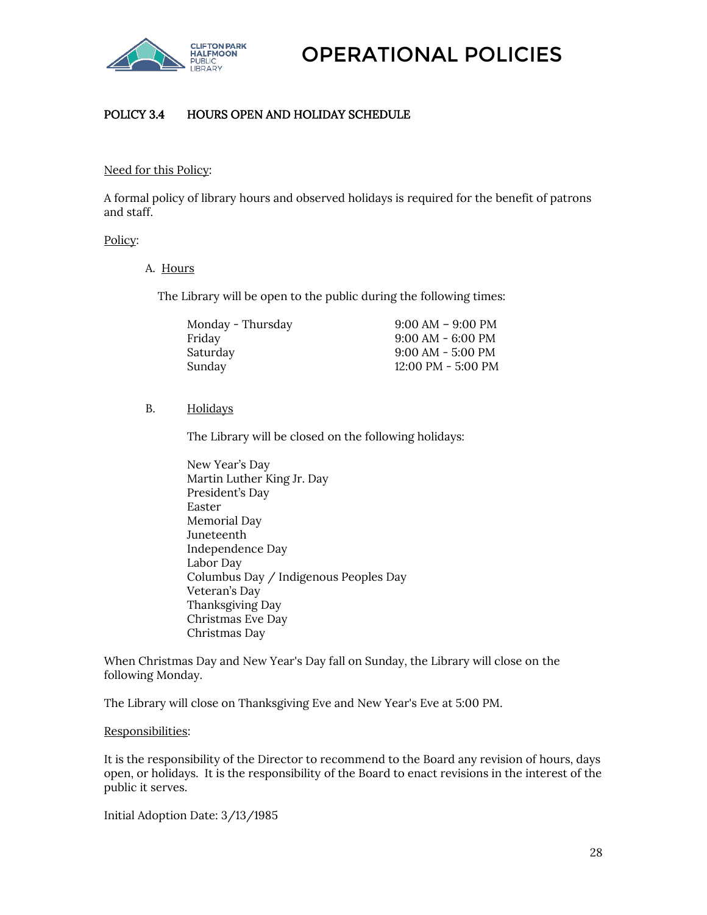

#### <span id="page-27-0"></span>POLICY 3.4 HOURS OPEN AND HOLIDAY SCHEDULE

#### Need for this Policy:

A formal policy of library hours and observed holidays is required for the benefit of patrons and staff.

#### Policy:

A. Hours

The Library will be open to the public during the following times:

| Monday - Thursday | $9:00 AM - 9:00 PM$                  |
|-------------------|--------------------------------------|
| Friday            | $9:00$ AM - 6:00 PM                  |
| Saturday          | $9:00$ AM - 5:00 PM                  |
| Sunday            | $12:00 \text{ PM} - 5:00 \text{ PM}$ |

#### B. Holidays

The Library will be closed on the following holidays:

New Year's Day Martin Luther King Jr. Day President's Day Easter Memorial Day Juneteenth Independence Day Labor Day Columbus Day / Indigenous Peoples Day Veteran's Day Thanksgiving Day Christmas Eve Day Christmas Day

When Christmas Day and New Year's Day fall on Sunday, the Library will close on the following Monday.

The Library will close on Thanksgiving Eve and New Year's Eve at 5:00 PM.

#### Responsibilities:

It is the responsibility of the Director to recommend to the Board any revision of hours, days open, or holidays. It is the responsibility of the Board to enact revisions in the interest of the public it serves.

Initial Adoption Date: 3/13/1985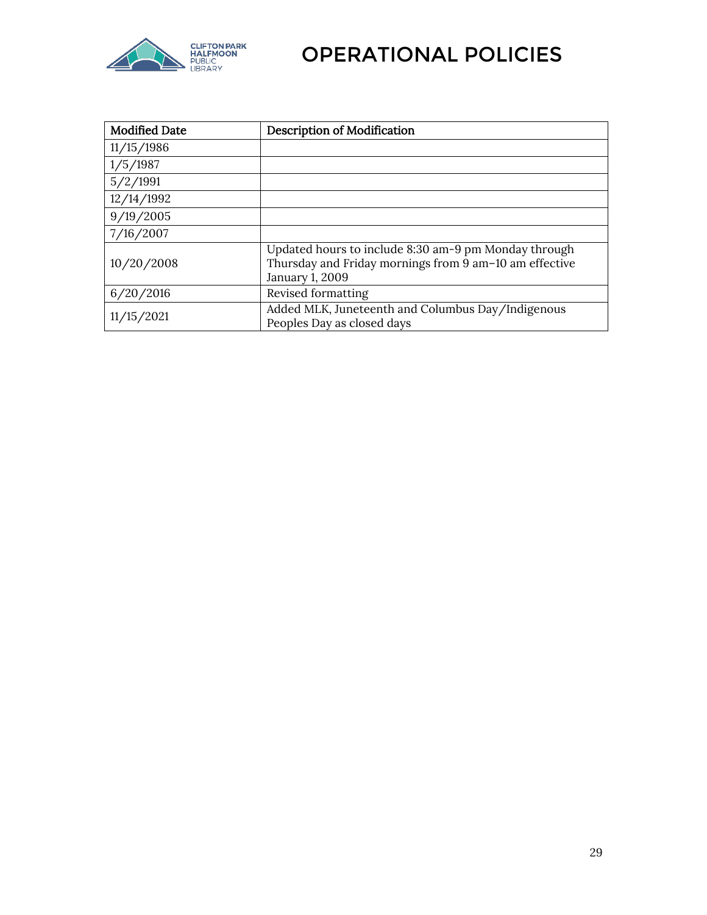

| <b>Modified Date</b> | Description of Modification                                                                                                       |
|----------------------|-----------------------------------------------------------------------------------------------------------------------------------|
| 11/15/1986           |                                                                                                                                   |
| 1/5/1987             |                                                                                                                                   |
| 5/2/1991             |                                                                                                                                   |
| 12/14/1992           |                                                                                                                                   |
| 9/19/2005            |                                                                                                                                   |
| 7/16/2007            |                                                                                                                                   |
| 10/20/2008           | Updated hours to include 8:30 am-9 pm Monday through<br>Thursday and Friday mornings from 9 am-10 am effective<br>January 1, 2009 |
| 6/20/2016            | Revised formatting                                                                                                                |
| 11/15/2021           | Added MLK, Juneteenth and Columbus Day/Indigenous<br>Peoples Day as closed days                                                   |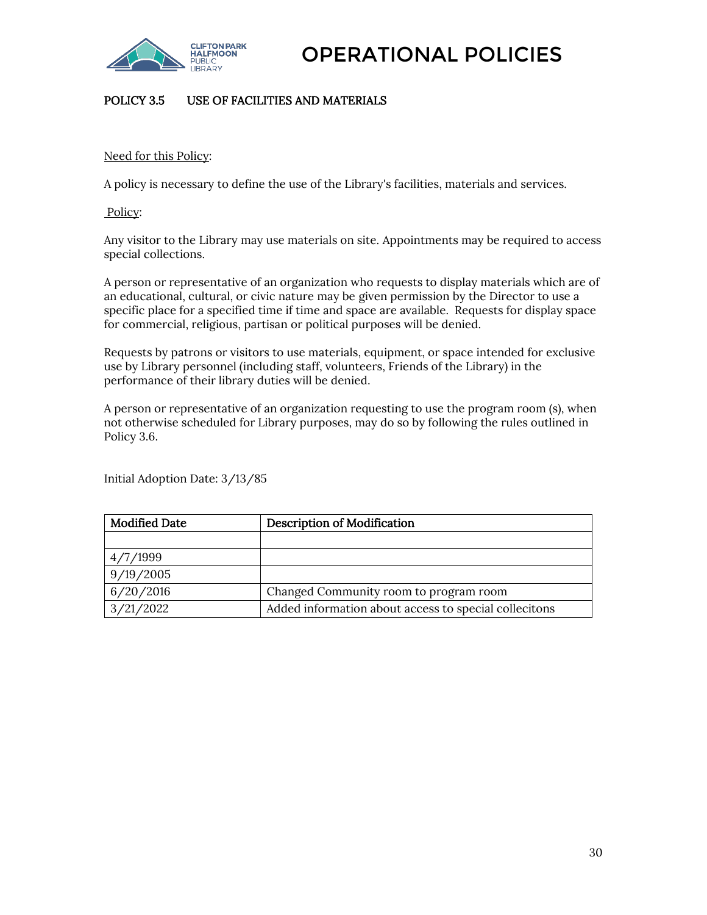

#### <span id="page-29-0"></span>POLICY 3.5 USE OF FACILITIES AND MATERIALS

#### Need for this Policy:

A policy is necessary to define the use of the Library's facilities, materials and services.

Policy:

Any visitor to the Library may use materials on site. Appointments may be required to access special collections.

A person or representative of an organization who requests to display materials which are of an educational, cultural, or civic nature may be given permission by the Director to use a specific place for a specified time if time and space are available. Requests for display space for commercial, religious, partisan or political purposes will be denied.

Requests by patrons or visitors to use materials, equipment, or space intended for exclusive use by Library personnel (including staff, volunteers, Friends of the Library) in the performance of their library duties will be denied.

A person or representative of an organization requesting to use the program room (s), when not otherwise scheduled for Library purposes, may do so by following the rules outlined in Policy 3.6.

Initial Adoption Date: 3/13/85

| <b>Modified Date</b> | <b>Description of Modification</b>                    |
|----------------------|-------------------------------------------------------|
|                      |                                                       |
| 4/7/1999             |                                                       |
| 9/19/2005            |                                                       |
| 6/20/2016            | Changed Community room to program room                |
| 3/21/2022            | Added information about access to special collecitons |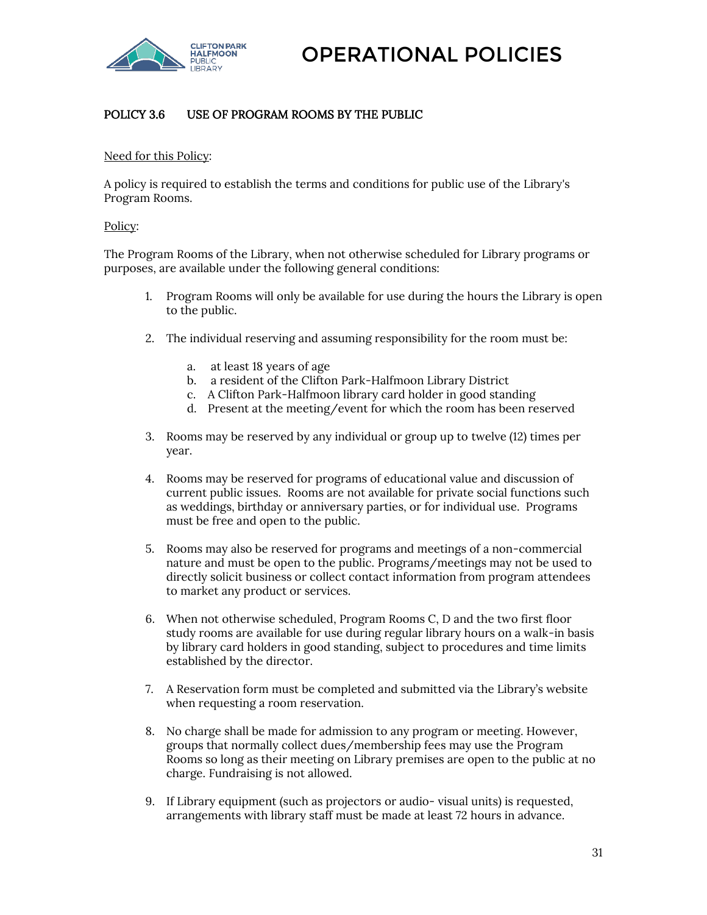

#### <span id="page-30-0"></span>POLICY 3.6 USE OF PROGRAM ROOMS BY THE PUBLIC

#### Need for this Policy:

A policy is required to establish the terms and conditions for public use of the Library's Program Rooms.

#### Policy:

The Program Rooms of the Library, when not otherwise scheduled for Library programs or purposes, are available under the following general conditions:

- 1. Program Rooms will only be available for use during the hours the Library is open to the public.
- 2. The individual reserving and assuming responsibility for the room must be:
	- a. at least 18 years of age
	- b. a resident of the Clifton Park-Halfmoon Library District
	- c. A Clifton Park-Halfmoon library card holder in good standing
	- d. Present at the meeting/event for which the room has been reserved
- 3. Rooms may be reserved by any individual or group up to twelve (12) times per year.
- 4. Rooms may be reserved for programs of educational value and discussion of current public issues. Rooms are not available for private social functions such as weddings, birthday or anniversary parties, or for individual use. Programs must be free and open to the public.
- 5. Rooms may also be reserved for programs and meetings of a non-commercial nature and must be open to the public. Programs/meetings may not be used to directly solicit business or collect contact information from program attendees to market any product or services.
- 6. When not otherwise scheduled, Program Rooms C, D and the two first floor study rooms are available for use during regular library hours on a walk-in basis by library card holders in good standing, subject to procedures and time limits established by the director.
- 7. A Reservation form must be completed and submitted via the Library's website when requesting a room reservation.
- 8. No charge shall be made for admission to any program or meeting. However, groups that normally collect dues/membership fees may use the Program Rooms so long as their meeting on Library premises are open to the public at no charge. Fundraising is not allowed.
- 9. If Library equipment (such as projectors or audio- visual units) is requested, arrangements with library staff must be made at least 72 hours in advance.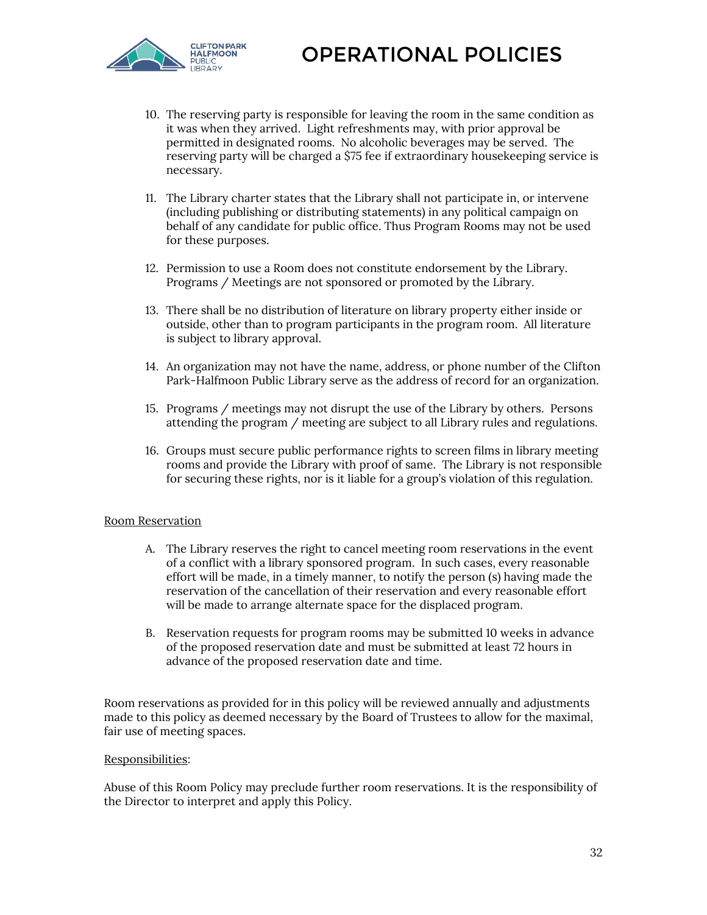

- 10. The reserving party is responsible for leaving the room in the same condition as it was when they arrived. Light refreshments may, with prior approval be permitted in designated rooms. No alcoholic beverages may be served. The reserving party will be charged a \$75 fee if extraordinary housekeeping service is necessary.
- 11. The Library charter states that the Library shall not participate in, or intervene (including publishing or distributing statements) in any political campaign on behalf of any candidate for public office. Thus Program Rooms may not be used for these purposes.
- 12. Permission to use a Room does not constitute endorsement by the Library. Programs / Meetings are not sponsored or promoted by the Library.
- 13. There shall be no distribution of literature on library property either inside or outside, other than to program participants in the program room. All literature is subject to library approval.
- 14. An organization may not have the name, address, or phone number of the Clifton Park-Halfmoon Public Library serve as the address of record for an organization.
- 15. Programs / meetings may not disrupt the use of the Library by others. Persons attending the program / meeting are subject to all Library rules and regulations.
- 16. Groups must secure public performance rights to screen films in library meeting rooms and provide the Library with proof of same. The Library is not responsible for securing these rights, nor is it liable for a group's violation of this regulation.

#### Room Reservation

- A. The Library reserves the right to cancel meeting room reservations in the event of a conflict with a library sponsored program. In such cases, every reasonable effort will be made, in a timely manner, to notify the person (s) having made the reservation of the cancellation of their reservation and every reasonable effort will be made to arrange alternate space for the displaced program.
- B. Reservation requests for program rooms may be submitted 10 weeks in advance of the proposed reservation date and must be submitted at least 72 hours in advance of the proposed reservation date and time.

Room reservations as provided for in this policy will be reviewed annually and adjustments made to this policy as deemed necessary by the Board of Trustees to allow for the maximal, fair use of meeting spaces.

#### Responsibilities:

Abuse of this Room Policy may preclude further room reservations. It is the responsibility of the Director to interpret and apply this Policy.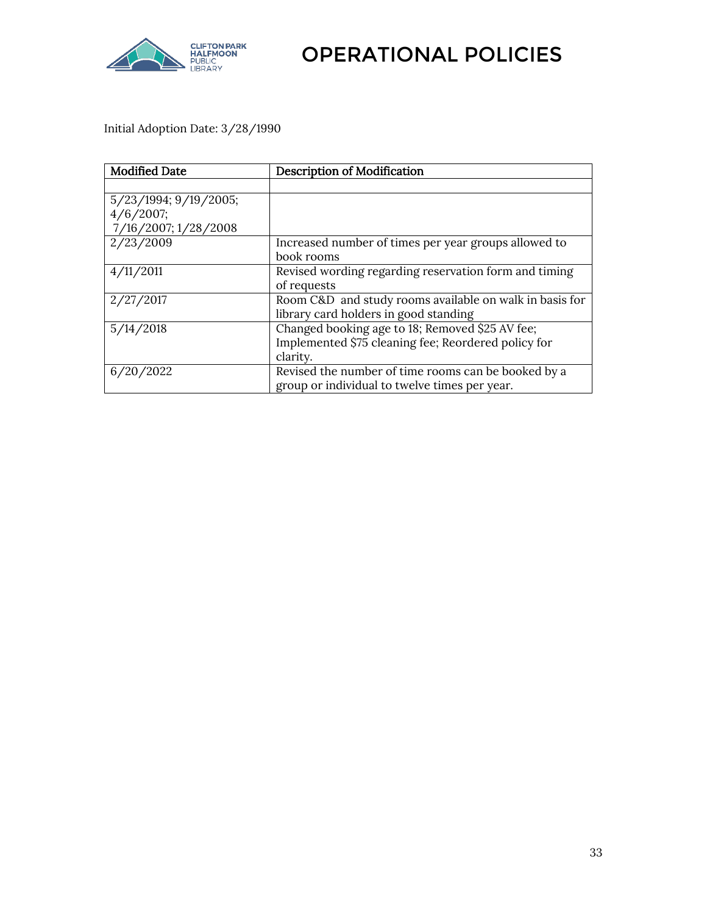

Initial Adoption Date: 3/28/1990

| <b>Modified Date</b>  | <b>Description of Modification</b>                      |
|-----------------------|---------------------------------------------------------|
|                       |                                                         |
| 5/23/1994; 9/19/2005; |                                                         |
| 4/6/2007;             |                                                         |
| 7/16/2007; 1/28/2008  |                                                         |
| 2/23/2009             | Increased number of times per year groups allowed to    |
|                       | book rooms                                              |
| 4/11/2011             | Revised wording regarding reservation form and timing   |
|                       | of requests                                             |
| 2/27/2017             | Room C&D and study rooms available on walk in basis for |
|                       | library card holders in good standing                   |
| 5/14/2018             | Changed booking age to 18; Removed \$25 AV fee;         |
|                       | Implemented \$75 cleaning fee; Reordered policy for     |
|                       | clarity.                                                |
| 6/20/2022             | Revised the number of time rooms can be booked by a     |
|                       | group or individual to twelve times per year.           |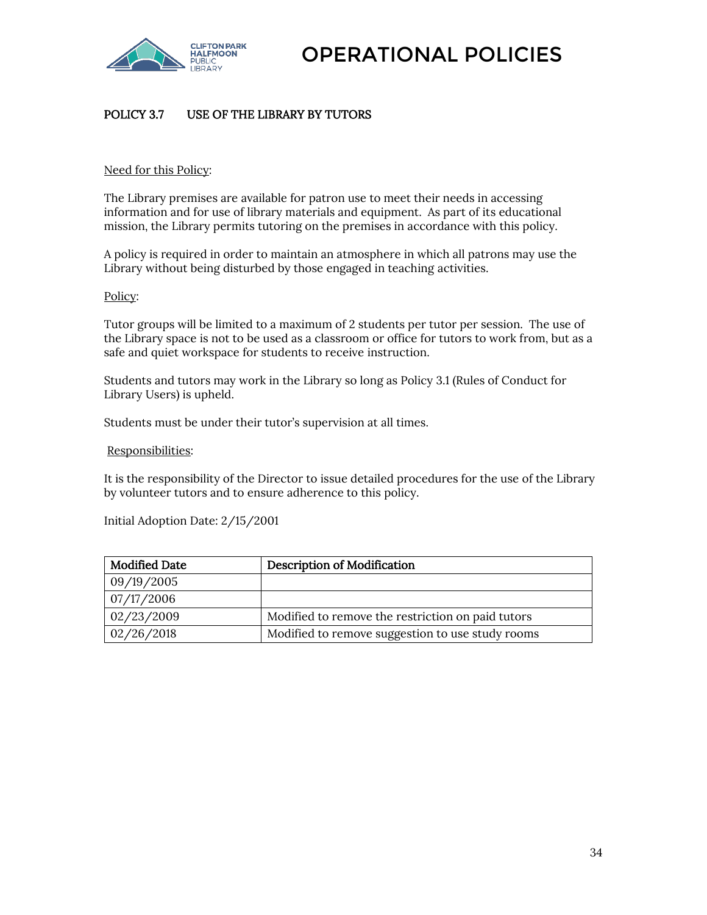

#### <span id="page-33-0"></span>POLICY 3.7 USE OF THE LIBRARY BY TUTORS

#### Need for this Policy:

The Library premises are available for patron use to meet their needs in accessing information and for use of library materials and equipment. As part of its educational mission, the Library permits tutoring on the premises in accordance with this policy.

A policy is required in order to maintain an atmosphere in which all patrons may use the Library without being disturbed by those engaged in teaching activities.

#### Policy:

Tutor groups will be limited to a maximum of 2 students per tutor per session. The use of the Library space is not to be used as a classroom or office for tutors to work from, but as a safe and quiet workspace for students to receive instruction.

Students and tutors may work in the Library so long as Policy 3.1 (Rules of Conduct for Library Users) is upheld.

Students must be under their tutor's supervision at all times.

#### Responsibilities:

It is the responsibility of the Director to issue detailed procedures for the use of the Library by volunteer tutors and to ensure adherence to this policy.

Initial Adoption Date: 2/15/2001

| <b>Modified Date</b>  | <b>Description of Modification</b>                |
|-----------------------|---------------------------------------------------|
| 09/19/2005            |                                                   |
| $\frac{07}{17}$ /2006 |                                                   |
| 02/23/2009            | Modified to remove the restriction on paid tutors |
| 02/26/2018            | Modified to remove suggestion to use study rooms  |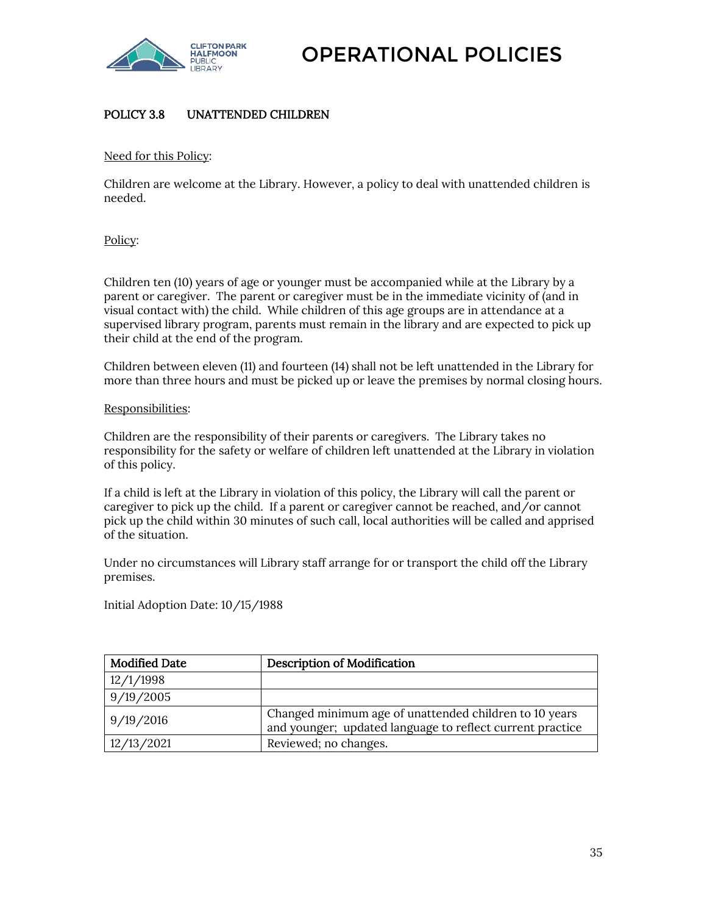

#### <span id="page-34-0"></span>POLICY 3.8 UNATTENDED CHILDREN

Need for this Policy:

Children are welcome at the Library. However, a policy to deal with unattended children is needed.

Policy:

Children ten (10) years of age or younger must be accompanied while at the Library by a parent or caregiver. The parent or caregiver must be in the immediate vicinity of (and in visual contact with) the child. While children of this age groups are in attendance at a supervised library program, parents must remain in the library and are expected to pick up their child at the end of the program.

Children between eleven (11) and fourteen (14) shall not be left unattended in the Library for more than three hours and must be picked up or leave the premises by normal closing hours.

#### Responsibilities:

Children are the responsibility of their parents or caregivers. The Library takes no responsibility for the safety or welfare of children left unattended at the Library in violation of this policy.

If a child is left at the Library in violation of this policy, the Library will call the parent or caregiver to pick up the child. If a parent or caregiver cannot be reached, and/or cannot pick up the child within 30 minutes of such call, local authorities will be called and apprised of the situation.

Under no circumstances will Library staff arrange for or transport the child off the Library premises.

Initial Adoption Date: 10/15/1988

<span id="page-34-1"></span>

| <b>Modified Date</b> | <b>Description of Modification</b>                                                                                  |
|----------------------|---------------------------------------------------------------------------------------------------------------------|
| 12/1/1998            |                                                                                                                     |
| 9/19/2005            |                                                                                                                     |
| 9/19/2016            | Changed minimum age of unattended children to 10 years<br>and younger; updated language to reflect current practice |
| 12/13/2021           | Reviewed; no changes.                                                                                               |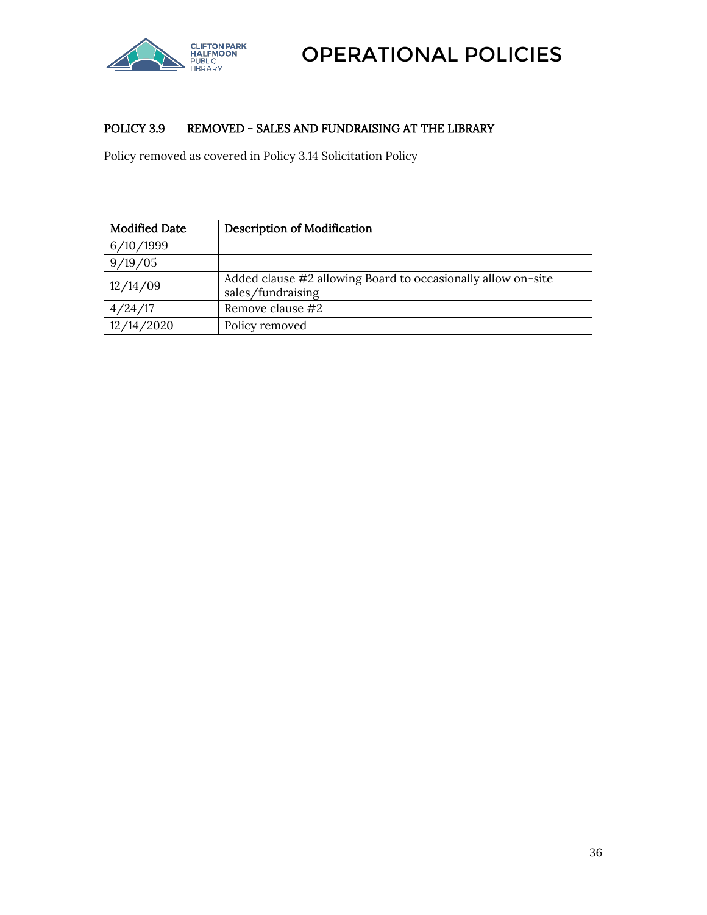

#### POLICY 3.9 REMOVED - SALES AND FUNDRAISING AT THE LIBRARY

Policy removed as covered in Policy 3.14 Solicitation Policy

| <b>Modified Date</b> | <b>Description of Modification</b>                                                |
|----------------------|-----------------------------------------------------------------------------------|
| 6/10/1999            |                                                                                   |
| 9/19/05              |                                                                                   |
| 12/14/09             | Added clause #2 allowing Board to occasionally allow on-site<br>sales/fundraising |
| 4/24/17              | Remove clause #2                                                                  |
| 12/14/2020           | Policy removed                                                                    |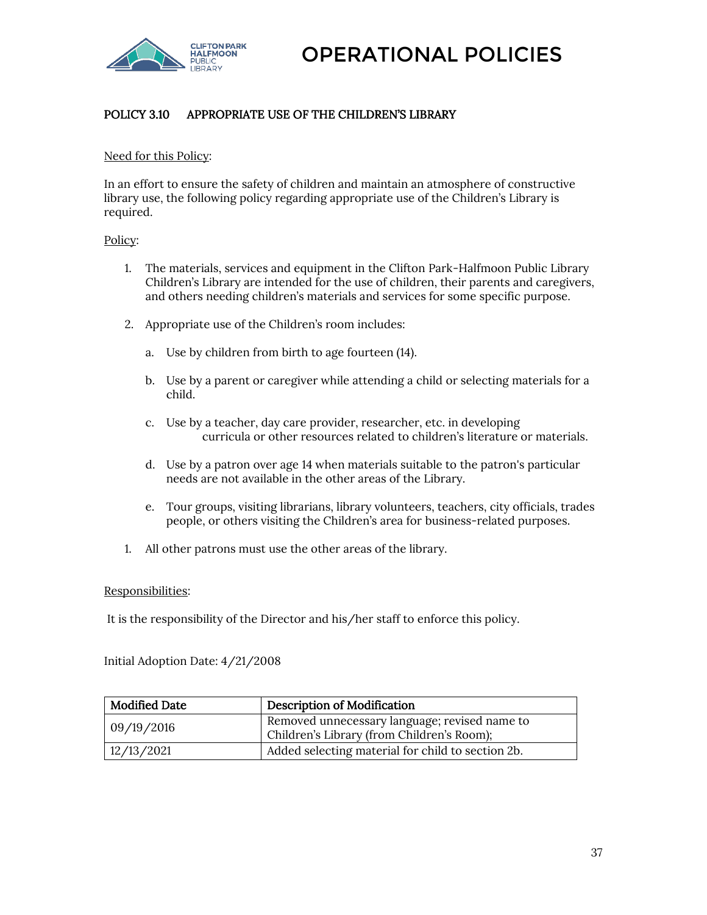

# POLICY 3.10 APPROPRIATE USE OF THE CHILDREN'S LIBRARY

### Need for this Policy:

In an effort to ensure the safety of children and maintain an atmosphere of constructive library use, the following policy regarding appropriate use of the Children's Library is required.

### Policy:

- 1. The materials, services and equipment in the Clifton Park-Halfmoon Public Library Children's Library are intended for the use of children, their parents and caregivers, and others needing children's materials and services for some specific purpose.
- 2. Appropriate use of the Children's room includes:
	- a. Use by children from birth to age fourteen (14).
	- b. Use by a parent or caregiver while attending a child or selecting materials for a child.
	- c. Use by a teacher, day care provider, researcher, etc. in developing curricula or other resources related to children's literature or materials.
	- d. Use by a patron over age 14 when materials suitable to the patron's particular needs are not available in the other areas of the Library.
	- e. Tour groups, visiting librarians, library volunteers, teachers, city officials, trades people, or others visiting the Children's area for business-related purposes.
- 1. All other patrons must use the other areas of the library.

### Responsibilities:

It is the responsibility of the Director and his/her staff to enforce this policy.

Initial Adoption Date: 4/21/2008

| <b>Modified Date</b> | <b>Description of Modification</b>                                                          |
|----------------------|---------------------------------------------------------------------------------------------|
| 09/19/2016           | Removed unnecessary language; revised name to<br>Children's Library (from Children's Room); |
| 12/13/2021           | Added selecting material for child to section 2b.                                           |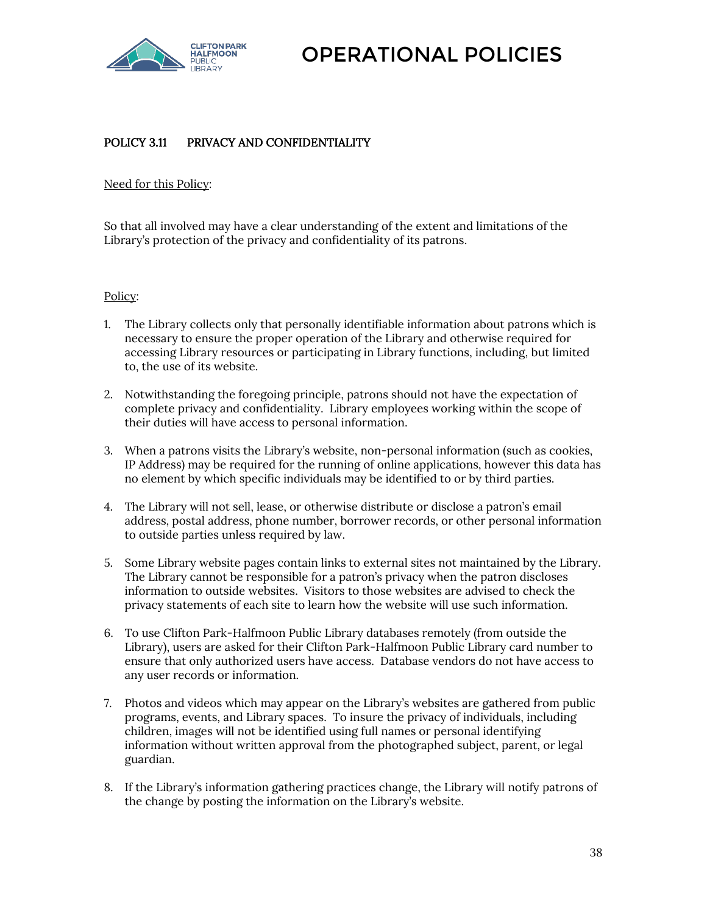

# POLICY 3.11 PRIVACY AND CONFIDENTIALITY

Need for this Policy:

So that all involved may have a clear understanding of the extent and limitations of the Library's protection of the privacy and confidentiality of its patrons.

### Policy:

- 1. The Library collects only that personally identifiable information about patrons which is necessary to ensure the proper operation of the Library and otherwise required for accessing Library resources or participating in Library functions, including, but limited to, the use of its website.
- 2. Notwithstanding the foregoing principle, patrons should not have the expectation of complete privacy and confidentiality. Library employees working within the scope of their duties will have access to personal information.
- 3. When a patrons visits the Library's website, non-personal information (such as cookies, IP Address) may be required for the running of online applications, however this data has no element by which specific individuals may be identified to or by third parties.
- 4. The Library will not sell, lease, or otherwise distribute or disclose a patron's email address, postal address, phone number, borrower records, or other personal information to outside parties unless required by law.
- 5. Some Library website pages contain links to external sites not maintained by the Library. The Library cannot be responsible for a patron's privacy when the patron discloses information to outside websites. Visitors to those websites are advised to check the privacy statements of each site to learn how the website will use such information.
- 6. To use Clifton Park-Halfmoon Public Library databases remotely (from outside the Library), users are asked for their Clifton Park-Halfmoon Public Library card number to ensure that only authorized users have access. Database vendors do not have access to any user records or information.
- 7. Photos and videos which may appear on the Library's websites are gathered from public programs, events, and Library spaces. To insure the privacy of individuals, including children, images will not be identified using full names or personal identifying information without written approval from the photographed subject, parent, or legal guardian.
- 8. If the Library's information gathering practices change, the Library will notify patrons of the change by posting the information on the Library's website.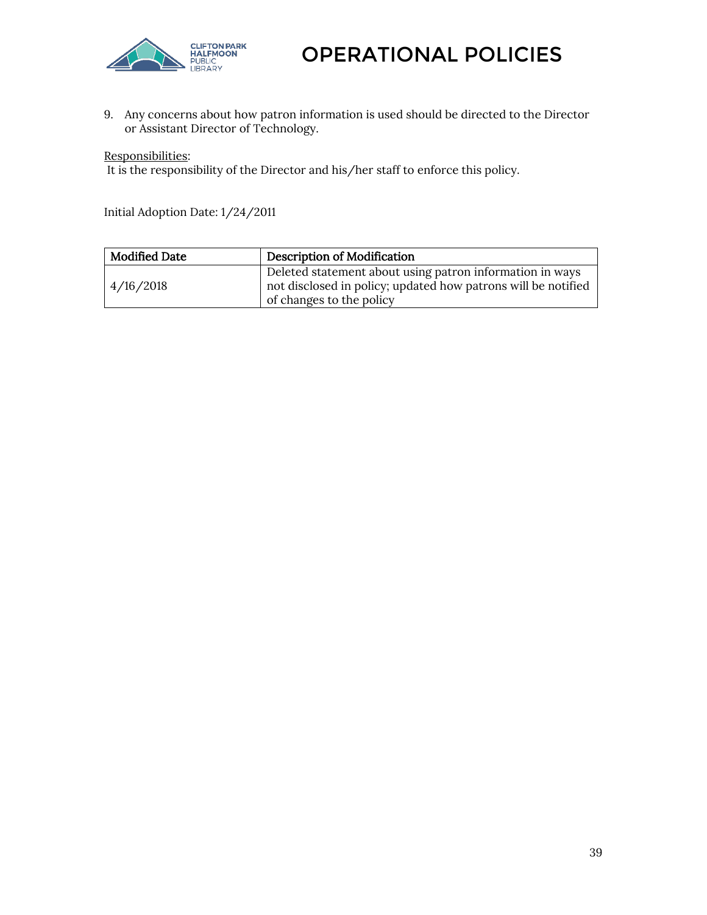

9. Any concerns about how patron information is used should be directed to the Director or Assistant Director of Technology.

Responsibilities:

It is the responsibility of the Director and his/her staff to enforce this policy.

Initial Adoption Date: 1/24/2011

| <b>Modified Date</b> | Description of Modification                                                                                                                           |
|----------------------|-------------------------------------------------------------------------------------------------------------------------------------------------------|
| 4/16/2018            | Deleted statement about using patron information in ways<br>not disclosed in policy; updated how patrons will be notified<br>of changes to the policy |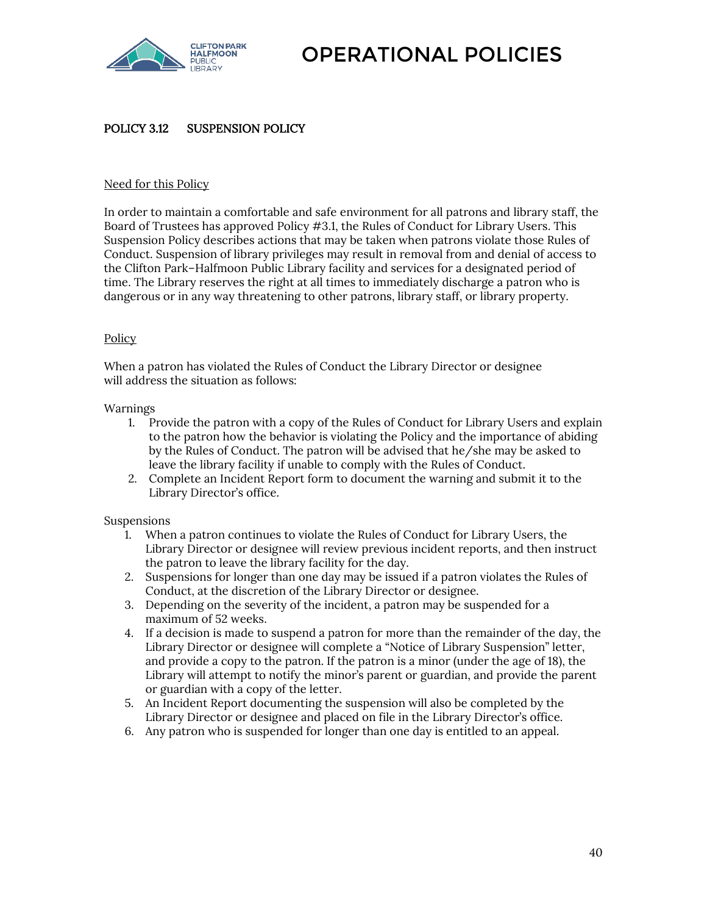

### POLICY 3.12 SUSPENSION POLICY

### Need for this Policy

In order to maintain a comfortable and safe environment for all patrons and library staff, the Board of Trustees has approved Policy #3.1, the Rules of Conduct for Library Users. This Suspension Policy describes actions that may be taken when patrons violate those Rules of Conduct. Suspension of library privileges may result in removal from and denial of access to the Clifton Park–Halfmoon Public Library facility and services for a designated period of time. The Library reserves the right at all times to immediately discharge a patron who is dangerous or in any way threatening to other patrons, library staff, or library property.

### Policy

When a patron has violated the Rules of Conduct the Library Director or designee will address the situation as follows:

### Warnings

- 1. Provide the patron with a copy of the Rules of Conduct for Library Users and explain to the patron how the behavior is violating the Policy and the importance of abiding by the Rules of Conduct. The patron will be advised that he/she may be asked to leave the library facility if unable to comply with the Rules of Conduct.
- 2. Complete an Incident Report form to document the warning and submit it to the Library Director's office.

### Suspensions

- 1. When a patron continues to violate the Rules of Conduct for Library Users, the Library Director or designee will review previous incident reports, and then instruct the patron to leave the library facility for the day.
- 2. Suspensions for longer than one day may be issued if a patron violates the Rules of Conduct, at the discretion of the Library Director or designee.
- 3. Depending on the severity of the incident, a patron may be suspended for a maximum of 52 weeks.
- 4. If a decision is made to suspend a patron for more than the remainder of the day, the Library Director or designee will complete a "Notice of Library Suspension" letter, and provide a copy to the patron. If the patron is a minor (under the age of 18), the Library will attempt to notify the minor's parent or guardian, and provide the parent or guardian with a copy of the letter.
- 5. An Incident Report documenting the suspension will also be completed by the Library Director or designee and placed on file in the Library Director's office.
- 6. Any patron who is suspended for longer than one day is entitled to an appeal.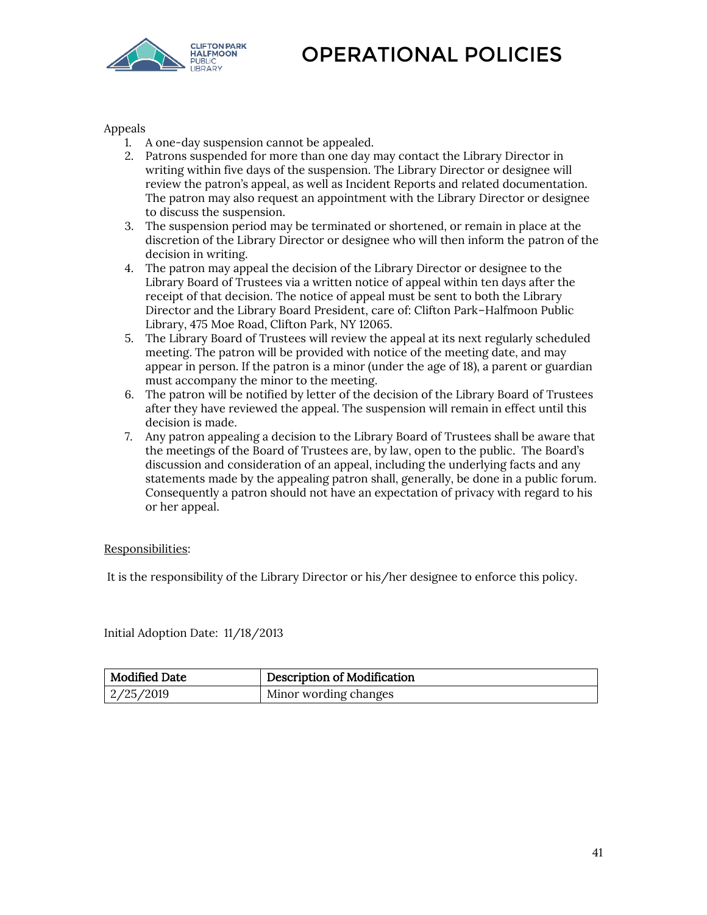

Appeals

- 1. A one-day suspension cannot be appealed.
- 2. Patrons suspended for more than one day may contact the Library Director in writing within five days of the suspension. The Library Director or designee will review the patron's appeal, as well as Incident Reports and related documentation. The patron may also request an appointment with the Library Director or designee to discuss the suspension.
- 3. The suspension period may be terminated or shortened, or remain in place at the discretion of the Library Director or designee who will then inform the patron of the decision in writing.
- 4. The patron may appeal the decision of the Library Director or designee to the Library Board of Trustees via a written notice of appeal within ten days after the receipt of that decision. The notice of appeal must be sent to both the Library Director and the Library Board President, care of: Clifton Park–Halfmoon Public Library, 475 Moe Road, Clifton Park, NY 12065.
- 5. The Library Board of Trustees will review the appeal at its next regularly scheduled meeting. The patron will be provided with notice of the meeting date, and may appear in person. If the patron is a minor (under the age of 18), a parent or guardian must accompany the minor to the meeting.
- 6. The patron will be notified by letter of the decision of the Library Board of Trustees after they have reviewed the appeal. The suspension will remain in effect until this decision is made.
- 7. Any patron appealing a decision to the Library Board of Trustees shall be aware that the meetings of the Board of Trustees are, by law, open to the public. The Board's discussion and consideration of an appeal, including the underlying facts and any statements made by the appealing patron shall, generally, be done in a public forum. Consequently a patron should not have an expectation of privacy with regard to his or her appeal.

Responsibilities:

It is the responsibility of the Library Director or his/her designee to enforce this policy.

Initial Adoption Date: 11/18/2013

| Modified Date | <b>Description of Modification</b> |
|---------------|------------------------------------|
| 2/25/2019     | Minor wording changes              |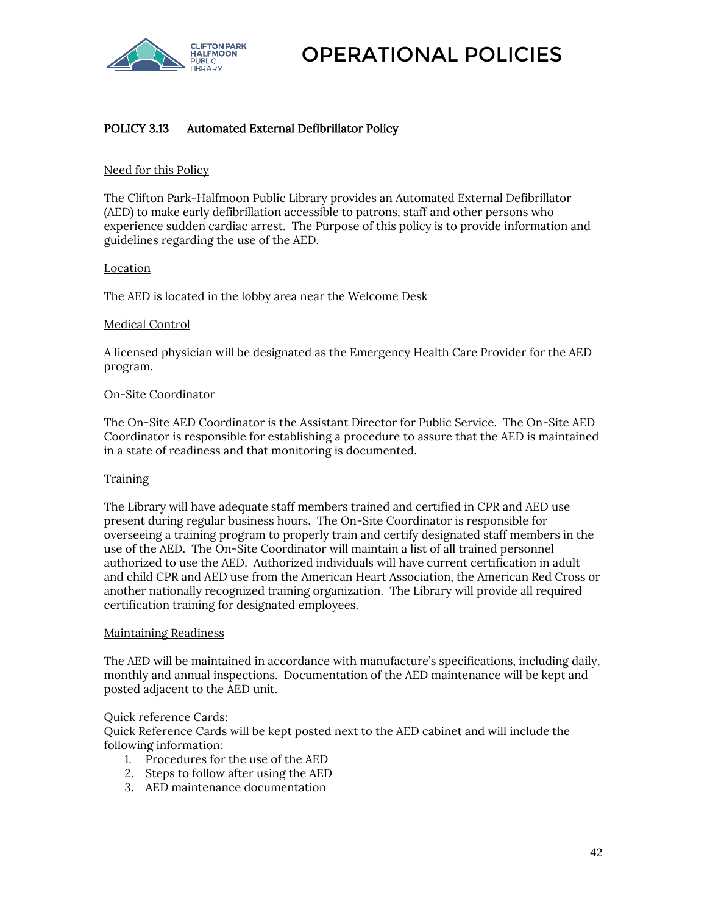

## POLICY 3.13 Automated External Defibrillator Policy

### Need for this Policy

The Clifton Park-Halfmoon Public Library provides an Automated External Defibrillator (AED) to make early defibrillation accessible to patrons, staff and other persons who experience sudden cardiac arrest. The Purpose of this policy is to provide information and guidelines regarding the use of the AED.

### Location

The AED is located in the lobby area near the Welcome Desk

### Medical Control

A licensed physician will be designated as the Emergency Health Care Provider for the AED program.

### On-Site Coordinator

The On-Site AED Coordinator is the Assistant Director for Public Service. The On-Site AED Coordinator is responsible for establishing a procedure to assure that the AED is maintained in a state of readiness and that monitoring is documented.

### Training

The Library will have adequate staff members trained and certified in CPR and AED use present during regular business hours. The On-Site Coordinator is responsible for overseeing a training program to properly train and certify designated staff members in the use of the AED. The On-Site Coordinator will maintain a list of all trained personnel authorized to use the AED. Authorized individuals will have current certification in adult and child CPR and AED use from the American Heart Association, the American Red Cross or another nationally recognized training organization. The Library will provide all required certification training for designated employees.

#### Maintaining Readiness

The AED will be maintained in accordance with manufacture's specifications, including daily, monthly and annual inspections. Documentation of the AED maintenance will be kept and posted adjacent to the AED unit.

#### Quick reference Cards:

Quick Reference Cards will be kept posted next to the AED cabinet and will include the following information:

- 1. Procedures for the use of the AED
- 2. Steps to follow after using the AED
- 3. AED maintenance documentation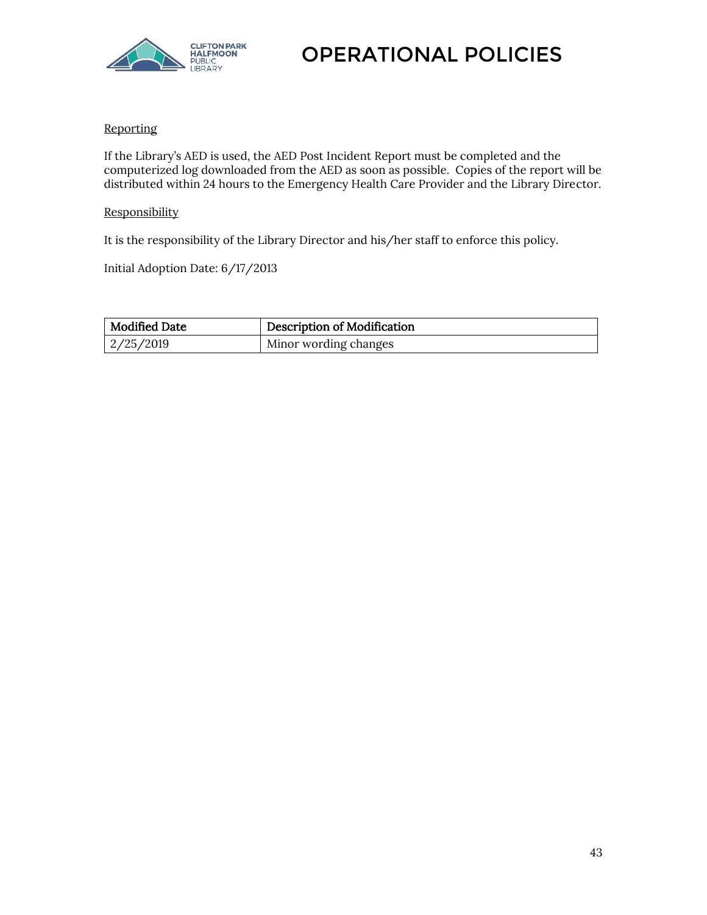

### **Reporting**

If the Library's AED is used, the AED Post Incident Report must be completed and the computerized log downloaded from the AED as soon as possible. Copies of the report will be distributed within 24 hours to the Emergency Health Care Provider and the Library Director.

### **Responsibility**

It is the responsibility of the Library Director and his/her staff to enforce this policy.

Initial Adoption Date: 6/17/2013

| <b>Modified Date</b> | Description of Modification |
|----------------------|-----------------------------|
| 2/25/2019            | Minor wording changes       |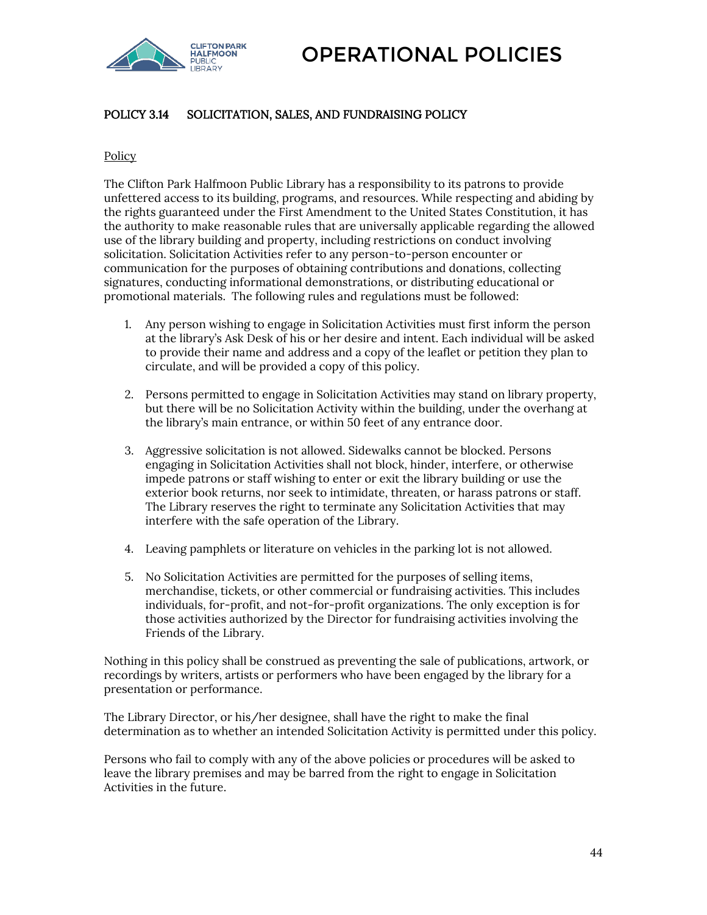

# POLICY 3.14 SOLICITATION, SALES, AND FUNDRAISING POLICY

### **Policy**

The Clifton Park Halfmoon Public Library has a responsibility to its patrons to provide unfettered access to its building, programs, and resources. While respecting and abiding by the rights guaranteed under the First Amendment to the United States Constitution, it has the authority to make reasonable rules that are universally applicable regarding the allowed use of the library building and property, including restrictions on conduct involving solicitation. Solicitation Activities refer to any person-to-person encounter or communication for the purposes of obtaining contributions and donations, collecting signatures, conducting informational demonstrations, or distributing educational or promotional materials. The following rules and regulations must be followed:

- 1. Any person wishing to engage in Solicitation Activities must first inform the person at the library's Ask Desk of his or her desire and intent. Each individual will be asked to provide their name and address and a copy of the leaflet or petition they plan to circulate, and will be provided a copy of this policy.
- 2. Persons permitted to engage in Solicitation Activities may stand on library property, but there will be no Solicitation Activity within the building, under the overhang at the library's main entrance, or within 50 feet of any entrance door.
- 3. Aggressive solicitation is not allowed. Sidewalks cannot be blocked. Persons engaging in Solicitation Activities shall not block, hinder, interfere, or otherwise impede patrons or staff wishing to enter or exit the library building or use the exterior book returns, nor seek to intimidate, threaten, or harass patrons or staff. The Library reserves the right to terminate any Solicitation Activities that may interfere with the safe operation of the Library.
- 4. Leaving pamphlets or literature on vehicles in the parking lot is not allowed.
- 5. No Solicitation Activities are permitted for the purposes of selling items, merchandise, tickets, or other commercial or fundraising activities. This includes individuals, for-profit, and not-for-profit organizations. The only exception is for those activities authorized by the Director for fundraising activities involving the Friends of the Library.

Nothing in this policy shall be construed as preventing the sale of publications, artwork, or recordings by writers, artists or performers who have been engaged by the library for a presentation or performance.

The Library Director, or his/her designee, shall have the right to make the final determination as to whether an intended Solicitation Activity is permitted under this policy.

Persons who fail to comply with any of the above policies or procedures will be asked to leave the library premises and may be barred from the right to engage in Solicitation Activities in the future.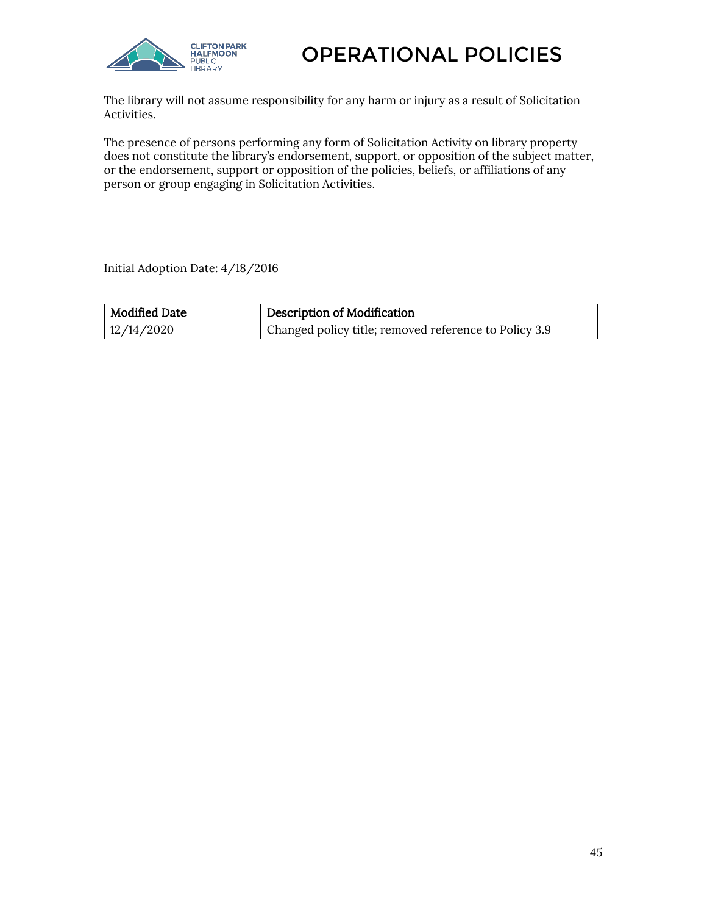



The library will not assume responsibility for any harm or injury as a result of Solicitation Activities.

The presence of persons performing any form of Solicitation Activity on library property does not constitute the library's endorsement, support, or opposition of the subject matter, or the endorsement, support or opposition of the policies, beliefs, or affiliations of any person or group engaging in Solicitation Activities.

Initial Adoption Date: 4/18/2016

| Modified Date | Description of Modification                           |
|---------------|-------------------------------------------------------|
| 12/14/2020    | Changed policy title; removed reference to Policy 3.9 |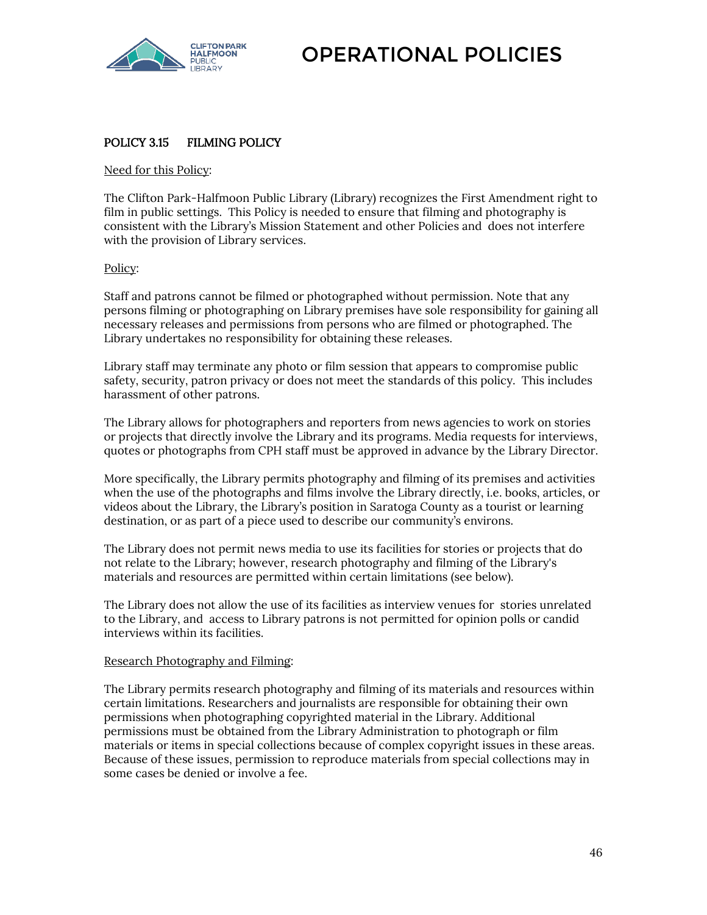

## POLICY 3.15 FILMING POLICY

### Need for this Policy:

The Clifton Park-Halfmoon Public Library (Library) recognizes the First Amendment right to film in public settings. This Policy is needed to ensure that filming and photography is consistent with the Library's Mission Statement and other Policies and does not interfere with the provision of Library services.

### Policy:

Staff and patrons cannot be filmed or photographed without permission. Note that any persons filming or photographing on Library premises have sole responsibility for gaining all necessary releases and permissions from persons who are filmed or photographed. The Library undertakes no responsibility for obtaining these releases.

Library staff may terminate any photo or film session that appears to compromise public safety, security, patron privacy or does not meet the standards of this policy. This includes harassment of other patrons.

The Library allows for photographers and reporters from news agencies to work on stories or projects that directly involve the Library and its programs. Media requests for interviews, quotes or photographs from CPH staff must be approved in advance by the Library Director.

More specifically, the Library permits photography and filming of its premises and activities when the use of the photographs and films involve the Library directly, i.e. books, articles, or videos about the Library, the Library's position in Saratoga County as a tourist or learning destination, or as part of a piece used to describe our community's environs.

The Library does not permit news media to use its facilities for stories or projects that do not relate to the Library; however, research photography and filming of the Library's materials and resources are permitted within certain limitations (see below).

The Library does not allow the use of its facilities as interview venues for stories unrelated to the Library, and access to Library patrons is not permitted for opinion polls or candid interviews within its facilities.

#### Research Photography and Filming:

The Library permits research photography and filming of its materials and resources within certain limitations. Researchers and journalists are responsible for obtaining their own permissions when photographing copyrighted material in the Library. Additional permissions must be obtained from the Library Administration to photograph or film materials or items in special collections because of complex copyright issues in these areas. Because of these issues, permission to reproduce materials from special collections may in some cases be denied or involve a fee.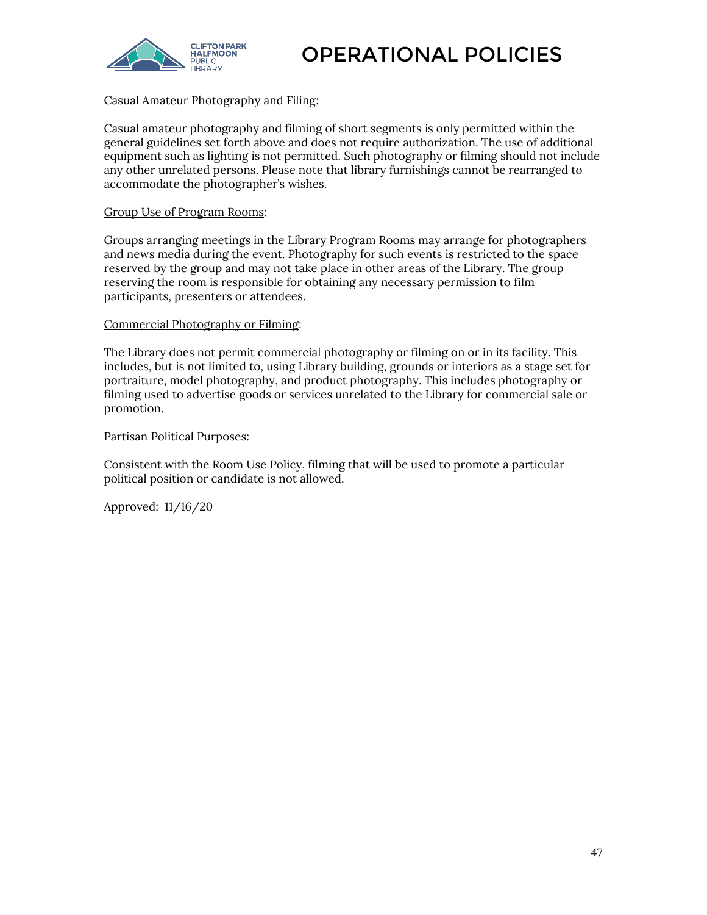

### Casual Amateur Photography and Filing:

Casual amateur photography and filming of short segments is only permitted within the general guidelines set forth above and does not require authorization. The use of additional equipment such as lighting is not permitted. Such photography or filming should not include any other unrelated persons. Please note that library furnishings cannot be rearranged to accommodate the photographer's wishes.

### Group Use of Program Rooms:

Groups arranging meetings in the Library Program Rooms may arrange for photographers and news media during the event. Photography for such events is restricted to the space reserved by the group and may not take place in other areas of the Library. The group reserving the room is responsible for obtaining any necessary permission to film participants, presenters or attendees.

### Commercial Photography or Filming:

The Library does not permit commercial photography or filming on or in its facility. This includes, but is not limited to, using Library building, grounds or interiors as a stage set for portraiture, model photography, and product photography. This includes photography or filming used to advertise goods or services unrelated to the Library for commercial sale or promotion.

### Partisan Political Purposes:

Consistent with the Room Use Policy, filming that will be used to promote a particular political position or candidate is not allowed.

Approved: 11/16/20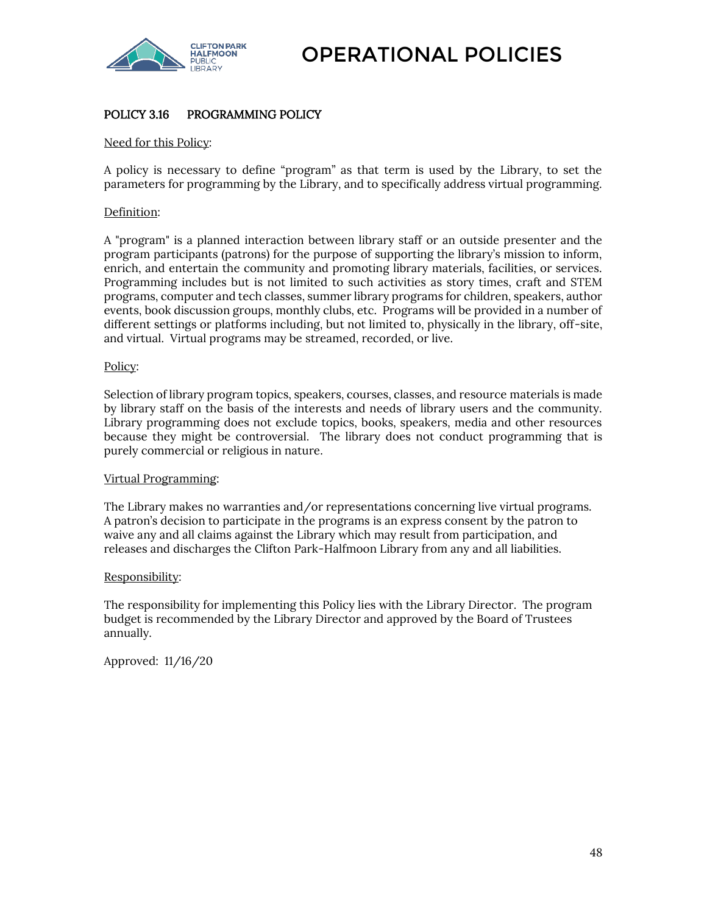

# POLICY 3.16 PROGRAMMING POLICY

### Need for this Policy:

A policy is necessary to define "program" as that term is used by the Library, to set the parameters for programming by the Library, and to specifically address virtual programming.

### Definition:

A "program" is a planned interaction between library staff or an outside presenter and the program participants (patrons) for the purpose of supporting the library's mission to inform, enrich, and entertain the community and promoting library materials, facilities, or services. Programming includes but is not limited to such activities as story times, craft and STEM programs, computer and tech classes, summer library programs for children, speakers, author events, book discussion groups, monthly clubs, etc. Programs will be provided in a number of different settings or platforms including, but not limited to, physically in the library, off-site, and virtual. Virtual programs may be streamed, recorded, or live.

#### Policy:

Selection of library program topics, speakers, courses, classes, and resource materials is made by library staff on the basis of the interests and needs of library users and the community. Library programming does not exclude topics, books, speakers, media and other resources because they might be controversial. The library does not conduct programming that is purely commercial or religious in nature.

#### Virtual Programming:

The Library makes no warranties and/or representations concerning live virtual programs. A patron's decision to participate in the programs is an express consent by the patron to waive any and all claims against the Library which may result from participation, and releases and discharges the Clifton Park-Halfmoon Library from any and all liabilities.

#### Responsibility:

The responsibility for implementing this Policy lies with the Library Director. The program budget is recommended by the Library Director and approved by the Board of Trustees annually.

Approved: 11/16/20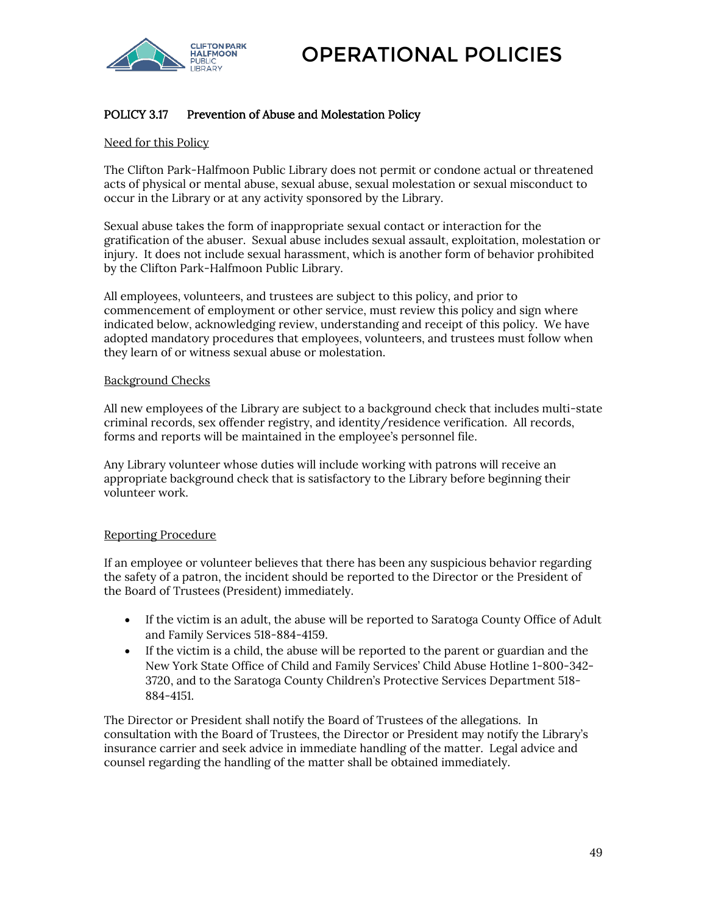

# POLICY 3.17 Prevention of Abuse and Molestation Policy

### Need for this Policy

The Clifton Park-Halfmoon Public Library does not permit or condone actual or threatened acts of physical or mental abuse, sexual abuse, sexual molestation or sexual misconduct to occur in the Library or at any activity sponsored by the Library.

Sexual abuse takes the form of inappropriate sexual contact or interaction for the gratification of the abuser. Sexual abuse includes sexual assault, exploitation, molestation or injury. It does not include sexual harassment, which is another form of behavior prohibited by the Clifton Park-Halfmoon Public Library.

All employees, volunteers, and trustees are subject to this policy, and prior to commencement of employment or other service, must review this policy and sign where indicated below, acknowledging review, understanding and receipt of this policy. We have adopted mandatory procedures that employees, volunteers, and trustees must follow when they learn of or witness sexual abuse or molestation.

### Background Checks

All new employees of the Library are subject to a background check that includes multi-state criminal records, sex offender registry, and identity/residence verification. All records, forms and reports will be maintained in the employee's personnel file.

Any Library volunteer whose duties will include working with patrons will receive an appropriate background check that is satisfactory to the Library before beginning their volunteer work.

### Reporting Procedure

If an employee or volunteer believes that there has been any suspicious behavior regarding the safety of a patron, the incident should be reported to the Director or the President of the Board of Trustees (President) immediately.

- If the victim is an adult, the abuse will be reported to Saratoga County Office of Adult and Family Services 518-884-4159.
- If the victim is a child, the abuse will be reported to the parent or guardian and the New York State Office of Child and Family Services' Child Abuse Hotline 1-800-342- 3720, and to the Saratoga County Children's Protective Services Department 518- 884-4151.

The Director or President shall notify the Board of Trustees of the allegations. In consultation with the Board of Trustees, the Director or President may notify the Library's insurance carrier and seek advice in immediate handling of the matter. Legal advice and counsel regarding the handling of the matter shall be obtained immediately.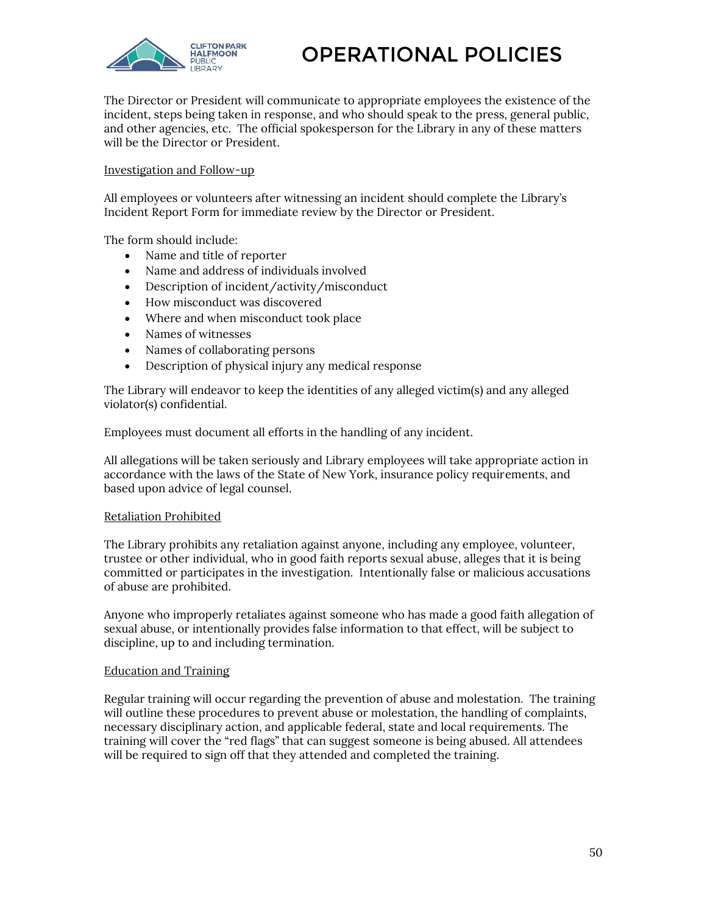

The Director or President will communicate to appropriate employees the existence of the incident, steps being taken in response, and who should speak to the press, general public, and other agencies, etc. The official spokesperson for the Library in any of these matters will be the Director or President.

### Investigation and Follow-up

All employees or volunteers after witnessing an incident should complete the Library's Incident Report Form for immediate review by the Director or President.

The form should include:

- Name and title of reporter
- Name and address of individuals involved
- Description of incident/activity/misconduct
- How misconduct was discovered
- Where and when misconduct took place
- Names of witnesses
- Names of collaborating persons
- Description of physical injury any medical response

The Library will endeavor to keep the identities of any alleged victim(s) and any alleged violator(s) confidential.

Employees must document all efforts in the handling of any incident.

All allegations will be taken seriously and Library employees will take appropriate action in accordance with the laws of the State of New York, insurance policy requirements, and based upon advice of legal counsel.

### Retaliation Prohibited

The Library prohibits any retaliation against anyone, including any employee, volunteer, trustee or other individual, who in good faith reports sexual abuse, alleges that it is being committed or participates in the investigation. Intentionally false or malicious accusations of abuse are prohibited.

Anyone who improperly retaliates against someone who has made a good faith allegation of sexual abuse, or intentionally provides false information to that effect, will be subject to discipline, up to and including termination.

### Education and Training

Regular training will occur regarding the prevention of abuse and molestation. The training will outline these procedures to prevent abuse or molestation, the handling of complaints, necessary disciplinary action, and applicable federal, state and local requirements. The training will cover the "red flags" that can suggest someone is being abused. All attendees will be required to sign off that they attended and completed the training.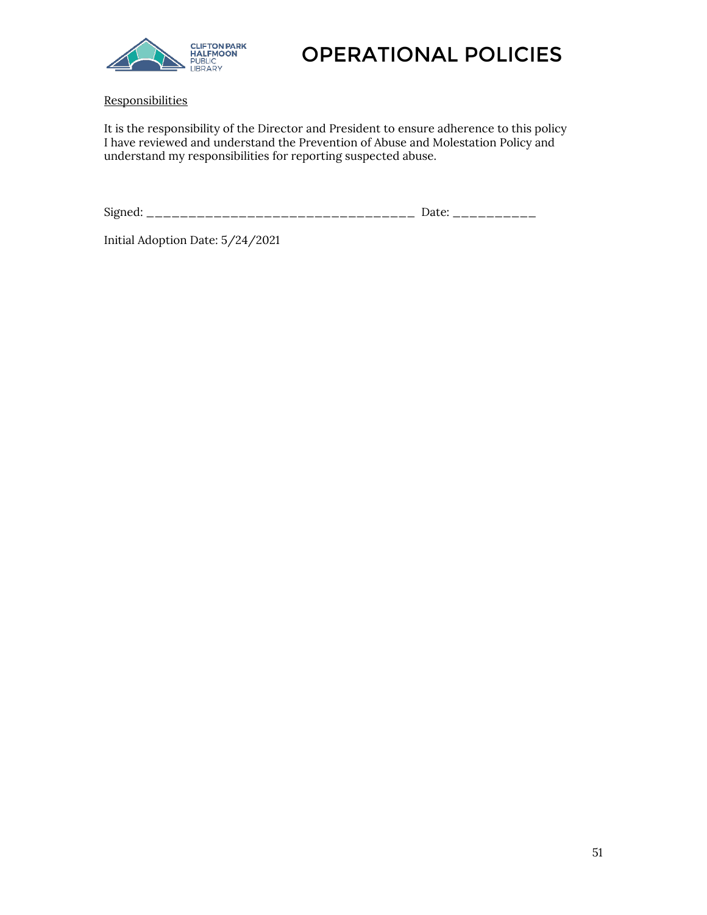

**Responsibilities** 

It is the responsibility of the Director and President to ensure adherence to this policy I have reviewed and understand the Prevention of Abuse and Molestation Policy and understand my responsibilities for reporting suspected abuse.

Signed: \_\_\_\_\_\_\_\_\_\_\_\_\_\_\_\_\_\_\_\_\_\_\_\_\_\_\_\_\_\_\_\_\_ Date: \_\_\_\_\_\_\_\_\_\_\_

Initial Adoption Date: 5/24/2021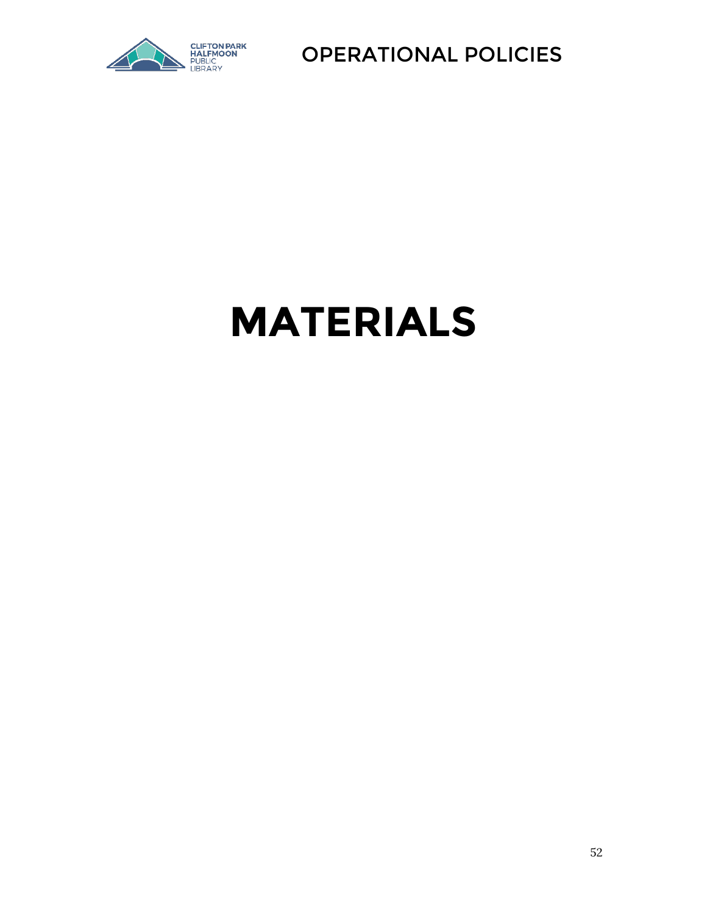

# **MATERIALS**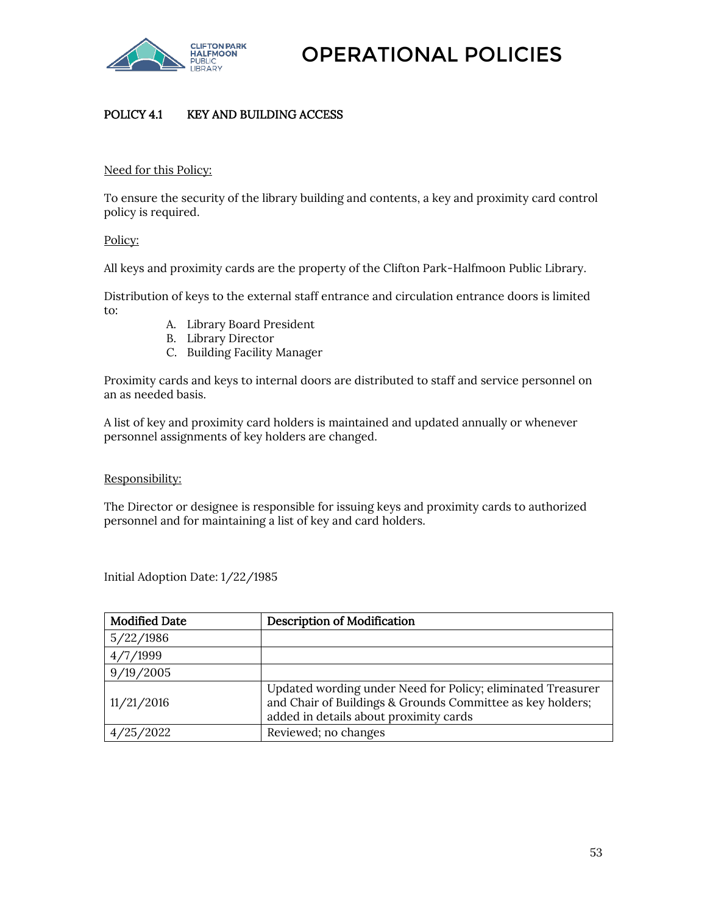

# POLICY 4.1 KEY AND BUILDING ACCESS

### Need for this Policy:

To ensure the security of the library building and contents, a key and proximity card control policy is required.

### Policy:

All keys and proximity cards are the property of the Clifton Park-Halfmoon Public Library.

Distribution of keys to the external staff entrance and circulation entrance doors is limited to:

- A. Library Board President
- B. Library Director
- C. Building Facility Manager

Proximity cards and keys to internal doors are distributed to staff and service personnel on an as needed basis.

A list of key and proximity card holders is maintained and updated annually or whenever personnel assignments of key holders are changed.

### Responsibility:

The Director or designee is responsible for issuing keys and proximity cards to authorized personnel and for maintaining a list of key and card holders.

Initial Adoption Date: 1/22/1985

| <b>Modified Date</b> | <b>Description of Modification</b>                                                                                                                                  |
|----------------------|---------------------------------------------------------------------------------------------------------------------------------------------------------------------|
| 5/22/1986            |                                                                                                                                                                     |
| 4/7/1999             |                                                                                                                                                                     |
| 9/19/2005            |                                                                                                                                                                     |
| 11/21/2016           | Updated wording under Need for Policy; eliminated Treasurer<br>and Chair of Buildings & Grounds Committee as key holders;<br>added in details about proximity cards |
| 25/2022              | Reviewed; no changes                                                                                                                                                |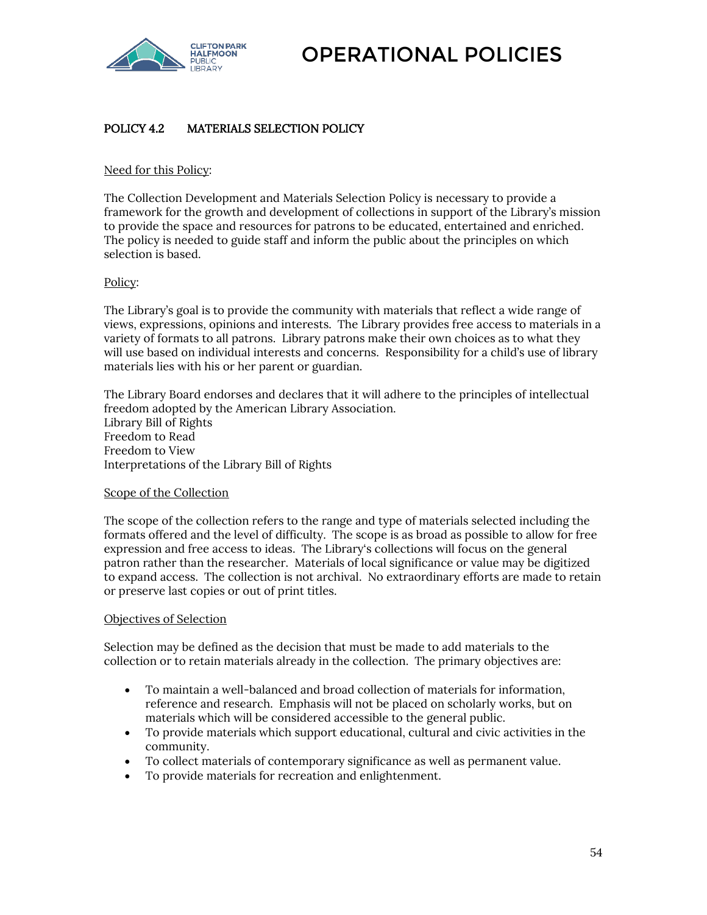

# POLICY 4.2 MATERIALS SELECTION POLICY

### Need for this Policy:

The Collection Development and Materials Selection Policy is necessary to provide a framework for the growth and development of collections in support of the Library's mission to provide the space and resources for patrons to be educated, entertained and enriched. The policy is needed to guide staff and inform the public about the principles on which selection is based.

### Policy:

The Library's goal is to provide the community with materials that reflect a wide range of views, expressions, opinions and interests. The Library provides free access to materials in a variety of formats to all patrons. Library patrons make their own choices as to what they will use based on individual interests and concerns. Responsibility for a child's use of library materials lies with his or her parent or guardian.

The Library Board endorses and declares that it will adhere to the principles of intellectual freedom adopted by the American Library Association. Library Bill of Rights Freedom to Read Freedom to View Interpretations of the Library Bill of Rights

### Scope of the Collection

The scope of the collection refers to the range and type of materials selected including the formats offered and the level of difficulty. The scope is as broad as possible to allow for free expression and free access to ideas. The Library's collections will focus on the general patron rather than the researcher. Materials of local significance or value may be digitized to expand access. The collection is not archival. No extraordinary efforts are made to retain or preserve last copies or out of print titles.

### Objectives of Selection

Selection may be defined as the decision that must be made to add materials to the collection or to retain materials already in the collection. The primary objectives are:

- To maintain a well-balanced and broad collection of materials for information, reference and research. Emphasis will not be placed on scholarly works, but on materials which will be considered accessible to the general public.
- To provide materials which support educational, cultural and civic activities in the community.
- To collect materials of contemporary significance as well as permanent value.
- To provide materials for recreation and enlightenment.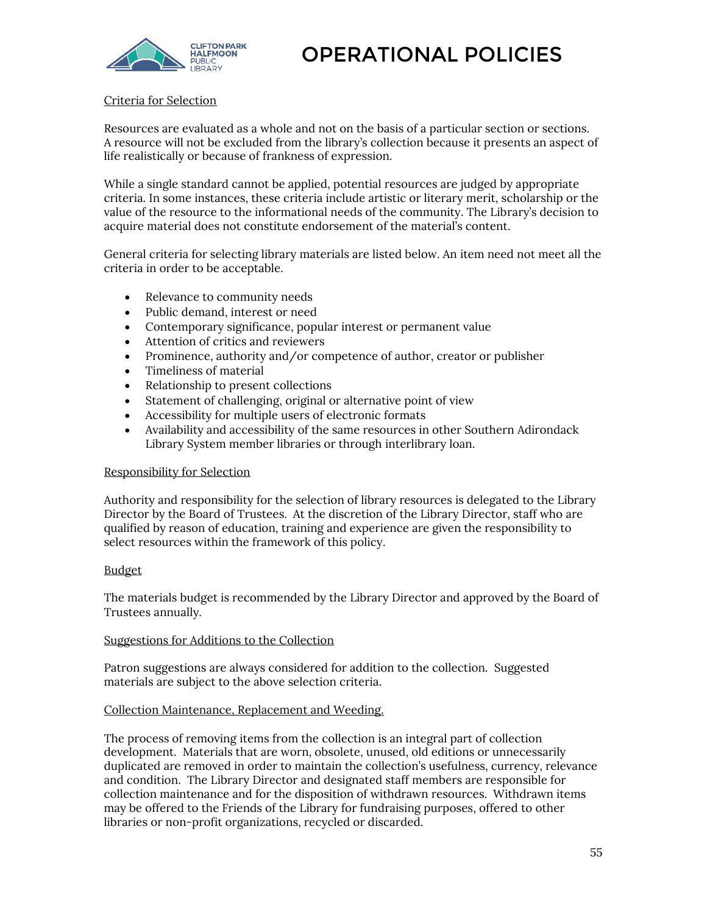

### Criteria for Selection

Resources are evaluated as a whole and not on the basis of a particular section or sections. A resource will not be excluded from the library's collection because it presents an aspect of life realistically or because of frankness of expression.

While a single standard cannot be applied, potential resources are judged by appropriate criteria. In some instances, these criteria include artistic or literary merit, scholarship or the value of the resource to the informational needs of the community. The Library's decision to acquire material does not constitute endorsement of the material's content.

General criteria for selecting library materials are listed below. An item need not meet all the criteria in order to be acceptable.

- Relevance to community needs
- Public demand, interest or need
- Contemporary significance, popular interest or permanent value
- Attention of critics and reviewers
- Prominence, authority and/or competence of author, creator or publisher
- Timeliness of material
- Relationship to present collections
- Statement of challenging, original or alternative point of view
- Accessibility for multiple users of electronic formats
- Availability and accessibility of the same resources in other Southern Adirondack Library System member libraries or through interlibrary loan.

### Responsibility for Selection

Authority and responsibility for the selection of library resources is delegated to the Library Director by the Board of Trustees. At the discretion of the Library Director, staff who are qualified by reason of education, training and experience are given the responsibility to select resources within the framework of this policy.

### Budget

The materials budget is recommended by the Library Director and approved by the Board of Trustees annually.

### Suggestions for Additions to the Collection

Patron suggestions are always considered for addition to the collection. Suggested materials are subject to the above selection criteria.

### Collection Maintenance, Replacement and Weeding.

The process of removing items from the collection is an integral part of collection development. Materials that are worn, obsolete, unused, old editions or unnecessarily duplicated are removed in order to maintain the collection's usefulness, currency, relevance and condition. The Library Director and designated staff members are responsible for collection maintenance and for the disposition of withdrawn resources. Withdrawn items may be offered to the Friends of the Library for fundraising purposes, offered to other libraries or non-profit organizations, recycled or discarded.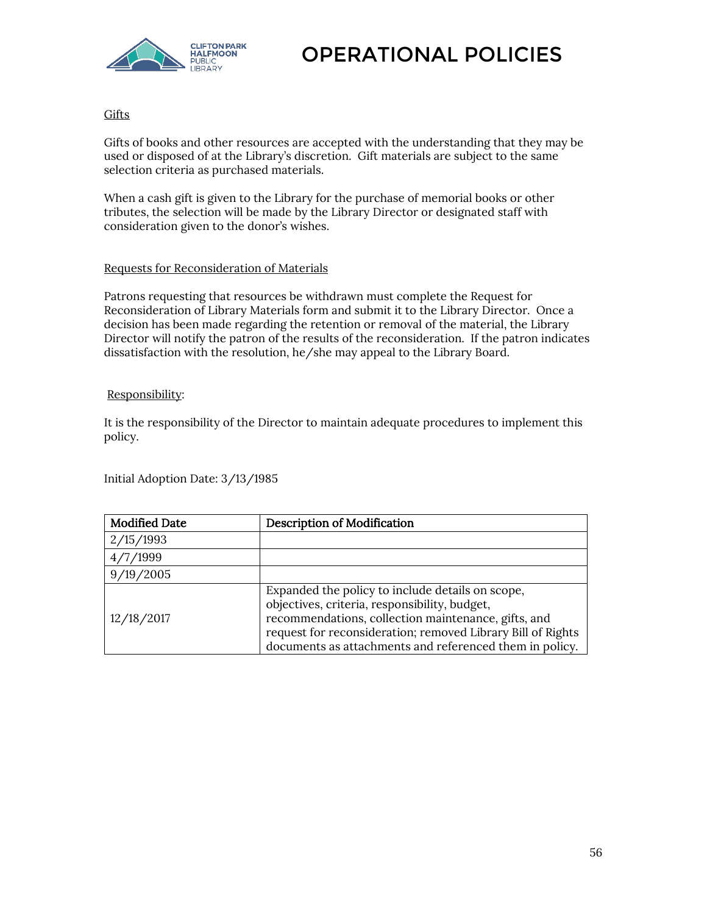

## **Gifts**

Gifts of books and other resources are accepted with the understanding that they may be used or disposed of at the Library's discretion. Gift materials are subject to the same selection criteria as purchased materials.

When a cash gift is given to the Library for the purchase of memorial books or other tributes, the selection will be made by the Library Director or designated staff with consideration given to the donor's wishes.

### Requests for Reconsideration of Materials

Patrons requesting that resources be withdrawn must complete the Request for Reconsideration of Library Materials form and submit it to the Library Director. Once a decision has been made regarding the retention or removal of the material, the Library Director will notify the patron of the results of the reconsideration. If the patron indicates dissatisfaction with the resolution, he/she may appeal to the Library Board.

### Responsibility:

It is the responsibility of the Director to maintain adequate procedures to implement this policy.

Initial Adoption Date: 3/13/1985

| <b>Modified Date</b> | <b>Description of Modification</b>                                                                                                                                                                                                                                                 |
|----------------------|------------------------------------------------------------------------------------------------------------------------------------------------------------------------------------------------------------------------------------------------------------------------------------|
| 2/15/1993            |                                                                                                                                                                                                                                                                                    |
| 4/7/1999             |                                                                                                                                                                                                                                                                                    |
| 9/19/2005            |                                                                                                                                                                                                                                                                                    |
| 12/18/2017           | Expanded the policy to include details on scope,<br>objectives, criteria, responsibility, budget,<br>recommendations, collection maintenance, gifts, and<br>request for reconsideration; removed Library Bill of Rights<br>documents as attachments and referenced them in policy. |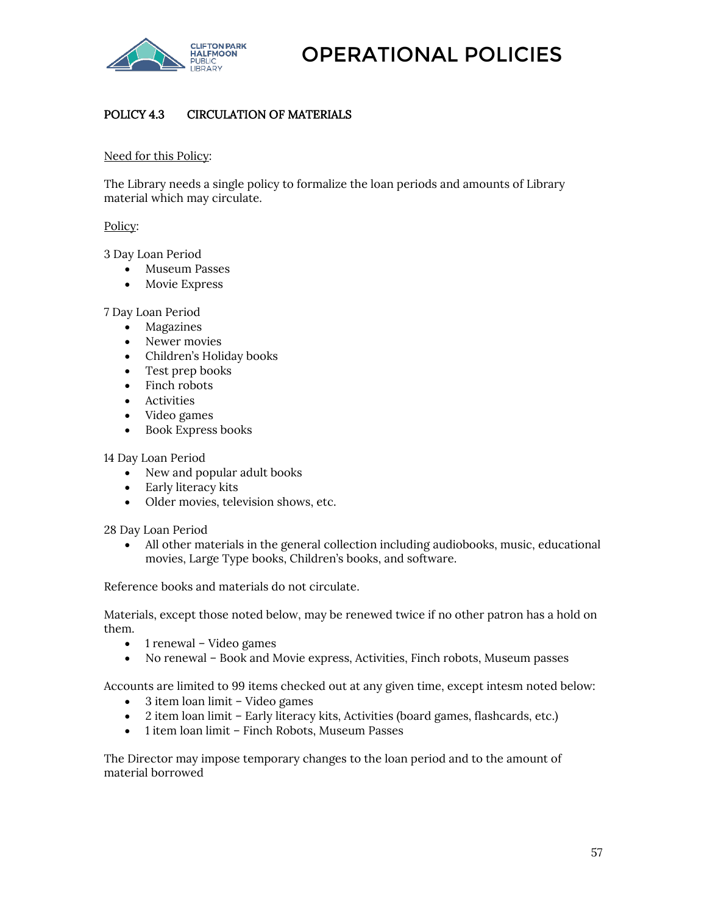

# POLICY 4.3 CIRCULATION OF MATERIALS

### Need for this Policy:

The Library needs a single policy to formalize the loan periods and amounts of Library material which may circulate.

### Policy:

3 Day Loan Period

- Museum Passes
- Movie Express

7 Day Loan Period

- Magazines
- Newer movies
- Children's Holiday books
- Test prep books
- Finch robots
- **•** Activities
- Video games
- Book Express books

14 Day Loan Period

- New and popular adult books
- Early literacy kits
- Older movies, television shows, etc.

28 Day Loan Period

 All other materials in the general collection including audiobooks, music, educational movies, Large Type books, Children's books, and software.

Reference books and materials do not circulate.

Materials, except those noted below, may be renewed twice if no other patron has a hold on them.

- $\bullet$  1 renewal Video games
- No renewal Book and Movie express, Activities, Finch robots, Museum passes

Accounts are limited to 99 items checked out at any given time, except intesm noted below:

- 3 item loan limit Video games
- 2 item loan limit Early literacy kits, Activities (board games, flashcards, etc.)
- 1 item loan limit Finch Robots, Museum Passes

The Director may impose temporary changes to the loan period and to the amount of material borrowed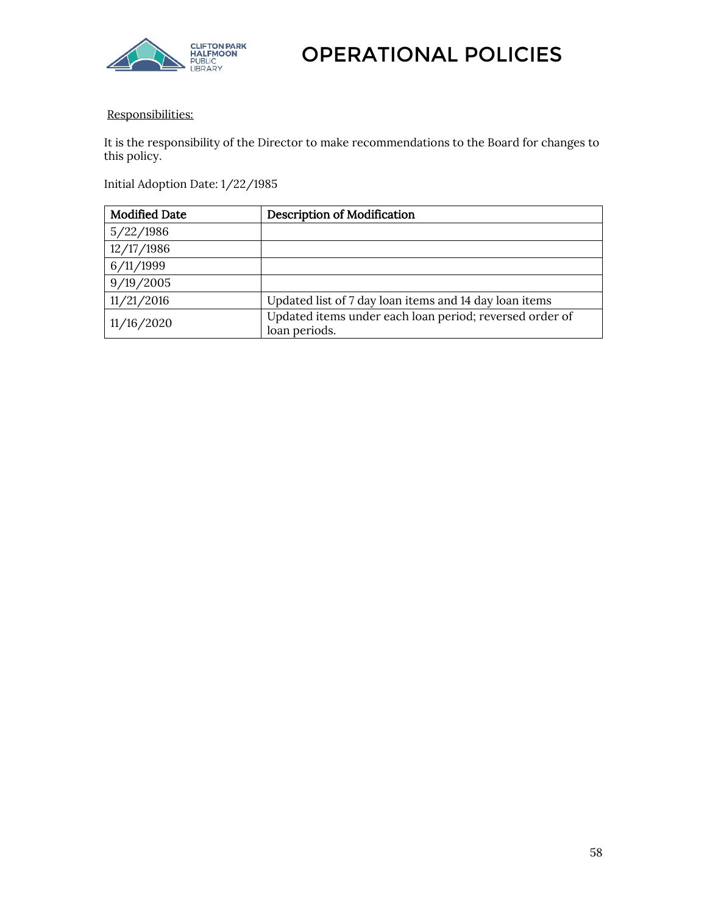

### Responsibilities:

It is the responsibility of the Director to make recommendations to the Board for changes to this policy.

Initial Adoption Date: 1/22/1985

| <b>Modified Date</b> | <b>Description of Modification</b>                                       |
|----------------------|--------------------------------------------------------------------------|
| 5/22/1986            |                                                                          |
| 12/17/1986           |                                                                          |
| 6/11/1999            |                                                                          |
| 9/19/2005            |                                                                          |
| 11/21/2016           | Updated list of 7 day loan items and 14 day loan items                   |
| 11/16/2020           | Updated items under each loan period; reversed order of<br>loan periods. |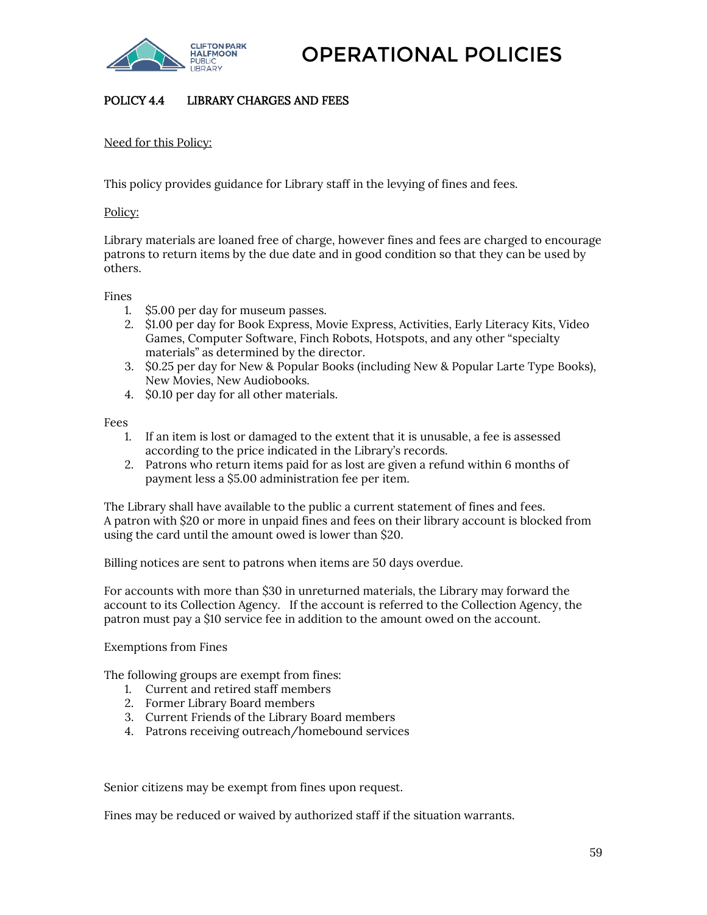

## POLICY 4.4 LIBRARY CHARGES AND FEES

Need for this Policy:

This policy provides guidance for Library staff in the levying of fines and fees.

Policy:

Library materials are loaned free of charge, however fines and fees are charged to encourage patrons to return items by the due date and in good condition so that they can be used by others.

Fines

- 1. \$5.00 per day for museum passes.
- 2. \$1.00 per day for Book Express, Movie Express, Activities, Early Literacy Kits, Video Games, Computer Software, Finch Robots, Hotspots, and any other "specialty materials" as determined by the director.
- 3. \$0.25 per day for New & Popular Books (including New & Popular Larte Type Books), New Movies, New Audiobooks.
- 4. \$0.10 per day for all other materials.

Fees

- 1. If an item is lost or damaged to the extent that it is unusable, a fee is assessed according to the price indicated in the Library's records.
- 2. Patrons who return items paid for as lost are given a refund within 6 months of payment less a \$5.00 administration fee per item.

The Library shall have available to the public a current statement of fines and fees. A patron with \$20 or more in unpaid fines and fees on their library account is blocked from using the card until the amount owed is lower than \$20.

Billing notices are sent to patrons when items are 50 days overdue.

For accounts with more than \$30 in unreturned materials, the Library may forward the account to its Collection Agency. If the account is referred to the Collection Agency, the patron must pay a \$10 service fee in addition to the amount owed on the account.

Exemptions from Fines

The following groups are exempt from fines:

- 1. Current and retired staff members
- 2. Former Library Board members
- 3. Current Friends of the Library Board members
- 4. Patrons receiving outreach/homebound services

Senior citizens may be exempt from fines upon request.

Fines may be reduced or waived by authorized staff if the situation warrants.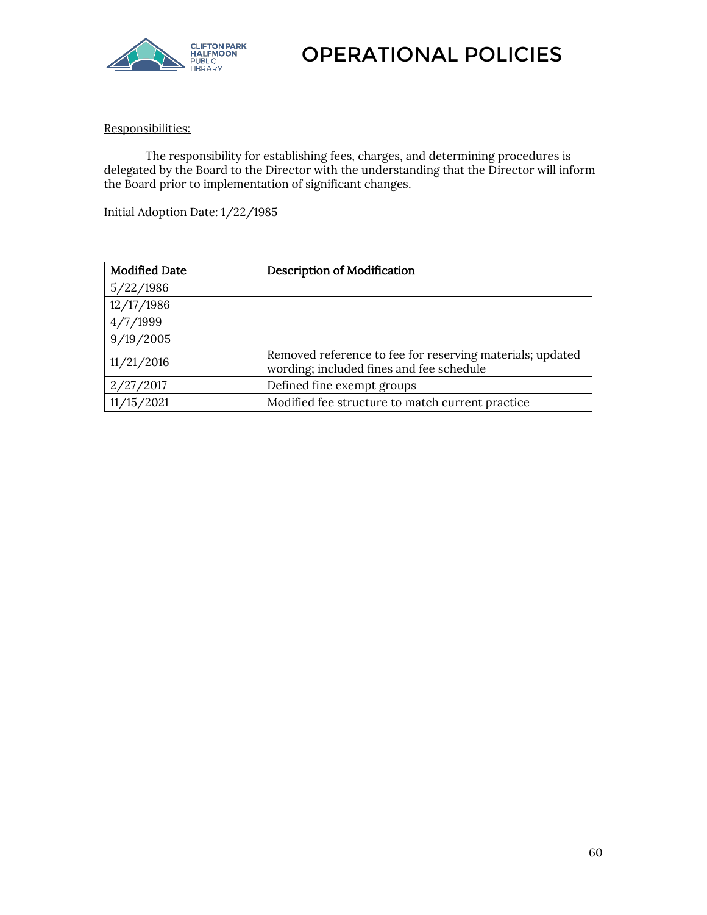

# Responsibilities:

The responsibility for establishing fees, charges, and determining procedures is delegated by the Board to the Director with the understanding that the Director will inform the Board prior to implementation of significant changes.

Initial Adoption Date: 1/22/1985

| <b>Modified Date</b> | <b>Description of Modification</b>                                                                    |
|----------------------|-------------------------------------------------------------------------------------------------------|
| 5/22/1986            |                                                                                                       |
| 12/17/1986           |                                                                                                       |
| 4/7/1999             |                                                                                                       |
| 9/19/2005            |                                                                                                       |
| 11/21/2016           | Removed reference to fee for reserving materials; updated<br>wording; included fines and fee schedule |
| 2/27/2017            | Defined fine exempt groups                                                                            |
| 11/15/2021           | Modified fee structure to match current practice                                                      |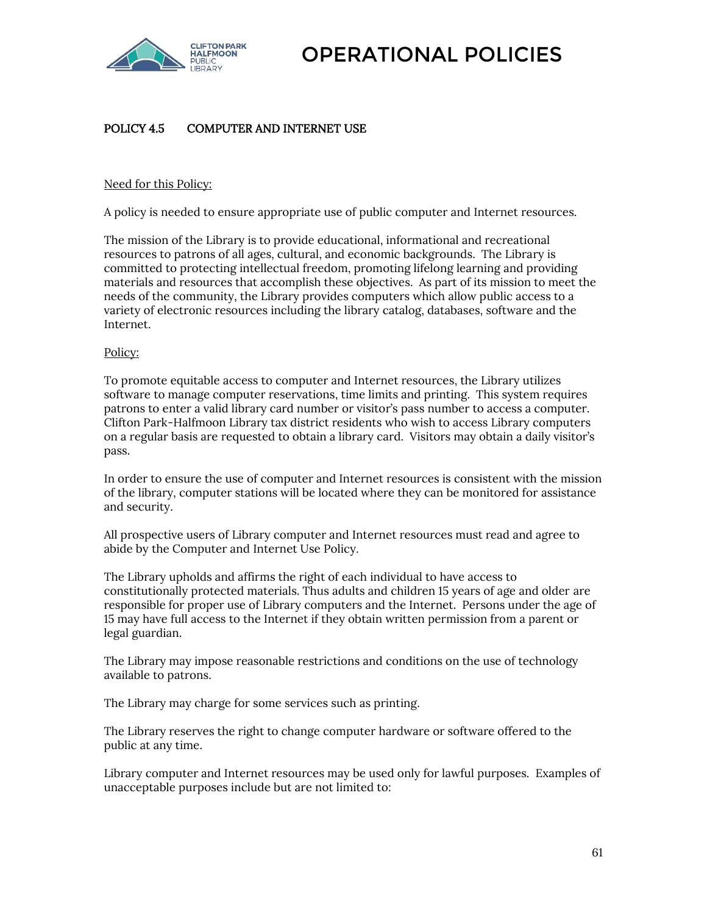

# POLICY 4.5 COMPUTER AND INTERNET USE

### Need for this Policy:

A policy is needed to ensure appropriate use of public computer and Internet resources.

The mission of the Library is to provide educational, informational and recreational resources to patrons of all ages, cultural, and economic backgrounds. The Library is committed to protecting intellectual freedom, promoting lifelong learning and providing materials and resources that accomplish these objectives. As part of its mission to meet the needs of the community, the Library provides computers which allow public access to a variety of electronic resources including the library catalog, databases, software and the Internet.

### Policy:

To promote equitable access to computer and Internet resources, the Library utilizes software to manage computer reservations, time limits and printing. This system requires patrons to enter a valid library card number or visitor's pass number to access a computer. Clifton Park-Halfmoon Library tax district residents who wish to access Library computers on a regular basis are requested to obtain a library card. Visitors may obtain a daily visitor's pass.

In order to ensure the use of computer and Internet resources is consistent with the mission of the library, computer stations will be located where they can be monitored for assistance and security.

All prospective users of Library computer and Internet resources must read and agree to abide by the Computer and Internet Use Policy.

The Library upholds and affirms the right of each individual to have access to constitutionally protected materials. Thus adults and children 15 years of age and older are responsible for proper use of Library computers and the Internet. Persons under the age of 15 may have full access to the Internet if they obtain written permission from a parent or legal guardian.

The Library may impose reasonable restrictions and conditions on the use of technology available to patrons.

The Library may charge for some services such as printing.

The Library reserves the right to change computer hardware or software offered to the public at any time.

Library computer and Internet resources may be used only for lawful purposes. Examples of unacceptable purposes include but are not limited to: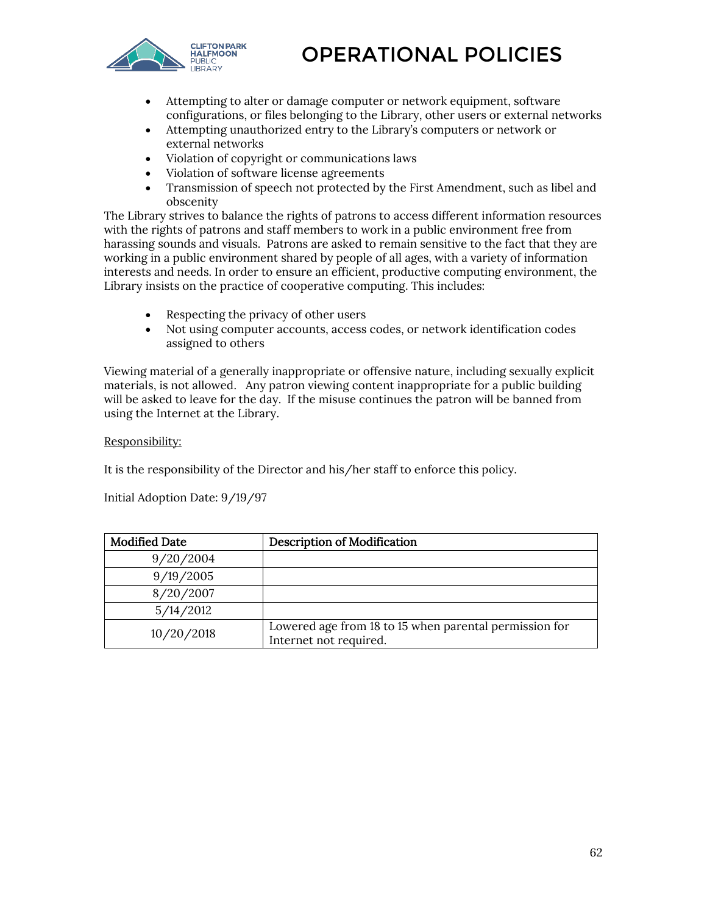

- Attempting to alter or damage computer or network equipment, software configurations, or files belonging to the Library, other users or external networks
- Attempting unauthorized entry to the Library's computers or network or external networks
- Violation of copyright or communications laws
- Violation of software license agreements
- Transmission of speech not protected by the First Amendment, such as libel and obscenity

The Library strives to balance the rights of patrons to access different information resources with the rights of patrons and staff members to work in a public environment free from harassing sounds and visuals. Patrons are asked to remain sensitive to the fact that they are working in a public environment shared by people of all ages, with a variety of information interests and needs. In order to ensure an efficient, productive computing environment, the Library insists on the practice of cooperative computing. This includes:

- Respecting the privacy of other users
- Not using computer accounts, access codes, or network identification codes assigned to others

Viewing material of a generally inappropriate or offensive nature, including sexually explicit materials, is not allowed. Any patron viewing content inappropriate for a public building will be asked to leave for the day. If the misuse continues the patron will be banned from using the Internet at the Library.

### Responsibility:

It is the responsibility of the Director and his/her staff to enforce this policy.

Initial Adoption Date: 9/19/97

| <b>Modified Date</b> | <b>Description of Modification</b>                                               |
|----------------------|----------------------------------------------------------------------------------|
| 9/20/2004            |                                                                                  |
| 9/19/2005            |                                                                                  |
| 8/20/2007            |                                                                                  |
| 5/14/2012            |                                                                                  |
| 10/20/2018           | Lowered age from 18 to 15 when parental permission for<br>Internet not required. |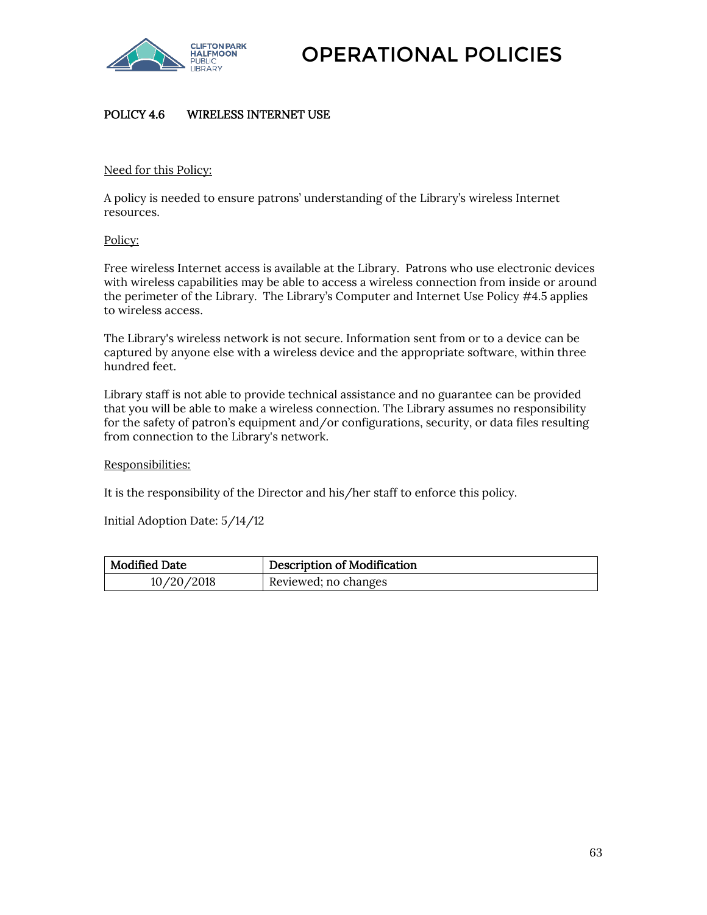

# POLICY 4.6 WIRELESS INTERNET USE

### Need for this Policy:

A policy is needed to ensure patrons' understanding of the Library's wireless Internet resources.

### Policy:

Free wireless Internet access is available at the Library. Patrons who use electronic devices with wireless capabilities may be able to access a wireless connection from inside or around the perimeter of the Library. The Library's Computer and Internet Use Policy #4.5 applies to wireless access.

The Library's wireless network is not secure. Information sent from or to a device can be captured by anyone else with a wireless device and the appropriate software, within three hundred feet.

Library staff is not able to provide technical assistance and no guarantee can be provided that you will be able to make a wireless connection. The Library assumes no responsibility for the safety of patron's equipment and/or configurations, security, or data files resulting from connection to the Library's network.

### Responsibilities:

It is the responsibility of the Director and his/her staff to enforce this policy.

Initial Adoption Date: 5/14/12

| <b>Modified Date</b> | <b>Description of Modification</b> |
|----------------------|------------------------------------|
| 10/20/2018           | Reviewed; no changes               |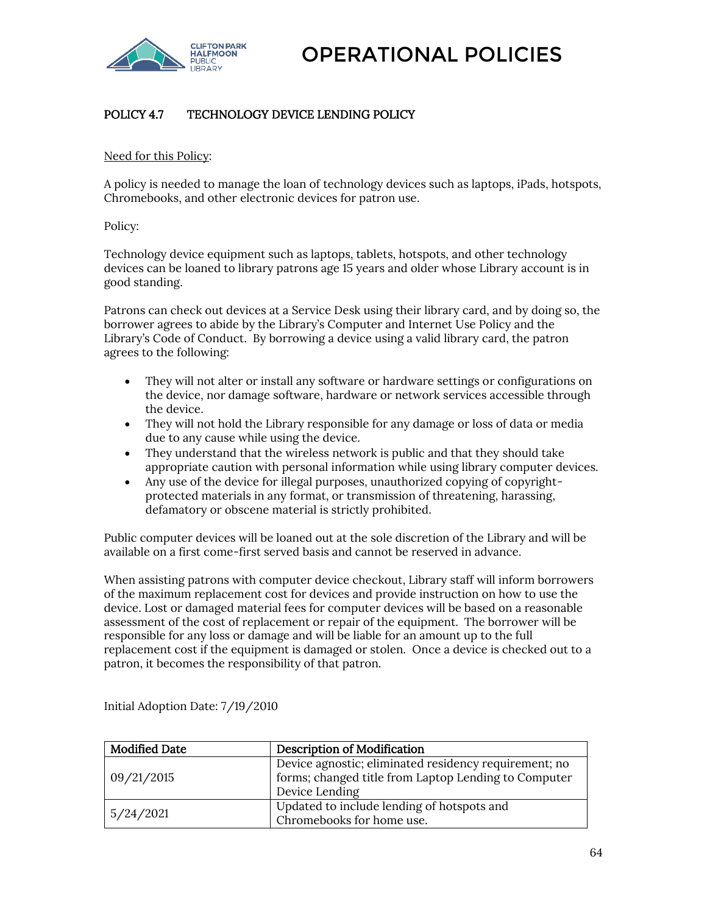

# POLICY 4.7 TECHNOLOGY DEVICE LENDING POLICY

Need for this Policy:

A policy is needed to manage the loan of technology devices such as laptops, iPads, hotspots, Chromebooks, and other electronic devices for patron use.

Policy:

Technology device equipment such as laptops, tablets, hotspots, and other technology devices can be loaned to library patrons age 15 years and older whose Library account is in good standing.

Patrons can check out devices at a Service Desk using their library card, and by doing so, the borrower agrees to abide by the Library's Computer and Internet Use Policy and the Library's Code of Conduct. By borrowing a device using a valid library card, the patron agrees to the following:

- They will not alter or install any software or hardware settings or configurations on the device, nor damage software, hardware or network services accessible through the device.
- They will not hold the Library responsible for any damage or loss of data or media due to any cause while using the device.
- They understand that the wireless network is public and that they should take appropriate caution with personal information while using library computer devices.
- Any use of the device for illegal purposes, unauthorized copying of copyrightprotected materials in any format, or transmission of threatening, harassing, defamatory or obscene material is strictly prohibited.

Public computer devices will be loaned out at the sole discretion of the Library and will be available on a first come-first served basis and cannot be reserved in advance.

When assisting patrons with computer device checkout, Library staff will inform borrowers of the maximum replacement cost for devices and provide instruction on how to use the device. Lost or damaged material fees for computer devices will be based on a reasonable assessment of the cost of replacement or repair of the equipment. The borrower will be responsible for any loss or damage and will be liable for an amount up to the full replacement cost if the equipment is damaged or stolen. Once a device is checked out to a patron, it becomes the responsibility of that patron.

| <b>Modified Date</b> | <b>Description of Modification</b>                    |
|----------------------|-------------------------------------------------------|
| 09/21/2015           | Device agnostic; eliminated residency requirement; no |
|                      | forms; changed title from Laptop Lending to Computer  |
|                      | Device Lending                                        |
| 5/24/2021            | Updated to include lending of hotspots and            |
|                      | Chromebooks for home use.                             |

Initial Adoption Date: 7/19/2010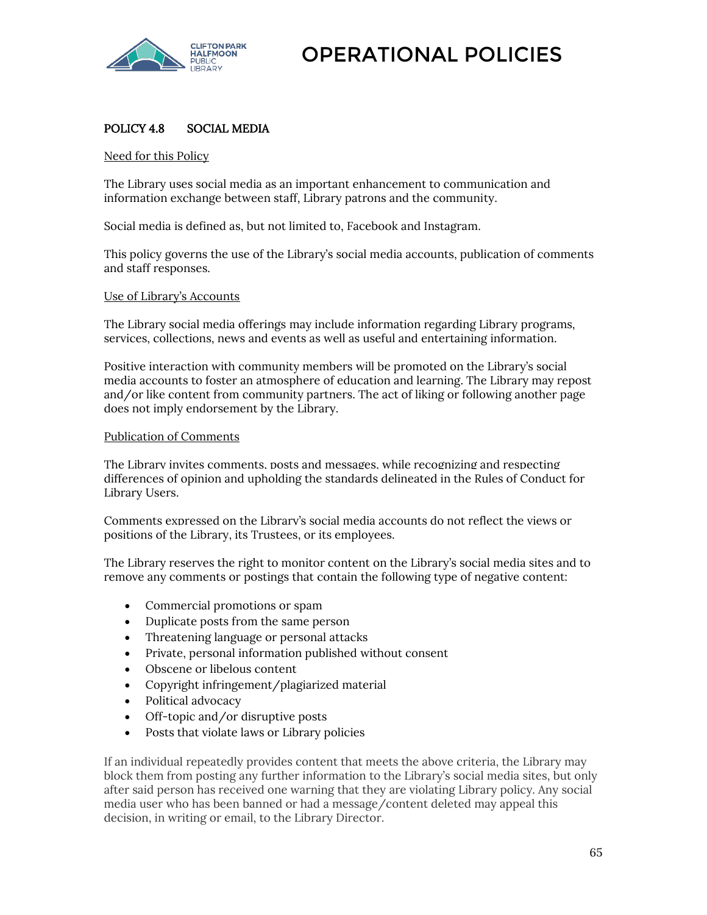

## POLICY 4.8 SOCIAL MEDIA

Need for this Policy

The Library uses social media as an important enhancement to communication and information exchange between staff, Library patrons and the community.

Social media is defined as, but not limited to, Facebook and Instagram.

This policy governs the use of the Library's social media accounts, publication of comments and staff responses.

### Use of Library's Accounts

The Library social media offerings may include information regarding Library programs, services, collections, news and events as well as useful and entertaining information.

Positive interaction with community members will be promoted on the Library's social media accounts to foster an atmosphere of education and learning. The Library may repost and/or like content from community partners. The act of liking or following another page does not imply endorsement by the Library.

### Publication of Comments

The Library invites comments, posts and messages, while recognizing and respecting differences of opinion and upholding the standards delineated in the Rules of Conduct for Library Users.

Comments expressed on the Library's social media accounts do not reflect the views or positions of the Library, its Trustees, or its employees.

The Library reserves the right to monitor content on the Library's social media sites and to remove any comments or postings that contain the following type of negative content:

- Commercial promotions or spam
- Duplicate posts from the same person
- Threatening language or personal attacks
- Private, personal information published without consent
- Obscene or libelous content
- Copyright infringement/plagiarized material
- Political advocacy
- Off-topic and/or disruptive posts
- Posts that violate laws or Library policies

If an individual repeatedly provides content that meets the above criteria, the Library may block them from posting any further information to the Library's social media sites, but only after said person has received one warning that they are violating Library policy. Any social media user who has been banned or had a message/content deleted may appeal this decision, in writing or email, to the Library Director.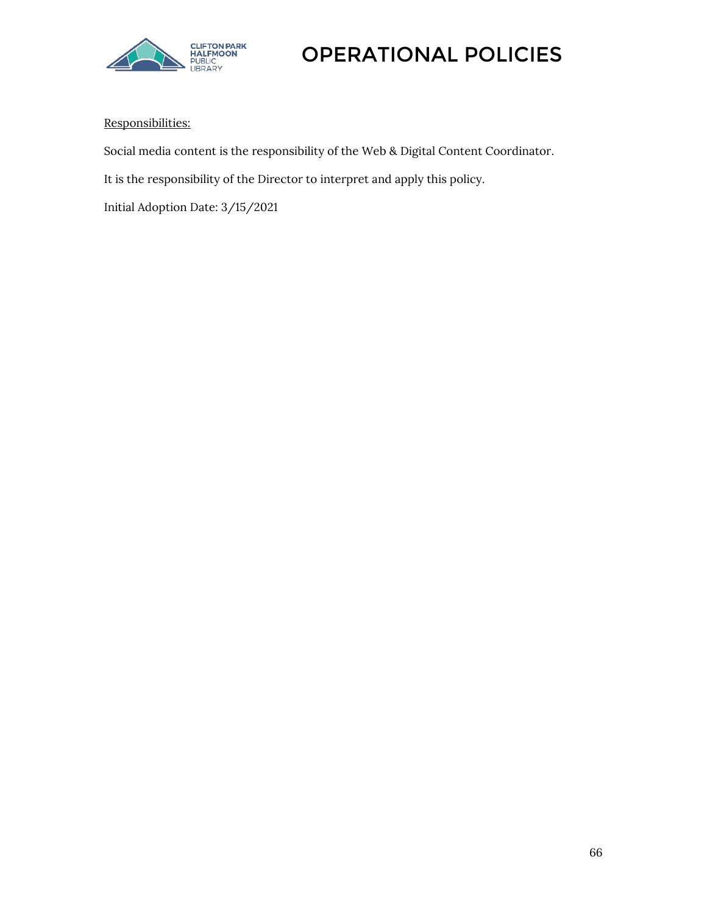

## Responsibilities:

Social media content is the responsibility of the Web & Digital Content Coordinator.

It is the responsibility of the Director to interpret and apply this policy.

Initial Adoption Date: 3/15/2021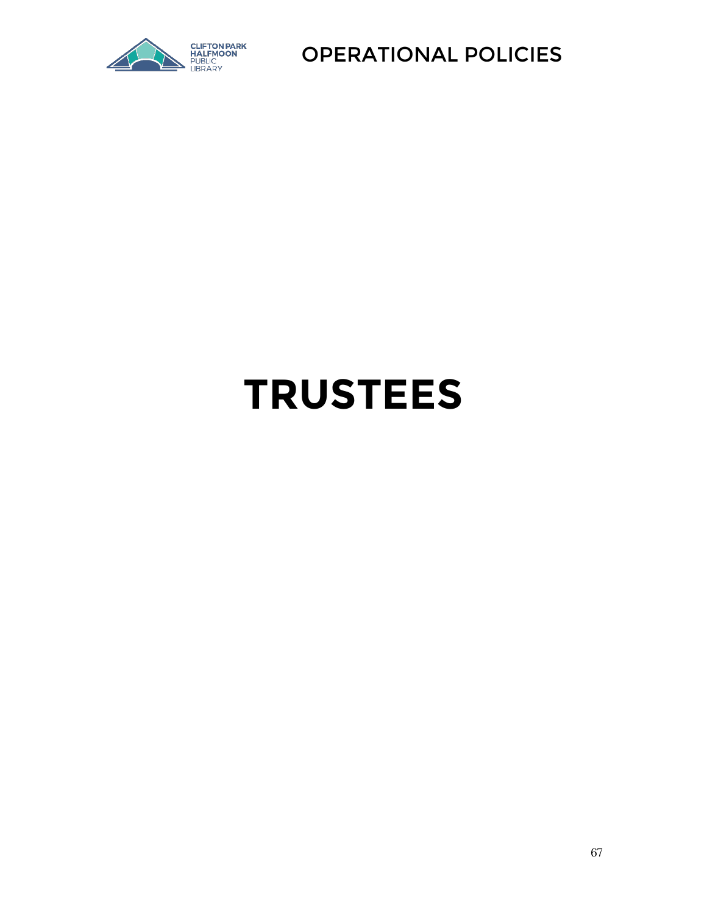

# **TRUSTEES**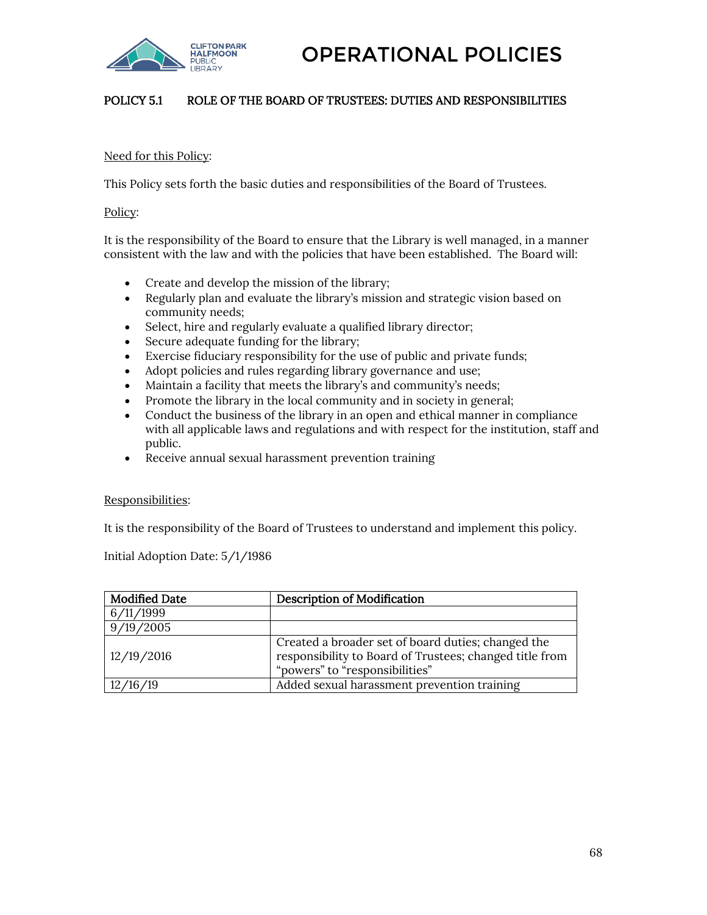

### POLICY 5.1 ROLE OF THE BOARD OF TRUSTEES: DUTIES AND RESPONSIBILITIES

### Need for this Policy:

This Policy sets forth the basic duties and responsibilities of the Board of Trustees.

Policy:

It is the responsibility of the Board to ensure that the Library is well managed, in a manner consistent with the law and with the policies that have been established. The Board will:

- Create and develop the mission of the library;
- Regularly plan and evaluate the library's mission and strategic vision based on community needs;
- Select, hire and regularly evaluate a qualified library director;
- Secure adequate funding for the library;
- Exercise fiduciary responsibility for the use of public and private funds;
- Adopt policies and rules regarding library governance and use;
- Maintain a facility that meets the library's and community's needs;
- Promote the library in the local community and in society in general;
- Conduct the business of the library in an open and ethical manner in compliance with all applicable laws and regulations and with respect for the institution, staff and public.
- Receive annual sexual harassment prevention training

### Responsibilities:

It is the responsibility of the Board of Trustees to understand and implement this policy.

Initial Adoption Date: 5/1/1986

| <b>Modified Date</b> | <b>Description of Modification</b>                                                                                                              |
|----------------------|-------------------------------------------------------------------------------------------------------------------------------------------------|
| 6/11/1999            |                                                                                                                                                 |
| 9/19/2005            |                                                                                                                                                 |
| 12/19/2016           | Created a broader set of board duties; changed the<br>responsibility to Board of Trustees; changed title from<br>"powers" to "responsibilities" |
| /16 /19              | Added sexual harassment prevention training                                                                                                     |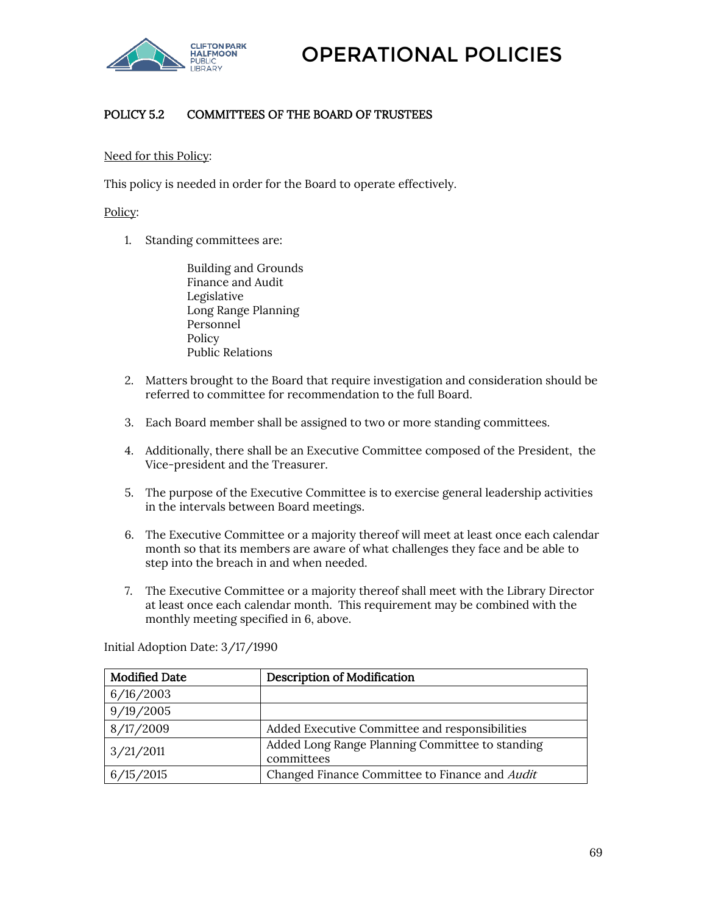

# POLICY 5.2 COMMITTEES OF THE BOARD OF TRUSTEES

### Need for this Policy:

This policy is needed in order for the Board to operate effectively.

### Policy:

1. Standing committees are:

Building and Grounds Finance and Audit Legislative Long Range Planning Personnel Policy Public Relations

- 2. Matters brought to the Board that require investigation and consideration should be referred to committee for recommendation to the full Board.
- 3. Each Board member shall be assigned to two or more standing committees.
- 4. Additionally, there shall be an Executive Committee composed of the President, the Vice-president and the Treasurer.
- 5. The purpose of the Executive Committee is to exercise general leadership activities in the intervals between Board meetings.
- 6. The Executive Committee or a majority thereof will meet at least once each calendar month so that its members are aware of what challenges they face and be able to step into the breach in and when needed.
- 7. The Executive Committee or a majority thereof shall meet with the Library Director at least once each calendar month. This requirement may be combined with the monthly meeting specified in 6, above.

Initial Adoption Date: 3/17/1990

| <b>Modified Date</b> | <b>Description of Modification</b>                            |
|----------------------|---------------------------------------------------------------|
| 6/16/2003            |                                                               |
| 9/19/2005            |                                                               |
| 8/17/2009            | Added Executive Committee and responsibilities                |
| 3/21/2011            | Added Long Range Planning Committee to standing<br>committees |
| 6/15/2015            | Changed Finance Committee to Finance and Audit                |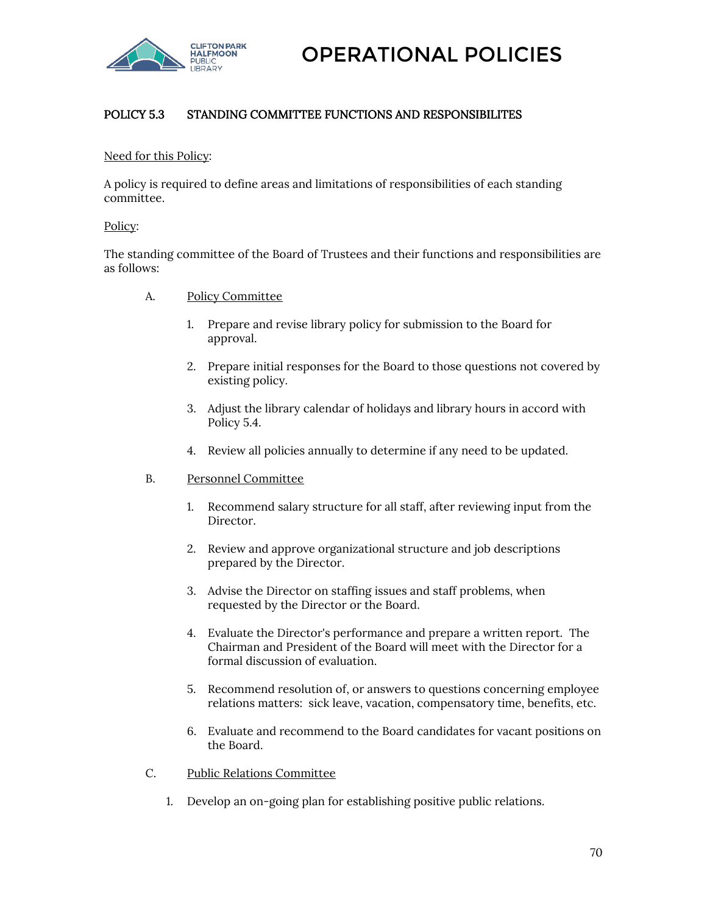

# POLICY 5.3 STANDING COMMITTEE FUNCTIONS AND RESPONSIBILITES

### Need for this Policy:

A policy is required to define areas and limitations of responsibilities of each standing committee.

### Policy:

The standing committee of the Board of Trustees and their functions and responsibilities are as follows:

- A. Policy Committee
	- 1. Prepare and revise library policy for submission to the Board for approval.
	- 2. Prepare initial responses for the Board to those questions not covered by existing policy.
	- 3. Adjust the library calendar of holidays and library hours in accord with Policy 5.4.
	- 4. Review all policies annually to determine if any need to be updated.
- B. Personnel Committee
	- 1. Recommend salary structure for all staff, after reviewing input from the Director.
	- 2. Review and approve organizational structure and job descriptions prepared by the Director.
	- 3. Advise the Director on staffing issues and staff problems, when requested by the Director or the Board.
	- 4. Evaluate the Director's performance and prepare a written report. The Chairman and President of the Board will meet with the Director for a formal discussion of evaluation.
	- 5. Recommend resolution of, or answers to questions concerning employee relations matters: sick leave, vacation, compensatory time, benefits, etc.
	- 6. Evaluate and recommend to the Board candidates for vacant positions on the Board.
- C. Public Relations Committee
	- 1. Develop an on-going plan for establishing positive public relations.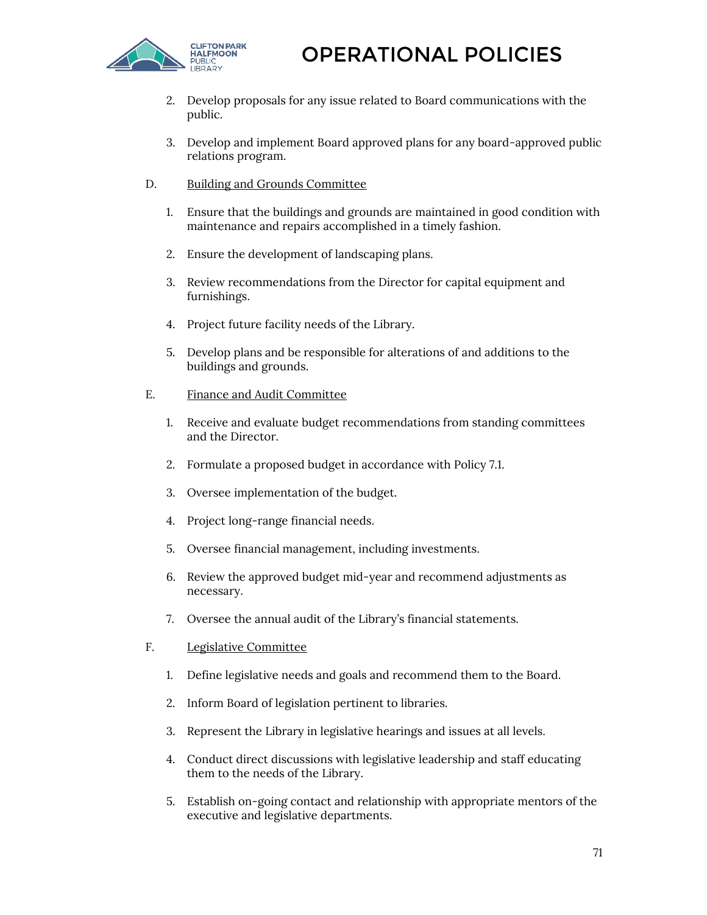

- 2. Develop proposals for any issue related to Board communications with the public.
- 3. Develop and implement Board approved plans for any board-approved public relations program.
- D. Building and Grounds Committee
	- 1. Ensure that the buildings and grounds are maintained in good condition with maintenance and repairs accomplished in a timely fashion.
	- 2. Ensure the development of landscaping plans.
	- 3. Review recommendations from the Director for capital equipment and furnishings.
	- 4. Project future facility needs of the Library.
	- 5. Develop plans and be responsible for alterations of and additions to the buildings and grounds.
- E. Finance and Audit Committee
	- 1. Receive and evaluate budget recommendations from standing committees and the Director.
	- 2. Formulate a proposed budget in accordance with Policy 7.1.
	- 3. Oversee implementation of the budget.
	- 4. Project long-range financial needs.
	- 5. Oversee financial management, including investments.
	- 6. Review the approved budget mid-year and recommend adjustments as necessary.
	- 7. Oversee the annual audit of the Library's financial statements.
- F. Legislative Committee
	- 1. Define legislative needs and goals and recommend them to the Board.
	- 2. Inform Board of legislation pertinent to libraries.
	- 3. Represent the Library in legislative hearings and issues at all levels.
	- 4. Conduct direct discussions with legislative leadership and staff educating them to the needs of the Library.
	- 5. Establish on-going contact and relationship with appropriate mentors of the executive and legislative departments.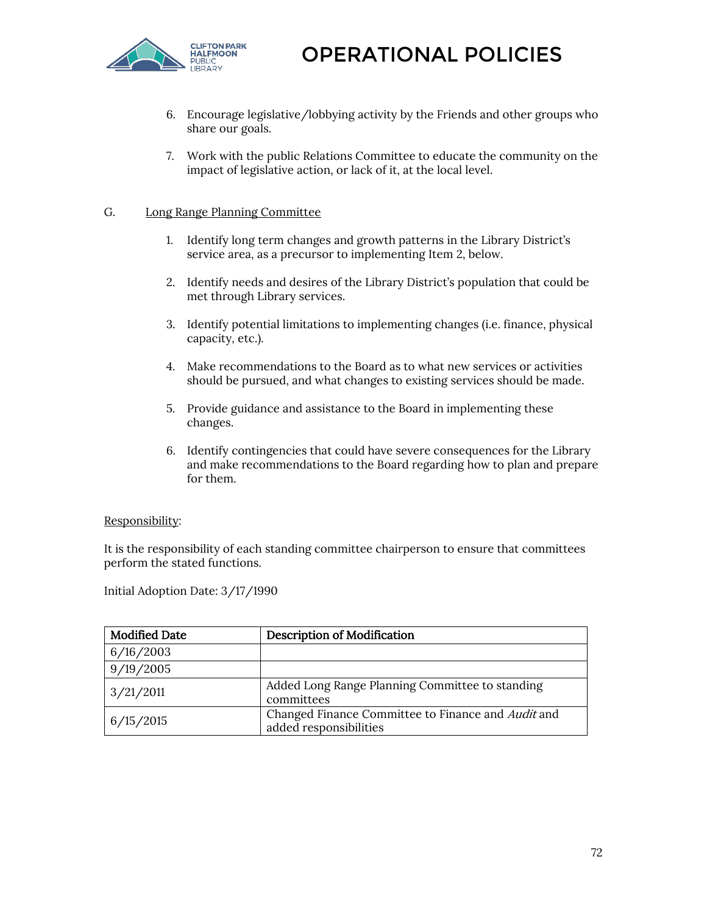

- 6. Encourage legislative/lobbying activity by the Friends and other groups who share our goals.
- 7. Work with the public Relations Committee to educate the community on the impact of legislative action, or lack of it, at the local level.

### G. Long Range Planning Committee

- 1. Identify long term changes and growth patterns in the Library District's service area, as a precursor to implementing Item 2, below.
- 2. Identify needs and desires of the Library District's population that could be met through Library services.
- 3. Identify potential limitations to implementing changes (i.e. finance, physical capacity, etc.).
- 4. Make recommendations to the Board as to what new services or activities should be pursued, and what changes to existing services should be made.
- 5. Provide guidance and assistance to the Board in implementing these changes.
- 6. Identify contingencies that could have severe consequences for the Library and make recommendations to the Board regarding how to plan and prepare for them.

### Responsibility:

It is the responsibility of each standing committee chairperson to ensure that committees perform the stated functions.

Initial Adoption Date: 3/17/1990

| <b>Modified Date</b> | <b>Description of Modification</b>                                           |
|----------------------|------------------------------------------------------------------------------|
| 6/16/2003            |                                                                              |
| 9/19/2005            |                                                                              |
| 3/21/2011            | Added Long Range Planning Committee to standing<br>committees                |
| 6/15/2015            | Changed Finance Committee to Finance and Audit and<br>added responsibilities |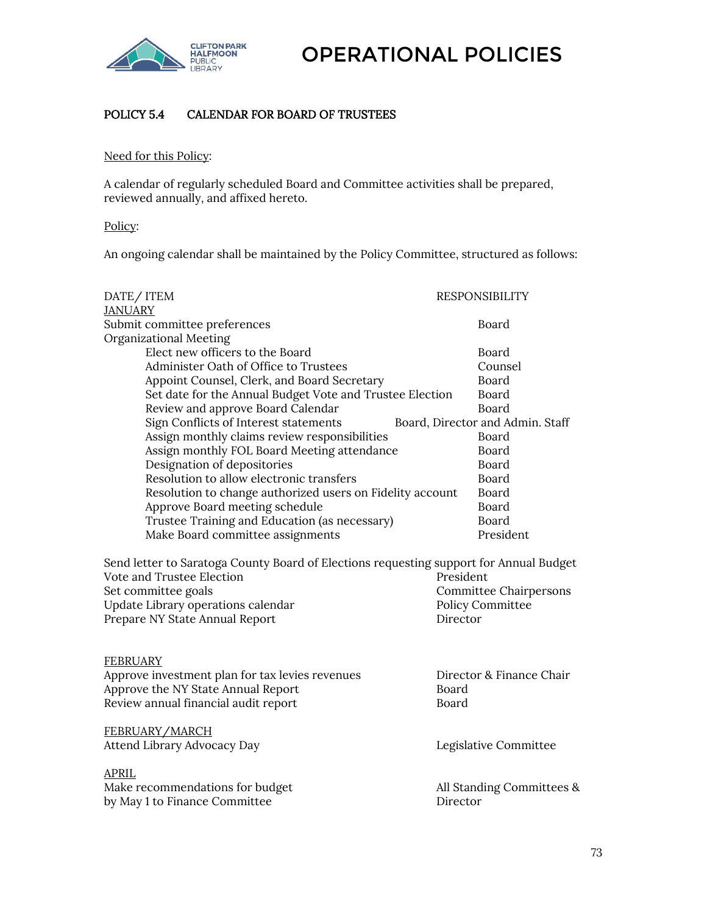

# POLICY 5.4 CALENDAR FOR BOARD OF TRUSTEES

#### Need for this Policy:

A calendar of regularly scheduled Board and Committee activities shall be prepared, reviewed annually, and affixed hereto.

#### Policy:

An ongoing calendar shall be maintained by the Policy Committee, structured as follows:

| DATE/ITEM                                                                                                                                                                                                          | <b>RESPONSIBILITY</b>                                                      |
|--------------------------------------------------------------------------------------------------------------------------------------------------------------------------------------------------------------------|----------------------------------------------------------------------------|
| <b>JANUARY</b>                                                                                                                                                                                                     |                                                                            |
| Submit committee preferences                                                                                                                                                                                       | Board                                                                      |
| Organizational Meeting                                                                                                                                                                                             |                                                                            |
| Elect new officers to the Board                                                                                                                                                                                    | Board                                                                      |
| Administer Oath of Office to Trustees                                                                                                                                                                              | Counsel                                                                    |
| Appoint Counsel, Clerk, and Board Secretary                                                                                                                                                                        | Board                                                                      |
| Set date for the Annual Budget Vote and Trustee Election                                                                                                                                                           | Board                                                                      |
| Review and approve Board Calendar                                                                                                                                                                                  | Board                                                                      |
| Sign Conflicts of Interest statements                                                                                                                                                                              | Board, Director and Admin. Staff                                           |
| Assign monthly claims review responsibilities                                                                                                                                                                      | Board                                                                      |
| Assign monthly FOL Board Meeting attendance                                                                                                                                                                        | Board                                                                      |
| Designation of depositories                                                                                                                                                                                        | Board                                                                      |
| Resolution to allow electronic transfers                                                                                                                                                                           | Board                                                                      |
| Resolution to change authorized users on Fidelity account                                                                                                                                                          | Board                                                                      |
| Approve Board meeting schedule                                                                                                                                                                                     | <b>Board</b>                                                               |
| Trustee Training and Education (as necessary)                                                                                                                                                                      | Board                                                                      |
| Make Board committee assignments                                                                                                                                                                                   | President                                                                  |
| Send letter to Saratoga County Board of Elections requesting support for Annual Budget<br>Vote and Trustee Election<br>Set committee goals<br>Update Library operations calendar<br>Prepare NY State Annual Report | President<br><b>Committee Chairpersons</b><br>Policy Committee<br>Director |
| <b>FEBRUARY</b>                                                                                                                                                                                                    |                                                                            |
| Approve investment plan for tax levies revenues                                                                                                                                                                    | Director & Finance Chair                                                   |
| Approve the NY State Annual Report                                                                                                                                                                                 | Board                                                                      |
| Review annual financial audit report                                                                                                                                                                               | Board                                                                      |
| FEBRUARY/MARCH<br>Attend Library Advocacy Day                                                                                                                                                                      | Legislative Committee                                                      |
| <b>APRIL</b>                                                                                                                                                                                                       |                                                                            |
| Make recommendations for budget<br>by May 1 to Finance Committee                                                                                                                                                   | All Standing Committees &<br>Director                                      |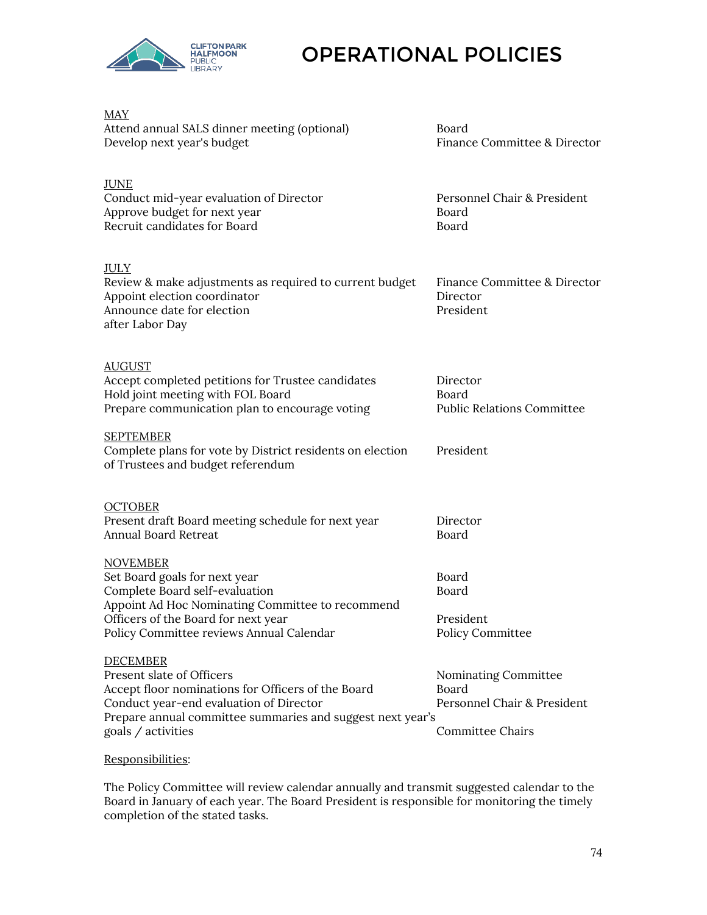

| <b>MAY</b><br>Attend annual SALS dinner meeting (optional)<br>Develop next year's budget                                                                                                                                          | Board<br>Finance Committee & Director                                                   |
|-----------------------------------------------------------------------------------------------------------------------------------------------------------------------------------------------------------------------------------|-----------------------------------------------------------------------------------------|
| <b>JUNE</b><br>Conduct mid-year evaluation of Director<br>Approve budget for next year<br>Recruit candidates for Board                                                                                                            | Personnel Chair & President<br>Board<br>Board                                           |
| <b>JULY</b><br>Review & make adjustments as required to current budget<br>Appoint election coordinator<br>Announce date for election<br>after Labor Day                                                                           | Finance Committee & Director<br>Director<br>President                                   |
| <b>AUGUST</b><br>Accept completed petitions for Trustee candidates<br>Hold joint meeting with FOL Board<br>Prepare communication plan to encourage voting                                                                         | Director<br>Board<br><b>Public Relations Committee</b>                                  |
| <b>SEPTEMBER</b><br>Complete plans for vote by District residents on election<br>of Trustees and budget referendum                                                                                                                | President                                                                               |
| <b>OCTOBER</b><br>Present draft Board meeting schedule for next year<br>Annual Board Retreat                                                                                                                                      | Director<br>Board                                                                       |
| <b>NOVEMBER</b><br>Set Board goals for next year<br>Complete Board self-evaluation<br>Appoint Ad Hoc Nominating Committee to recommend<br>Officers of the Board for next year<br>Policy Committee reviews Annual Calendar         | Board<br>Board<br>President<br>Policy Committee                                         |
| <b>DECEMBER</b><br>Present slate of Officers<br>Accept floor nominations for Officers of the Board<br>Conduct year-end evaluation of Director<br>Prepare annual committee summaries and suggest next year's<br>goals / activities | Nominating Committee<br>Board<br>Personnel Chair & President<br><b>Committee Chairs</b> |
|                                                                                                                                                                                                                                   |                                                                                         |

Responsibilities:

The Policy Committee will review calendar annually and transmit suggested calendar to the Board in January of each year. The Board President is responsible for monitoring the timely completion of the stated tasks.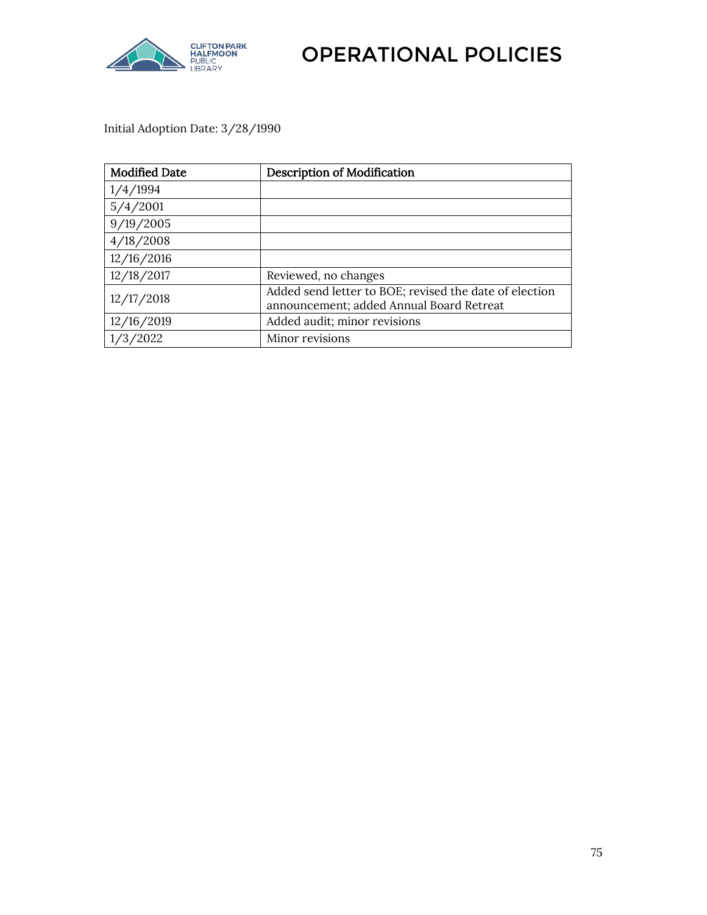

Initial Adoption Date: 3/28/1990

| <b>Modified Date</b> | <b>Description of Modification</b>                                                                 |
|----------------------|----------------------------------------------------------------------------------------------------|
| 1/4/1994             |                                                                                                    |
| 5/4/2001             |                                                                                                    |
| 9/19/2005            |                                                                                                    |
| 4/18/2008            |                                                                                                    |
| 12/16/2016           |                                                                                                    |
| 12/18/2017           | Reviewed, no changes                                                                               |
| 12/17/2018           | Added send letter to BOE; revised the date of election<br>announcement; added Annual Board Retreat |
| 12/16/2019           | Added audit; minor revisions                                                                       |
| 2022                 | Minor revisions                                                                                    |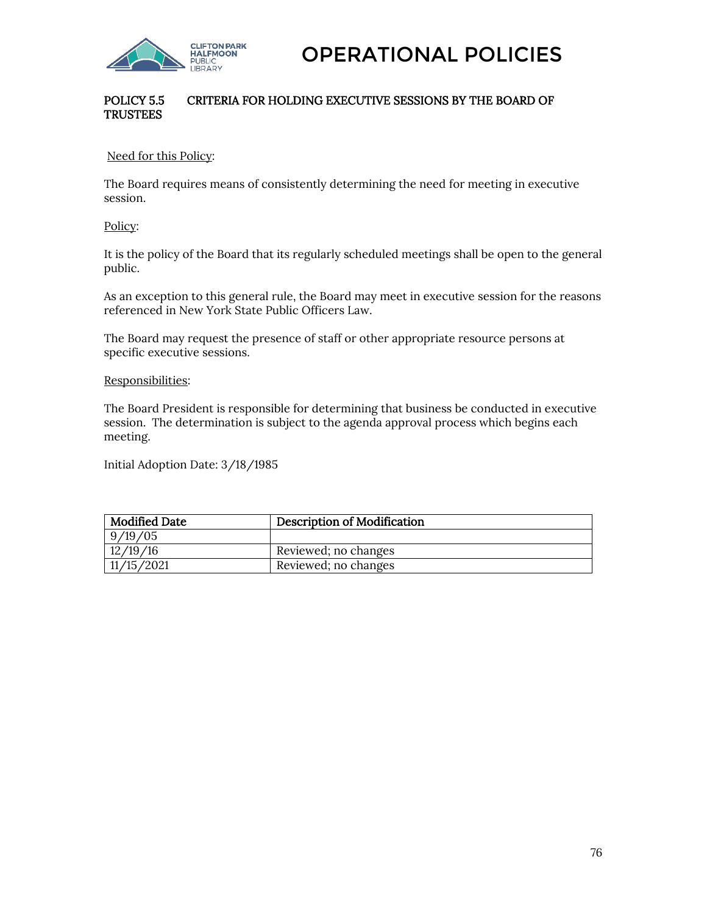

## POLICY 5.5 CRITERIA FOR HOLDING EXECUTIVE SESSIONS BY THE BOARD OF **TRUSTEES**

Need for this Policy:

The Board requires means of consistently determining the need for meeting in executive session.

Policy:

It is the policy of the Board that its regularly scheduled meetings shall be open to the general public.

As an exception to this general rule, the Board may meet in executive session for the reasons referenced in New York State Public Officers Law.

The Board may request the presence of staff or other appropriate resource persons at specific executive sessions.

Responsibilities:

The Board President is responsible for determining that business be conducted in executive session. The determination is subject to the agenda approval process which begins each meeting.

Initial Adoption Date: 3/18/1985

| <b>Modified Date</b> | <b>Description of Modification</b> |
|----------------------|------------------------------------|
| 9/19/05              |                                    |
| 12/19/16             | Reviewed; no changes               |
| 11/15/2021           | Reviewed; no changes               |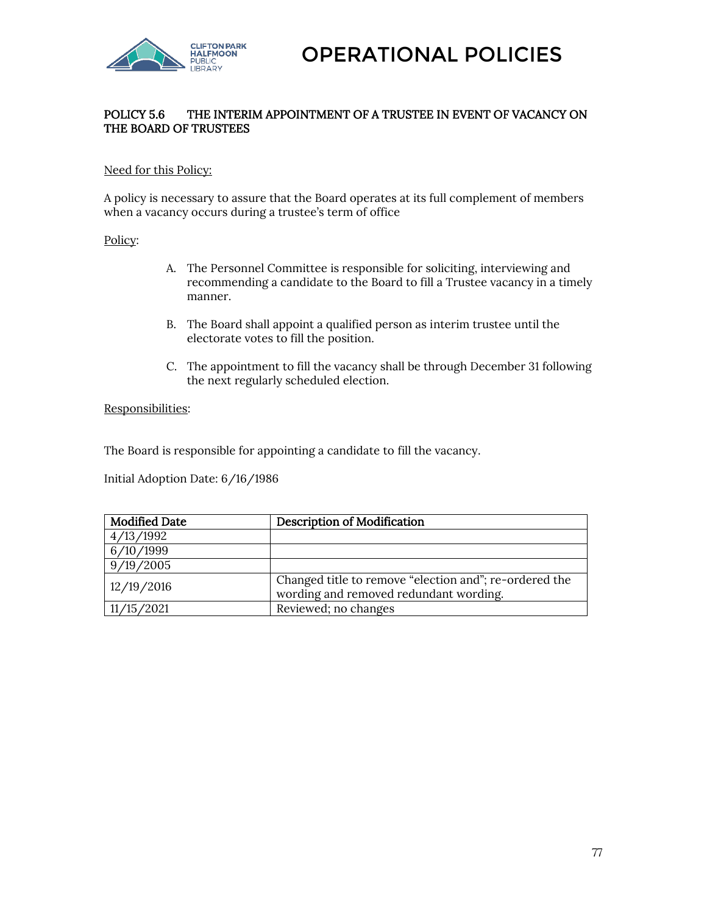

## POLICY 5.6 THE INTERIM APPOINTMENT OF A TRUSTEE IN EVENT OF VACANCY ON THE BOARD OF TRUSTEES

#### Need for this Policy:

A policy is necessary to assure that the Board operates at its full complement of members when a vacancy occurs during a trustee's term of office

#### Policy:

- A. The Personnel Committee is responsible for soliciting, interviewing and recommending a candidate to the Board to fill a Trustee vacancy in a timely manner.
- B. The Board shall appoint a qualified person as interim trustee until the electorate votes to fill the position.
- C. The appointment to fill the vacancy shall be through December 31 following the next regularly scheduled election.

#### Responsibilities:

The Board is responsible for appointing a candidate to fill the vacancy.

Initial Adoption Date: 6/16/1986

| <b>Modified Date</b> | <b>Description of Modification</b>                                                               |
|----------------------|--------------------------------------------------------------------------------------------------|
| 4/13/1992            |                                                                                                  |
| 6/10/1999            |                                                                                                  |
| 9/19/2005            |                                                                                                  |
| 12/19/2016           | Changed title to remove "election and"; re-ordered the<br>wording and removed redundant wording. |
| 11/15/2021           | Reviewed; no changes                                                                             |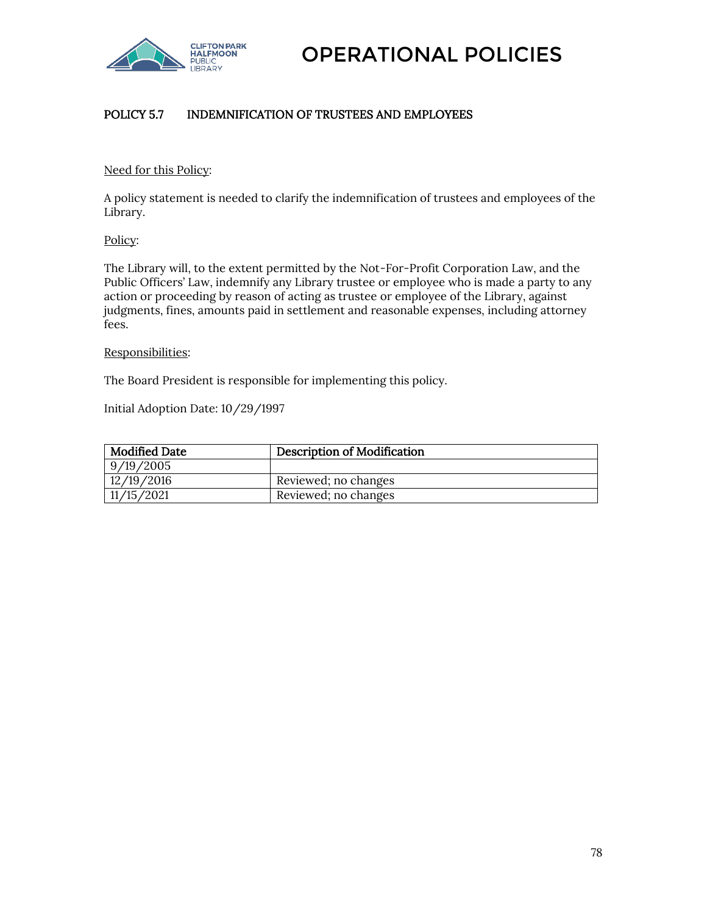

# POLICY 5.7 INDEMNIFICATION OF TRUSTEES AND EMPLOYEES

#### Need for this Policy:

A policy statement is needed to clarify the indemnification of trustees and employees of the Library.

#### Policy:

The Library will, to the extent permitted by the Not-For-Profit Corporation Law, and the Public Officers' Law, indemnify any Library trustee or employee who is made a party to any action or proceeding by reason of acting as trustee or employee of the Library, against judgments, fines, amounts paid in settlement and reasonable expenses, including attorney fees.

#### Responsibilities:

The Board President is responsible for implementing this policy.

Initial Adoption Date: 10/29/1997

| Modified Date | <b>Description of Modification</b> |
|---------------|------------------------------------|
| 9/19/2005     |                                    |
| 12/19/2016    | Reviewed; no changes               |
| 11/15/2021    | Reviewed; no changes               |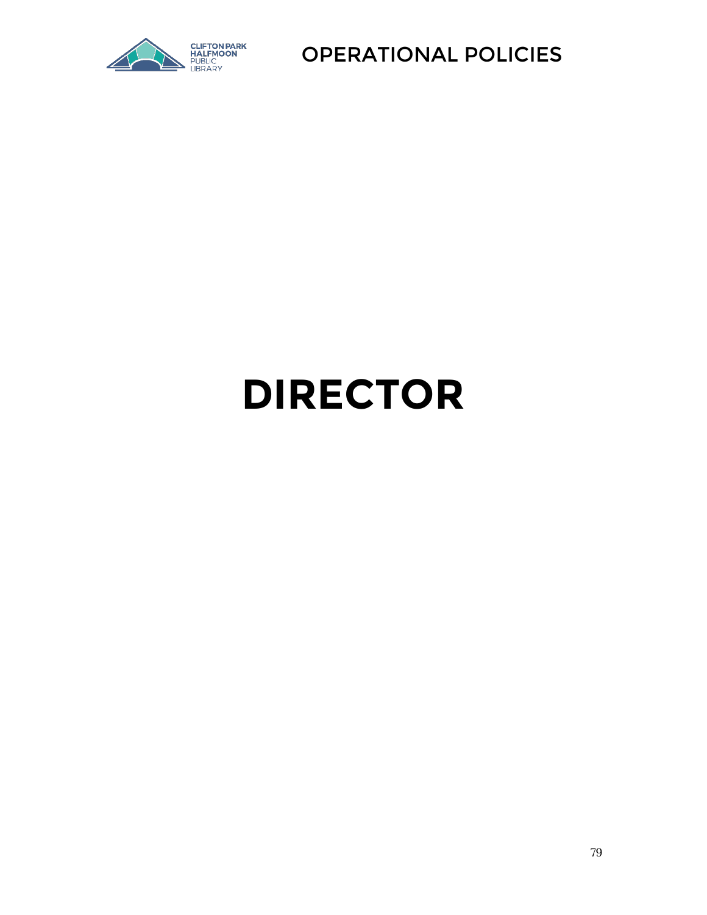

# **DIRECTOR**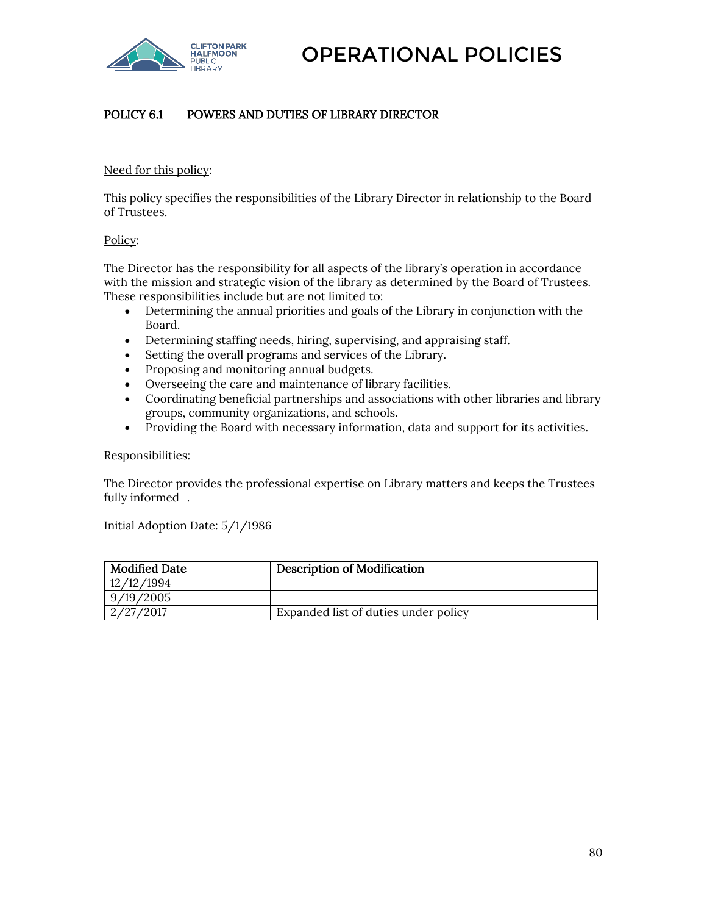

# POLICY 6.1 POWERS AND DUTIES OF LIBRARY DIRECTOR

#### Need for this policy:

This policy specifies the responsibilities of the Library Director in relationship to the Board of Trustees.

#### Policy:

The Director has the responsibility for all aspects of the library's operation in accordance with the mission and strategic vision of the library as determined by the Board of Trustees. These responsibilities include but are not limited to:

- Determining the annual priorities and goals of the Library in conjunction with the Board.
- Determining staffing needs, hiring, supervising, and appraising staff.
- Setting the overall programs and services of the Library.
- Proposing and monitoring annual budgets.
- Overseeing the care and maintenance of library facilities.
- Coordinating beneficial partnerships and associations with other libraries and library groups, community organizations, and schools.
- Providing the Board with necessary information, data and support for its activities.

#### Responsibilities:

The Director provides the professional expertise on Library matters and keeps the Trustees fully informed .

Initial Adoption Date: 5/1/1986

| Modified Date | <b>Description of Modification</b>   |
|---------------|--------------------------------------|
| 12/12/1994    |                                      |
| 9/19/2005     |                                      |
| 2/27/2017     | Expanded list of duties under policy |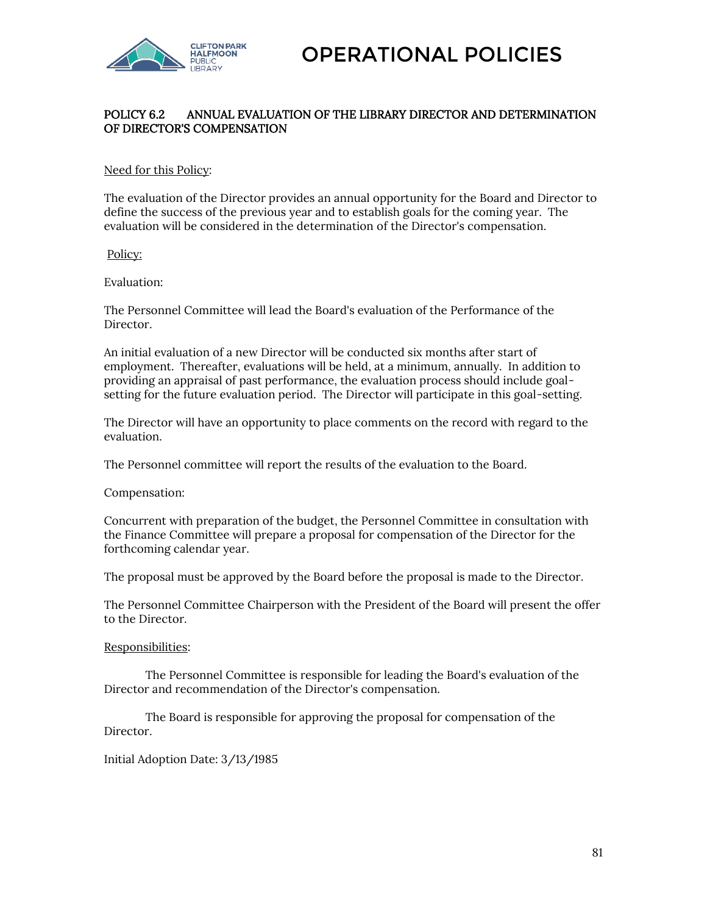

## POLICY 6.2 ANNUAL EVALUATION OF THE LIBRARY DIRECTOR AND DETERMINATION OF DIRECTOR'S COMPENSATION

#### Need for this Policy:

The evaluation of the Director provides an annual opportunity for the Board and Director to define the success of the previous year and to establish goals for the coming year. The evaluation will be considered in the determination of the Director's compensation.

#### Policy:

#### Evaluation:

The Personnel Committee will lead the Board's evaluation of the Performance of the Director.

An initial evaluation of a new Director will be conducted six months after start of employment. Thereafter, evaluations will be held, at a minimum, annually. In addition to providing an appraisal of past performance, the evaluation process should include goalsetting for the future evaluation period. The Director will participate in this goal-setting.

The Director will have an opportunity to place comments on the record with regard to the evaluation.

The Personnel committee will report the results of the evaluation to the Board.

Compensation:

Concurrent with preparation of the budget, the Personnel Committee in consultation with the Finance Committee will prepare a proposal for compensation of the Director for the forthcoming calendar year.

The proposal must be approved by the Board before the proposal is made to the Director.

The Personnel Committee Chairperson with the President of the Board will present the offer to the Director.

#### Responsibilities:

The Personnel Committee is responsible for leading the Board's evaluation of the Director and recommendation of the Director's compensation.

The Board is responsible for approving the proposal for compensation of the Director.

Initial Adoption Date: 3/13/1985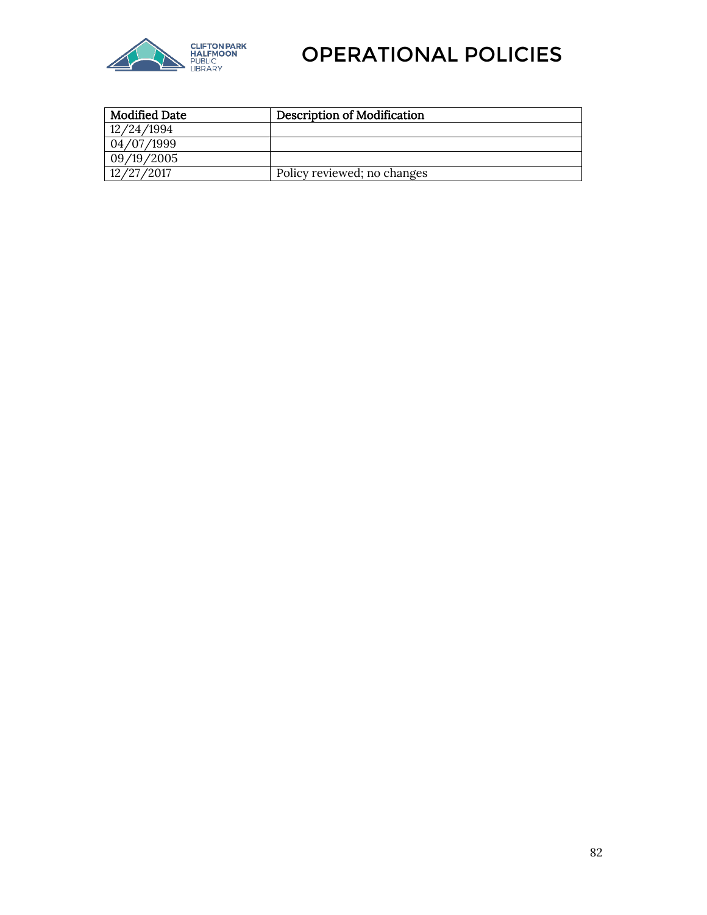

| <b>Modified Date</b> | <b>Description of Modification</b> |
|----------------------|------------------------------------|
| 12/24/1994           |                                    |
| 04/07/1999           |                                    |
| 09/19/2005           |                                    |
| 12/27/2017           | Policy reviewed; no changes        |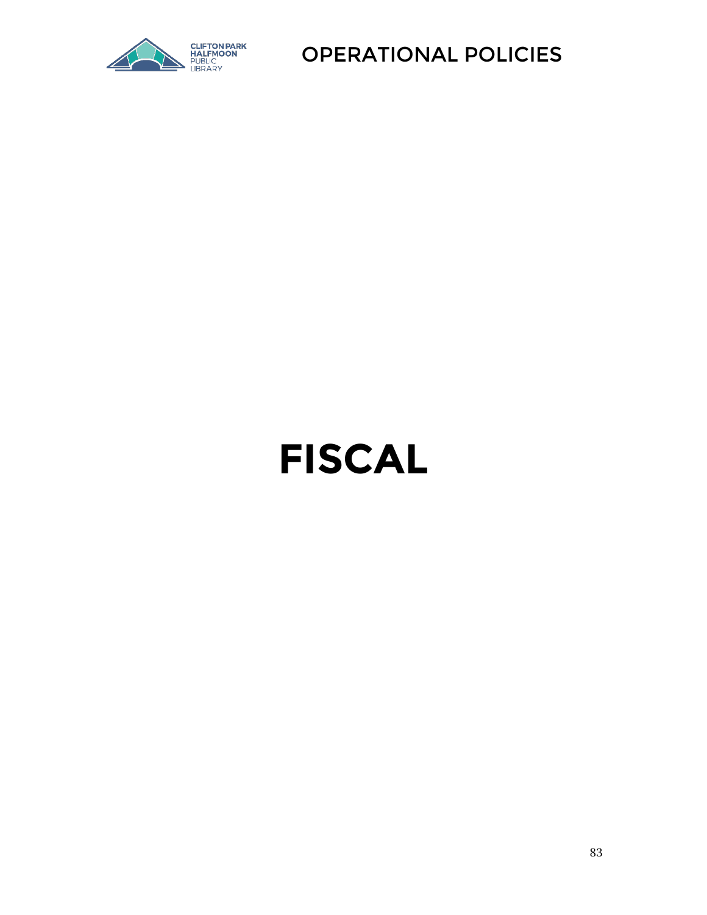

# **FISCAL**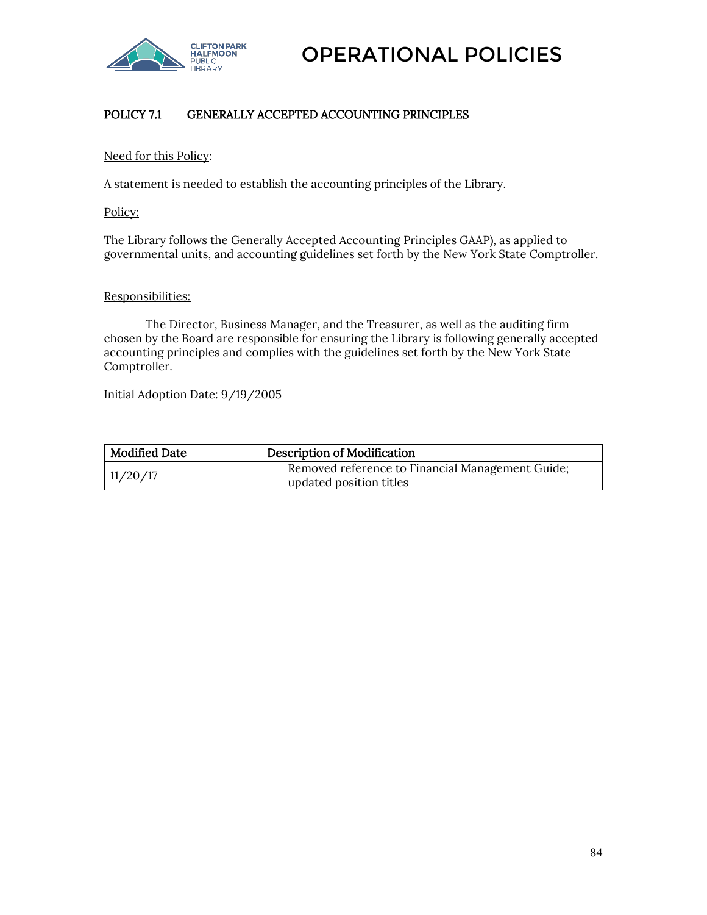

# POLICY 7.1 GENERALLY ACCEPTED ACCOUNTING PRINCIPLES

#### Need for this Policy:

A statement is needed to establish the accounting principles of the Library.

Policy:

The Library follows the Generally Accepted Accounting Principles GAAP), as applied to governmental units, and accounting guidelines set forth by the New York State Comptroller.

#### Responsibilities:

The Director, Business Manager, and the Treasurer, as well as the auditing firm chosen by the Board are responsible for ensuring the Library is following generally accepted accounting principles and complies with the guidelines set forth by the New York State Comptroller.

Initial Adoption Date: 9/19/2005

| <b>Modified Date</b> | Description of Modification                                                 |
|----------------------|-----------------------------------------------------------------------------|
| 11/20/17             | Removed reference to Financial Management Guide;<br>updated position titles |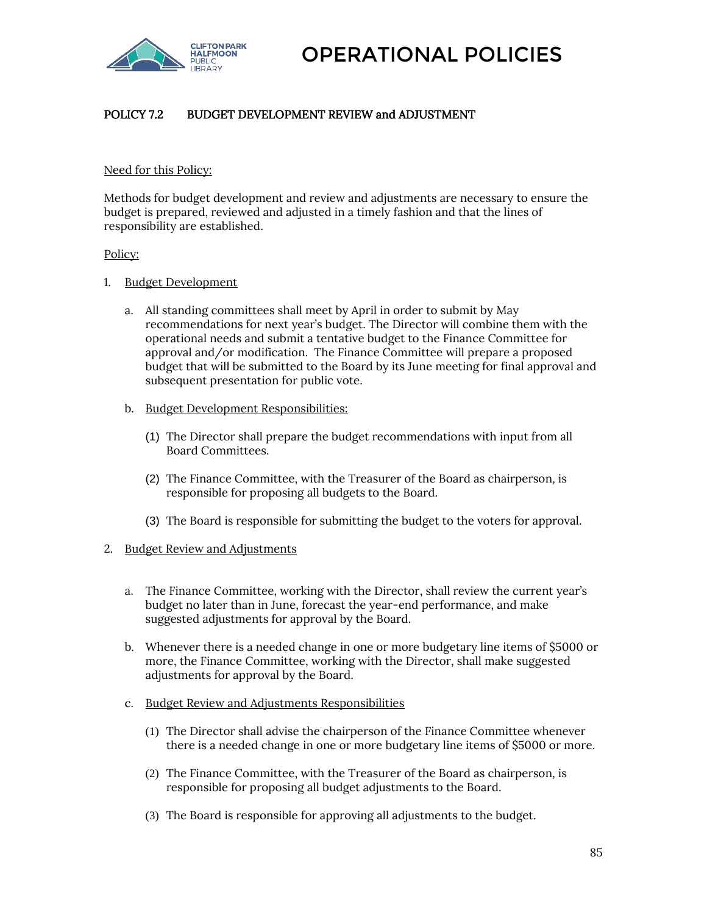

# POLICY 7.2 BUDGET DEVELOPMENT REVIEW and ADJUSTMENT

#### Need for this Policy:

Methods for budget development and review and adjustments are necessary to ensure the budget is prepared, reviewed and adjusted in a timely fashion and that the lines of responsibility are established.

#### Policy:

- 1. Budget Development
	- a. All standing committees shall meet by April in order to submit by May recommendations for next year's budget. The Director will combine them with the operational needs and submit a tentative budget to the Finance Committee for approval and/or modification. The Finance Committee will prepare a proposed budget that will be submitted to the Board by its June meeting for final approval and subsequent presentation for public vote.
	- b. Budget Development Responsibilities:
		- (1) The Director shall prepare the budget recommendations with input from all Board Committees.
		- (2) The Finance Committee, with the Treasurer of the Board as chairperson, is responsible for proposing all budgets to the Board.
		- (3) The Board is responsible for submitting the budget to the voters for approval.

#### 2. Budget Review and Adjustments

- a. The Finance Committee, working with the Director, shall review the current year's budget no later than in June, forecast the year-end performance, and make suggested adjustments for approval by the Board.
- b. Whenever there is a needed change in one or more budgetary line items of \$5000 or more, the Finance Committee, working with the Director, shall make suggested adjustments for approval by the Board.
- c. Budget Review and Adjustments Responsibilities
	- (1) The Director shall advise the chairperson of the Finance Committee whenever there is a needed change in one or more budgetary line items of \$5000 or more.
	- (2) The Finance Committee, with the Treasurer of the Board as chairperson, is responsible for proposing all budget adjustments to the Board.
	- (3) The Board is responsible for approving all adjustments to the budget.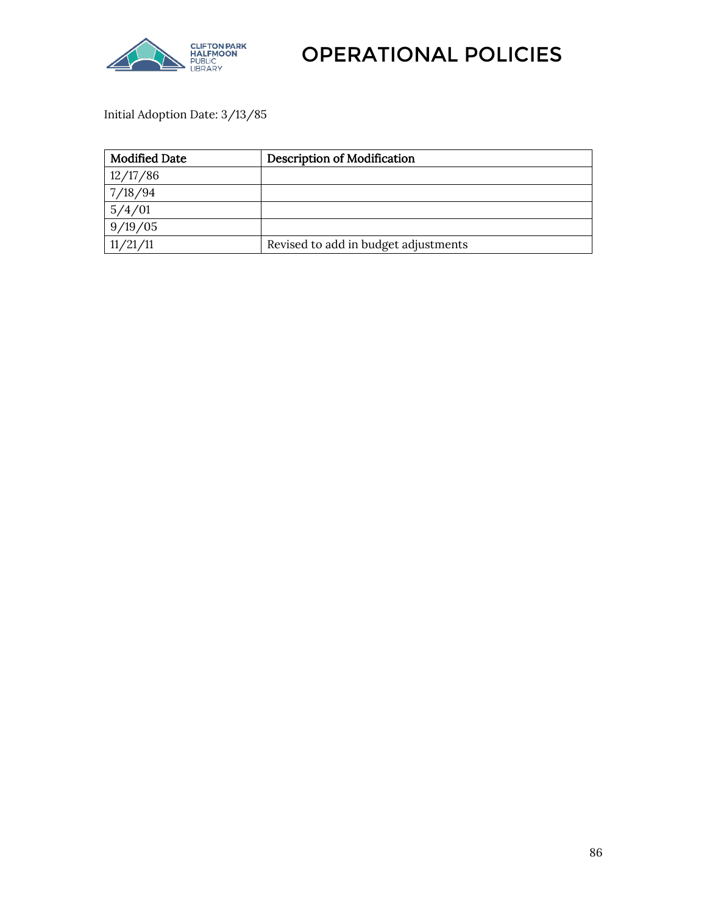

Initial Adoption Date: 3/13/85

| <b>Modified Date</b> | <b>Description of Modification</b>   |
|----------------------|--------------------------------------|
| 12/17/86             |                                      |
| 7/18/94              |                                      |
| 5/4/01               |                                      |
| 9/19/05              |                                      |
| 11/21/11             | Revised to add in budget adjustments |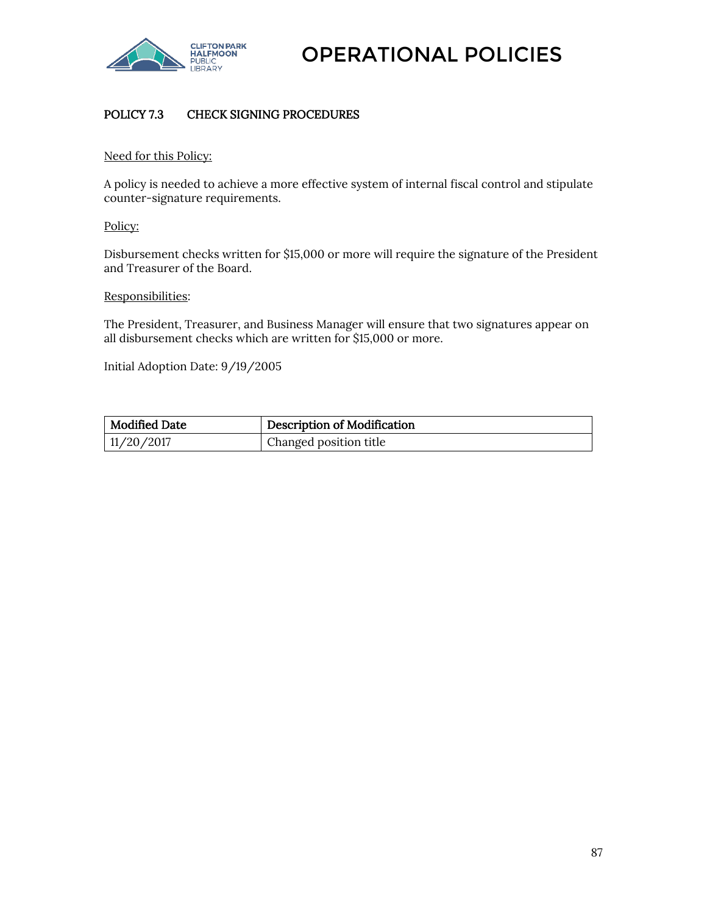

# POLICY 7.3 CHECK SIGNING PROCEDURES

#### Need for this Policy:

A policy is needed to achieve a more effective system of internal fiscal control and stipulate counter-signature requirements.

#### Policy:

Disbursement checks written for \$15,000 or more will require the signature of the President and Treasurer of the Board.

#### Responsibilities:

The President, Treasurer, and Business Manager will ensure that two signatures appear on all disbursement checks which are written for \$15,000 or more.

Initial Adoption Date: 9/19/2005

| <b>Modified Date</b> | Description of Modification |
|----------------------|-----------------------------|
| 11/20/2017           | Changed position title      |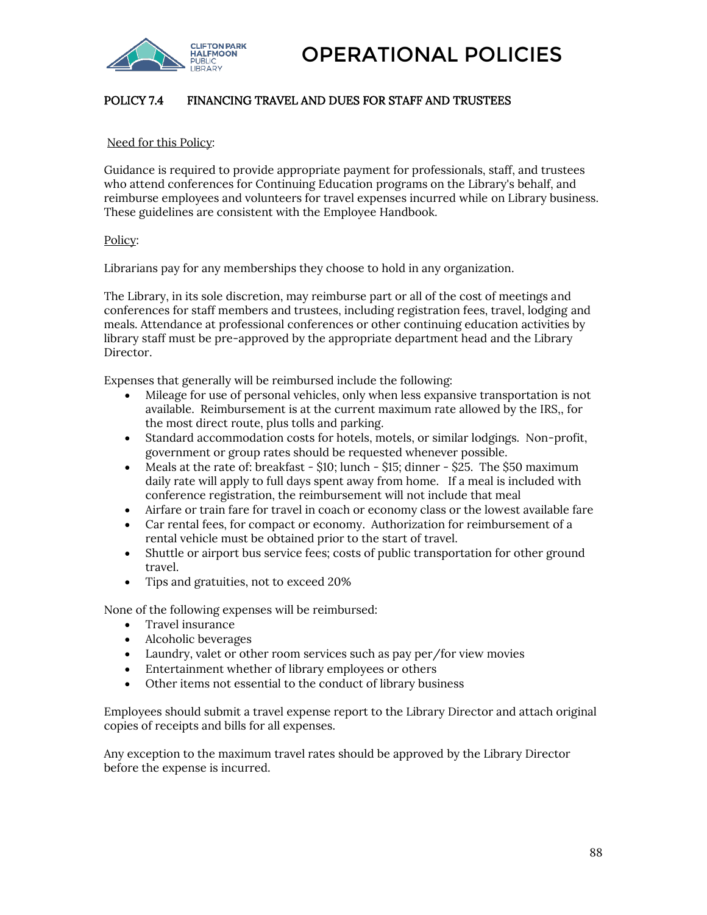

## POLICY 7.4 FINANCING TRAVEL AND DUES FOR STAFF AND TRUSTEES

#### Need for this Policy:

Guidance is required to provide appropriate payment for professionals, staff, and trustees who attend conferences for Continuing Education programs on the Library's behalf, and reimburse employees and volunteers for travel expenses incurred while on Library business. These guidelines are consistent with the Employee Handbook.

#### Policy:

Librarians pay for any memberships they choose to hold in any organization.

The Library, in its sole discretion, may reimburse part or all of the cost of meetings and conferences for staff members and trustees, including registration fees, travel, lodging and meals. Attendance at professional conferences or other continuing education activities by library staff must be pre-approved by the appropriate department head and the Library Director.

Expenses that generally will be reimbursed include the following:

- Mileage for use of personal vehicles, only when less expansive transportation is not available. Reimbursement is at the current maximum rate allowed by the IRS,, for the most direct route, plus tolls and parking.
- Standard accommodation costs for hotels, motels, or similar lodgings. Non-profit, government or group rates should be requested whenever possible.
- Meals at the rate of: breakfast  $-$  \$10; lunch  $-$  \$15; dinner  $-$  \$25. The \$50 maximum daily rate will apply to full days spent away from home. If a meal is included with conference registration, the reimbursement will not include that meal
- Airfare or train fare for travel in coach or economy class or the lowest available fare
- Car rental fees, for compact or economy. Authorization for reimbursement of a rental vehicle must be obtained prior to the start of travel.
- Shuttle or airport bus service fees; costs of public transportation for other ground travel.
- Tips and gratuities, not to exceed 20%

None of the following expenses will be reimbursed:

- Travel insurance
- Alcoholic beverages
- Laundry, valet or other room services such as pay per/for view movies
- Entertainment whether of library employees or others
- Other items not essential to the conduct of library business

Employees should submit a travel expense report to the Library Director and attach original copies of receipts and bills for all expenses.

Any exception to the maximum travel rates should be approved by the Library Director before the expense is incurred.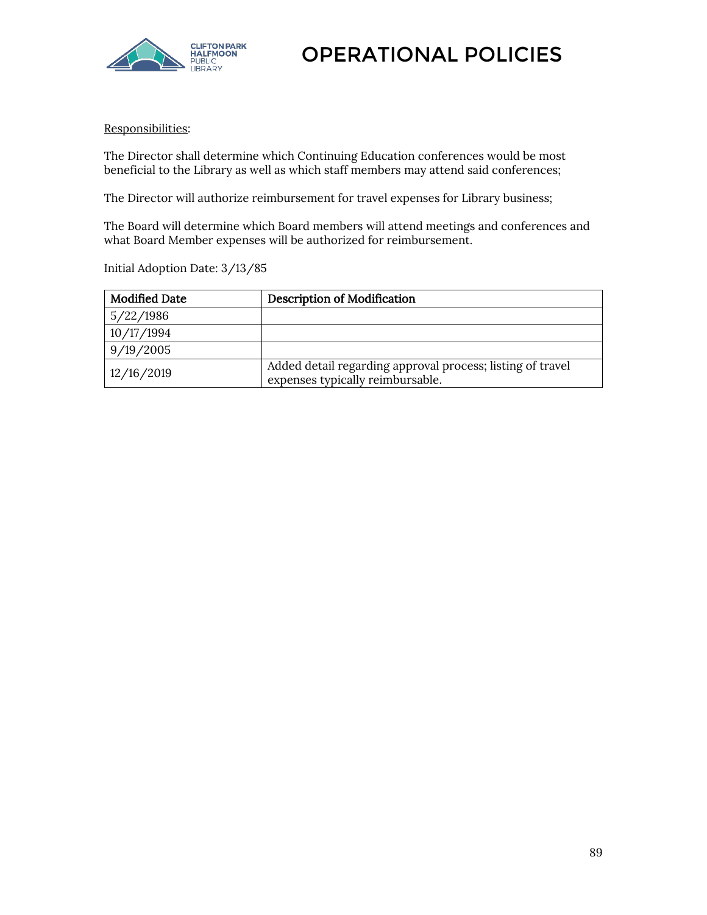

#### Responsibilities:

The Director shall determine which Continuing Education conferences would be most beneficial to the Library as well as which staff members may attend said conferences;

The Director will authorize reimbursement for travel expenses for Library business;

The Board will determine which Board members will attend meetings and conferences and what Board Member expenses will be authorized for reimbursement.

Initial Adoption Date: 3/13/85

| <b>Modified Date</b> | <b>Description of Modification</b>                                                             |
|----------------------|------------------------------------------------------------------------------------------------|
| 5/22/1986            |                                                                                                |
| 10/17/1994           |                                                                                                |
| 9/19/2005            |                                                                                                |
| 12/16/2019           | Added detail regarding approval process; listing of travel<br>expenses typically reimbursable. |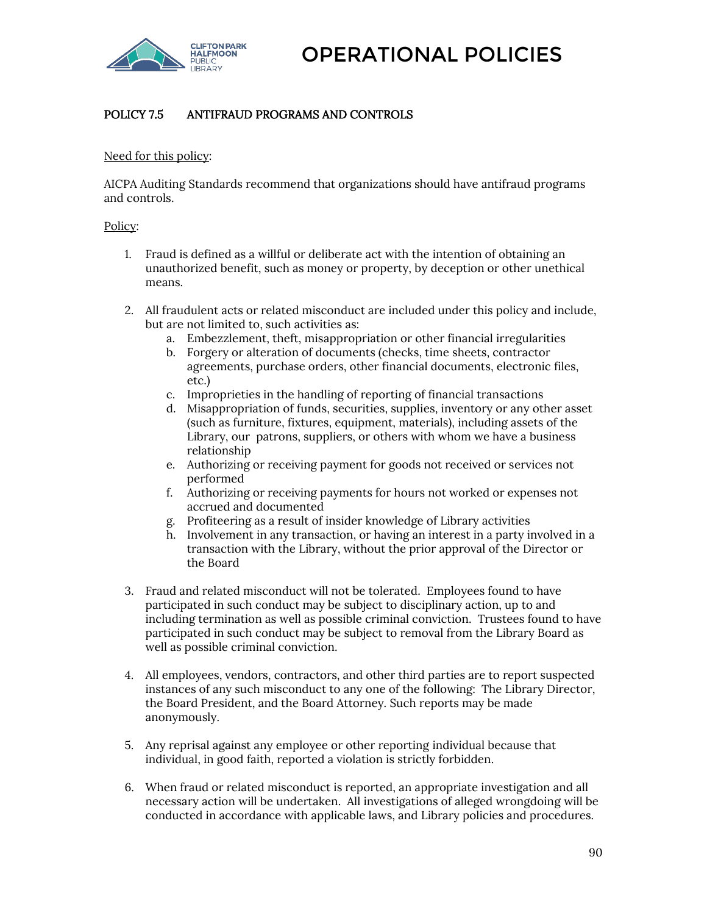

# POLICY 7.5 ANTIFRAUD PROGRAMS AND CONTROLS

#### Need for this policy:

AICPA Auditing Standards recommend that organizations should have antifraud programs and controls.

#### Policy:

- 1. Fraud is defined as a willful or deliberate act with the intention of obtaining an unauthorized benefit, such as money or property, by deception or other unethical means.
- 2. All fraudulent acts or related misconduct are included under this policy and include, but are not limited to, such activities as:
	- a. Embezzlement, theft, misappropriation or other financial irregularities
	- b. Forgery or alteration of documents (checks, time sheets, contractor agreements, purchase orders, other financial documents, electronic files, etc.)
	- c. Improprieties in the handling of reporting of financial transactions
	- d. Misappropriation of funds, securities, supplies, inventory or any other asset (such as furniture, fixtures, equipment, materials), including assets of the Library, our patrons, suppliers, or others with whom we have a business relationship
	- e. Authorizing or receiving payment for goods not received or services not performed
	- f. Authorizing or receiving payments for hours not worked or expenses not accrued and documented
	- g. Profiteering as a result of insider knowledge of Library activities
	- h. Involvement in any transaction, or having an interest in a party involved in a transaction with the Library, without the prior approval of the Director or the Board
- 3. Fraud and related misconduct will not be tolerated. Employees found to have participated in such conduct may be subject to disciplinary action, up to and including termination as well as possible criminal conviction. Trustees found to have participated in such conduct may be subject to removal from the Library Board as well as possible criminal conviction.
- 4. All employees, vendors, contractors, and other third parties are to report suspected instances of any such misconduct to any one of the following: The Library Director, the Board President, and the Board Attorney. Such reports may be made anonymously.
- 5. Any reprisal against any employee or other reporting individual because that individual, in good faith, reported a violation is strictly forbidden.
- 6. When fraud or related misconduct is reported, an appropriate investigation and all necessary action will be undertaken. All investigations of alleged wrongdoing will be conducted in accordance with applicable laws, and Library policies and procedures.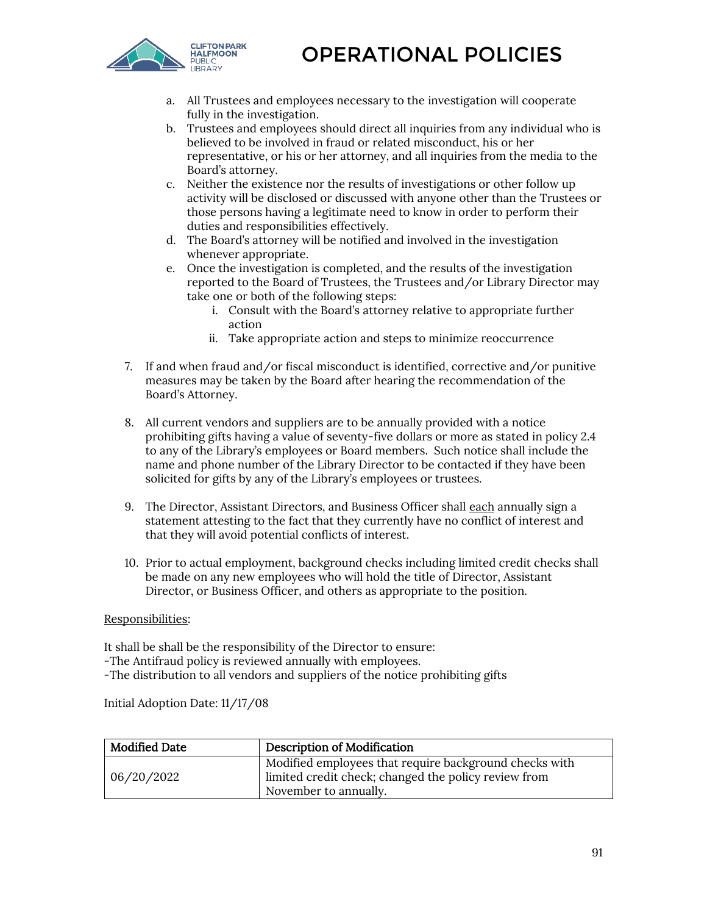

- a. All Trustees and employees necessary to the investigation will cooperate fully in the investigation.
- b. Trustees and employees should direct all inquiries from any individual who is believed to be involved in fraud or related misconduct, his or her representative, or his or her attorney, and all inquiries from the media to the Board's attorney.
- c. Neither the existence nor the results of investigations or other follow up activity will be disclosed or discussed with anyone other than the Trustees or those persons having a legitimate need to know in order to perform their duties and responsibilities effectively.
- d. The Board's attorney will be notified and involved in the investigation whenever appropriate.
- e. Once the investigation is completed, and the results of the investigation reported to the Board of Trustees, the Trustees and/or Library Director may take one or both of the following steps:
	- i. Consult with the Board's attorney relative to appropriate further action
	- ii. Take appropriate action and steps to minimize reoccurrence
- 7. If and when fraud and/or fiscal misconduct is identified, corrective and/or punitive measures may be taken by the Board after hearing the recommendation of the Board's Attorney.
- 8. All current vendors and suppliers are to be annually provided with a notice prohibiting gifts having a value of seventy-five dollars or more as stated in policy 2.4 to any of the Library's employees or Board members. Such notice shall include the name and phone number of the Library Director to be contacted if they have been solicited for gifts by any of the Library's employees or trustees.
- 9. The Director, Assistant Directors, and Business Officer shall each annually sign a statement attesting to the fact that they currently have no conflict of interest and that they will avoid potential conflicts of interest.
- 10. Prior to actual employment, background checks including limited credit checks shall be made on any new employees who will hold the title of Director, Assistant Director, or Business Officer, and others as appropriate to the position.

#### Responsibilities:

It shall be shall be the responsibility of the Director to ensure:

-The Antifraud policy is reviewed annually with employees.

-The distribution to all vendors and suppliers of the notice prohibiting gifts

Initial Adoption Date: 11/17/08

| <b>Modified Date</b> | <b>Description of Modification</b>                                                                             |
|----------------------|----------------------------------------------------------------------------------------------------------------|
| 06/20/2022           | Modified employees that require background checks with<br>limited credit check; changed the policy review from |
|                      | November to annually.                                                                                          |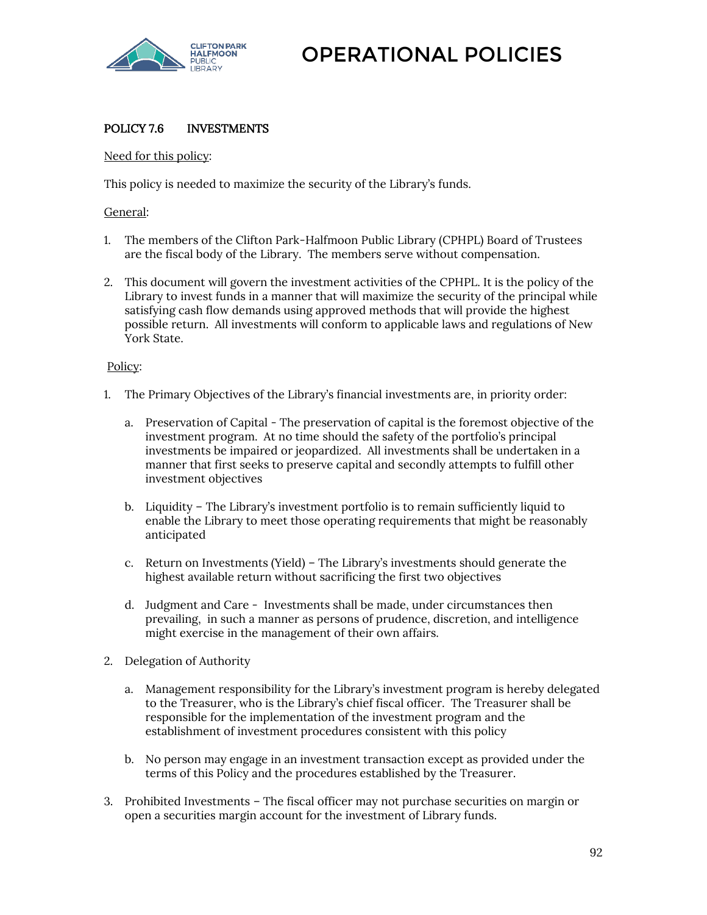

# POLICY 7.6 INVESTMENTS

#### Need for this policy:

This policy is needed to maximize the security of the Library's funds.

#### General:

- 1. The members of the Clifton Park-Halfmoon Public Library (CPHPL) Board of Trustees are the fiscal body of the Library. The members serve without compensation.
- 2. This document will govern the investment activities of the CPHPL. It is the policy of the Library to invest funds in a manner that will maximize the security of the principal while satisfying cash flow demands using approved methods that will provide the highest possible return. All investments will conform to applicable laws and regulations of New York State.

#### Policy:

- 1. The Primary Objectives of the Library's financial investments are, in priority order:
	- a. Preservation of Capital The preservation of capital is the foremost objective of the investment program. At no time should the safety of the portfolio's principal investments be impaired or jeopardized. All investments shall be undertaken in a manner that first seeks to preserve capital and secondly attempts to fulfill other investment objectives
	- b. Liquidity The Library's investment portfolio is to remain sufficiently liquid to enable the Library to meet those operating requirements that might be reasonably anticipated
	- c. Return on Investments (Yield) The Library's investments should generate the highest available return without sacrificing the first two objectives
	- d. Judgment and Care Investments shall be made, under circumstances then prevailing, in such a manner as persons of prudence, discretion, and intelligence might exercise in the management of their own affairs.
- 2. Delegation of Authority
	- a. Management responsibility for the Library's investment program is hereby delegated to the Treasurer, who is the Library's chief fiscal officer. The Treasurer shall be responsible for the implementation of the investment program and the establishment of investment procedures consistent with this policy
	- b. No person may engage in an investment transaction except as provided under the terms of this Policy and the procedures established by the Treasurer.
- 3. Prohibited Investments The fiscal officer may not purchase securities on margin or open a securities margin account for the investment of Library funds.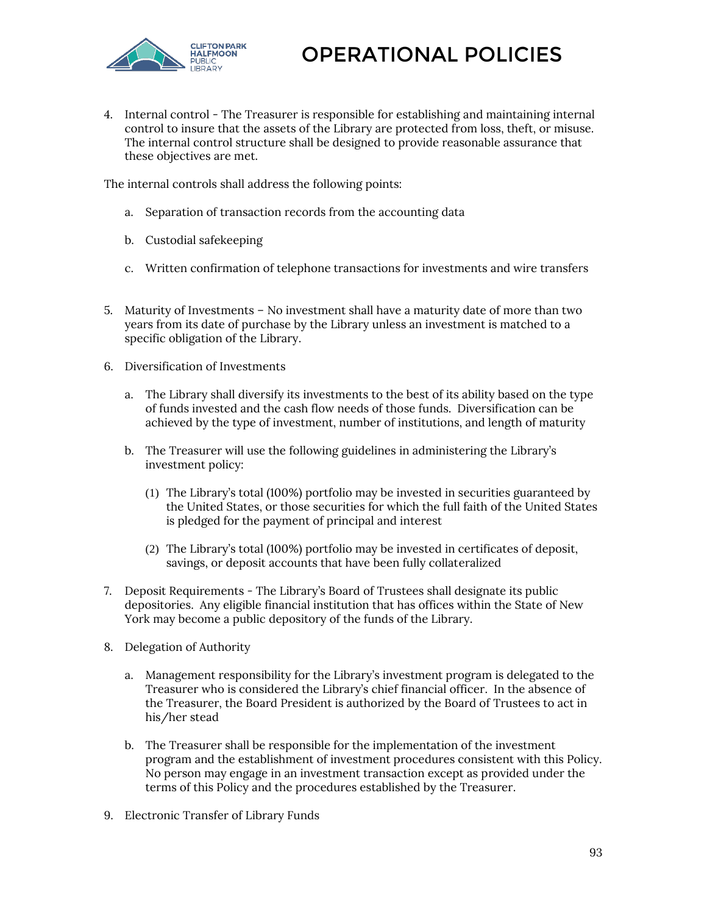

4. Internal control - The Treasurer is responsible for establishing and maintaining internal control to insure that the assets of the Library are protected from loss, theft, or misuse. The internal control structure shall be designed to provide reasonable assurance that these objectives are met.

The internal controls shall address the following points:

- a. Separation of transaction records from the accounting data
- b. Custodial safekeeping
- c. Written confirmation of telephone transactions for investments and wire transfers
- 5. Maturity of Investments No investment shall have a maturity date of more than two years from its date of purchase by the Library unless an investment is matched to a specific obligation of the Library.
- 6. Diversification of Investments
	- a. The Library shall diversify its investments to the best of its ability based on the type of funds invested and the cash flow needs of those funds. Diversification can be achieved by the type of investment, number of institutions, and length of maturity
	- b. The Treasurer will use the following guidelines in administering the Library's investment policy:
		- (1) The Library's total (100%) portfolio may be invested in securities guaranteed by the United States, or those securities for which the full faith of the United States is pledged for the payment of principal and interest
		- (2) The Library's total (100%) portfolio may be invested in certificates of deposit, savings, or deposit accounts that have been fully collateralized
- 7. Deposit Requirements The Library's Board of Trustees shall designate its public depositories. Any eligible financial institution that has offices within the State of New York may become a public depository of the funds of the Library.
- 8. Delegation of Authority
	- a. Management responsibility for the Library's investment program is delegated to the Treasurer who is considered the Library's chief financial officer. In the absence of the Treasurer, the Board President is authorized by the Board of Trustees to act in his/her stead
	- b. The Treasurer shall be responsible for the implementation of the investment program and the establishment of investment procedures consistent with this Policy. No person may engage in an investment transaction except as provided under the terms of this Policy and the procedures established by the Treasurer.
- 9. Electronic Transfer of Library Funds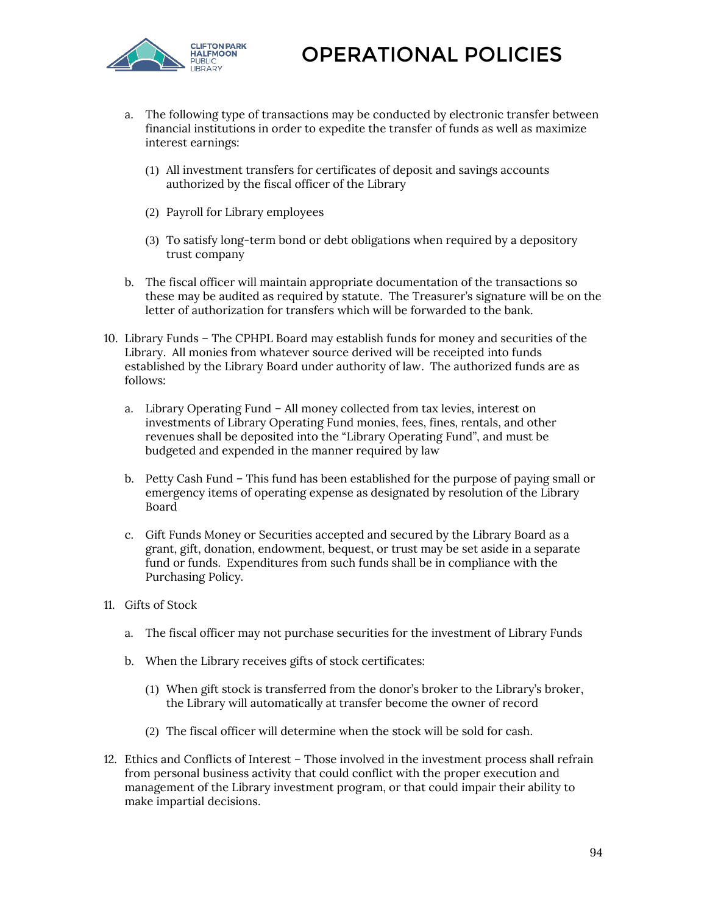

- a. The following type of transactions may be conducted by electronic transfer between financial institutions in order to expedite the transfer of funds as well as maximize interest earnings:
	- (1) All investment transfers for certificates of deposit and savings accounts authorized by the fiscal officer of the Library
	- (2) Payroll for Library employees
	- (3) To satisfy long-term bond or debt obligations when required by a depository trust company
- b. The fiscal officer will maintain appropriate documentation of the transactions so these may be audited as required by statute. The Treasurer's signature will be on the letter of authorization for transfers which will be forwarded to the bank.
- 10. Library Funds The CPHPL Board may establish funds for money and securities of the Library. All monies from whatever source derived will be receipted into funds established by the Library Board under authority of law. The authorized funds are as follows:
	- a. Library Operating Fund All money collected from tax levies, interest on investments of Library Operating Fund monies, fees, fines, rentals, and other revenues shall be deposited into the "Library Operating Fund", and must be budgeted and expended in the manner required by law
	- b. Petty Cash Fund This fund has been established for the purpose of paying small or emergency items of operating expense as designated by resolution of the Library Board
	- c. Gift Funds Money or Securities accepted and secured by the Library Board as a grant, gift, donation, endowment, bequest, or trust may be set aside in a separate fund or funds. Expenditures from such funds shall be in compliance with the Purchasing Policy.
- 11. Gifts of Stock
	- a. The fiscal officer may not purchase securities for the investment of Library Funds
	- b. When the Library receives gifts of stock certificates:
		- (1) When gift stock is transferred from the donor's broker to the Library's broker, the Library will automatically at transfer become the owner of record
		- (2) The fiscal officer will determine when the stock will be sold for cash.
- 12. Ethics and Conflicts of Interest Those involved in the investment process shall refrain from personal business activity that could conflict with the proper execution and management of the Library investment program, or that could impair their ability to make impartial decisions.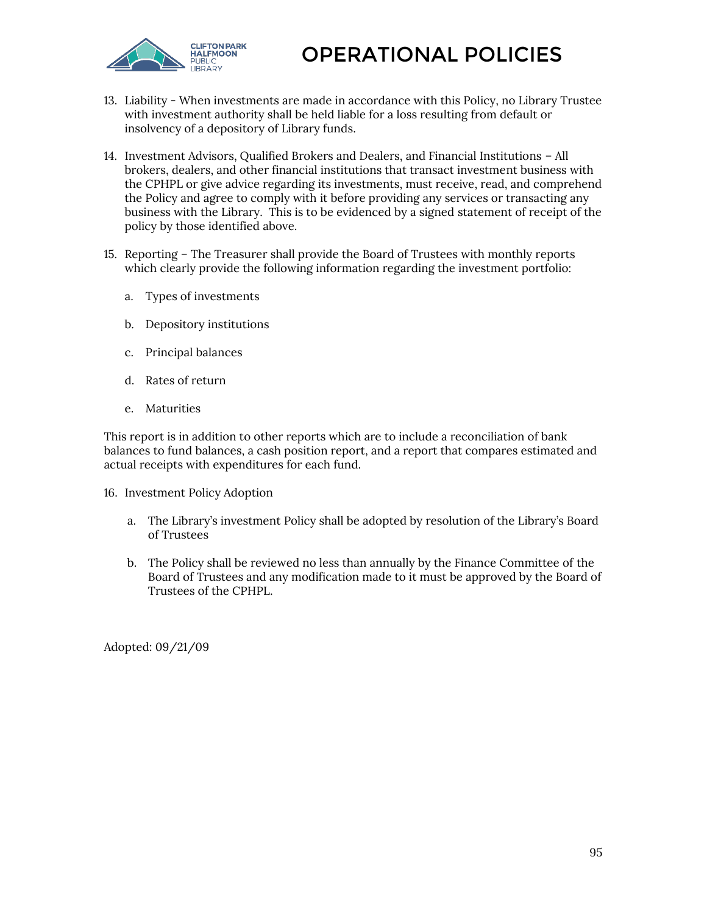



- 13. Liability When investments are made in accordance with this Policy, no Library Trustee with investment authority shall be held liable for a loss resulting from default or insolvency of a depository of Library funds.
- 14. Investment Advisors, Qualified Brokers and Dealers, and Financial Institutions All brokers, dealers, and other financial institutions that transact investment business with the CPHPL or give advice regarding its investments, must receive, read, and comprehend the Policy and agree to comply with it before providing any services or transacting any business with the Library. This is to be evidenced by a signed statement of receipt of the policy by those identified above.
- 15. Reporting The Treasurer shall provide the Board of Trustees with monthly reports which clearly provide the following information regarding the investment portfolio:
	- a. Types of investments
	- b. Depository institutions
	- c. Principal balances
	- d. Rates of return
	- e. Maturities

This report is in addition to other reports which are to include a reconciliation of bank balances to fund balances, a cash position report, and a report that compares estimated and actual receipts with expenditures for each fund.

- 16. Investment Policy Adoption
	- a. The Library's investment Policy shall be adopted by resolution of the Library's Board of Trustees
	- b. The Policy shall be reviewed no less than annually by the Finance Committee of the Board of Trustees and any modification made to it must be approved by the Board of Trustees of the CPHPL.

Adopted: 09/21/09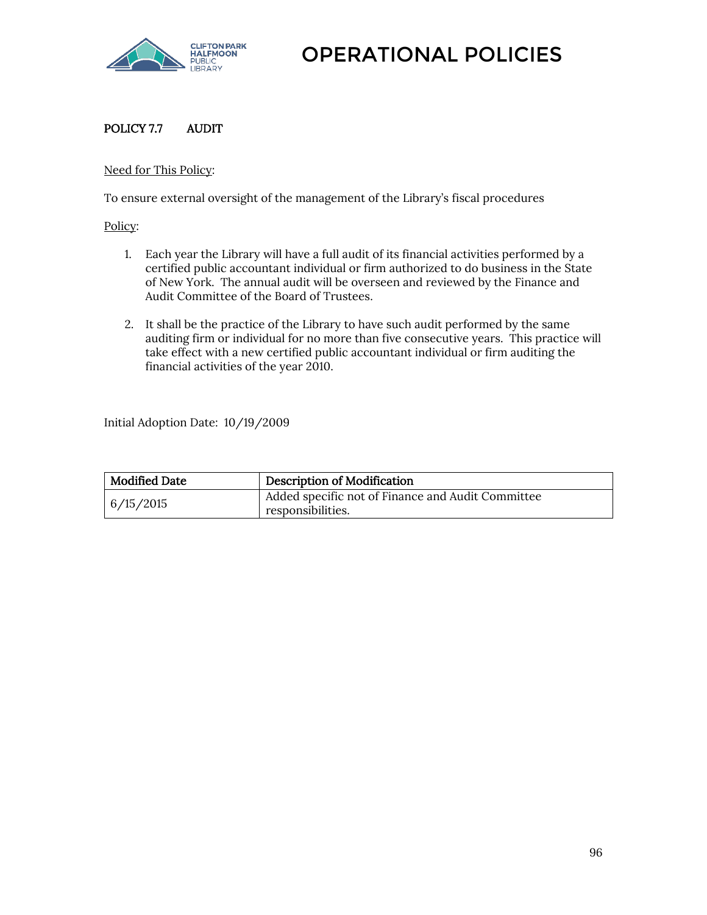

# POLICY 7.7 AUDIT

#### Need for This Policy:

To ensure external oversight of the management of the Library's fiscal procedures

Policy:

- 1. Each year the Library will have a full audit of its financial activities performed by a certified public accountant individual or firm authorized to do business in the State of New York. The annual audit will be overseen and reviewed by the Finance and Audit Committee of the Board of Trustees.
- 2. It shall be the practice of the Library to have such audit performed by the same auditing firm or individual for no more than five consecutive years. This practice will take effect with a new certified public accountant individual or firm auditing the financial activities of the year 2010.

Initial Adoption Date: 10/19/2009

| <b>Modified Date</b> | <b>Description of Modification</b>                                     |
|----------------------|------------------------------------------------------------------------|
| 6/15/2015            | Added specific not of Finance and Audit Committee<br>responsibilities. |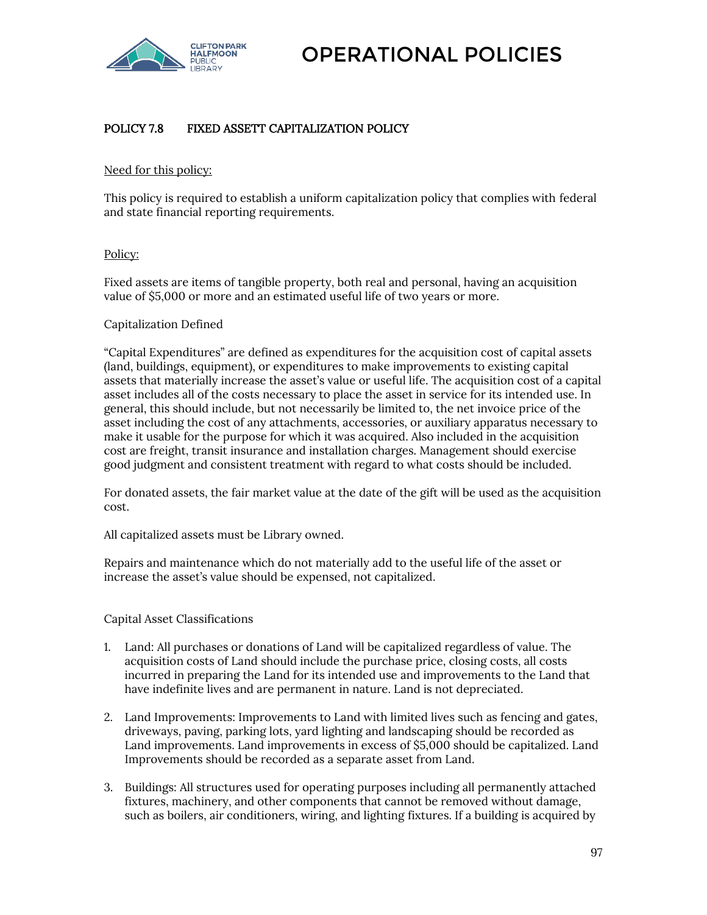

## POLICY 7.8 FIXED ASSETT CAPITALIZATION POLICY

#### Need for this policy:

This policy is required to establish a uniform capitalization policy that complies with federal and state financial reporting requirements.

#### Policy:

Fixed assets are items of tangible property, both real and personal, having an acquisition value of \$5,000 or more and an estimated useful life of two years or more.

#### Capitalization Defined

"Capital Expenditures" are defined as expenditures for the acquisition cost of capital assets (land, buildings, equipment), or expenditures to make improvements to existing capital assets that materially increase the asset's value or useful life. The acquisition cost of a capital asset includes all of the costs necessary to place the asset in service for its intended use. In general, this should include, but not necessarily be limited to, the net invoice price of the asset including the cost of any attachments, accessories, or auxiliary apparatus necessary to make it usable for the purpose for which it was acquired. Also included in the acquisition cost are freight, transit insurance and installation charges. Management should exercise good judgment and consistent treatment with regard to what costs should be included.

For donated assets, the fair market value at the date of the gift will be used as the acquisition cost.

All capitalized assets must be Library owned.

Repairs and maintenance which do not materially add to the useful life of the asset or increase the asset's value should be expensed, not capitalized.

#### Capital Asset Classifications

- 1. Land: All purchases or donations of Land will be capitalized regardless of value. The acquisition costs of Land should include the purchase price, closing costs, all costs incurred in preparing the Land for its intended use and improvements to the Land that have indefinite lives and are permanent in nature. Land is not depreciated.
- 2. Land Improvements: Improvements to Land with limited lives such as fencing and gates, driveways, paving, parking lots, yard lighting and landscaping should be recorded as Land improvements. Land improvements in excess of \$5,000 should be capitalized. Land Improvements should be recorded as a separate asset from Land.
- 3. Buildings: All structures used for operating purposes including all permanently attached fixtures, machinery, and other components that cannot be removed without damage, such as boilers, air conditioners, wiring, and lighting fixtures. If a building is acquired by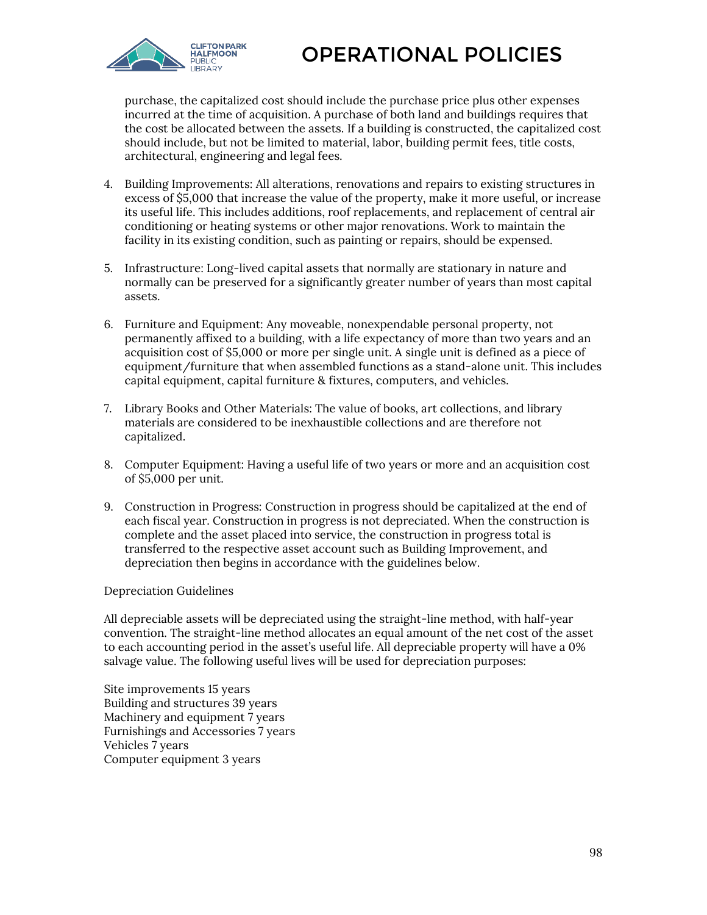

purchase, the capitalized cost should include the purchase price plus other expenses incurred at the time of acquisition. A purchase of both land and buildings requires that the cost be allocated between the assets. If a building is constructed, the capitalized cost should include, but not be limited to material, labor, building permit fees, title costs, architectural, engineering and legal fees.

- 4. Building Improvements: All alterations, renovations and repairs to existing structures in excess of \$5,000 that increase the value of the property, make it more useful, or increase its useful life. This includes additions, roof replacements, and replacement of central air conditioning or heating systems or other major renovations. Work to maintain the facility in its existing condition, such as painting or repairs, should be expensed.
- 5. Infrastructure: Long-lived capital assets that normally are stationary in nature and normally can be preserved for a significantly greater number of years than most capital assets.
- 6. Furniture and Equipment: Any moveable, nonexpendable personal property, not permanently affixed to a building, with a life expectancy of more than two years and an acquisition cost of \$5,000 or more per single unit. A single unit is defined as a piece of equipment/furniture that when assembled functions as a stand-alone unit. This includes capital equipment, capital furniture & fixtures, computers, and vehicles.
- 7. Library Books and Other Materials: The value of books, art collections, and library materials are considered to be inexhaustible collections and are therefore not capitalized.
- 8. Computer Equipment: Having a useful life of two years or more and an acquisition cost of \$5,000 per unit.
- 9. Construction in Progress: Construction in progress should be capitalized at the end of each fiscal year. Construction in progress is not depreciated. When the construction is complete and the asset placed into service, the construction in progress total is transferred to the respective asset account such as Building Improvement, and depreciation then begins in accordance with the guidelines below.

#### Depreciation Guidelines

All depreciable assets will be depreciated using the straight-line method, with half-year convention. The straight-line method allocates an equal amount of the net cost of the asset to each accounting period in the asset's useful life. All depreciable property will have a 0% salvage value. The following useful lives will be used for depreciation purposes:

Site improvements 15 years Building and structures 39 years Machinery and equipment 7 years Furnishings and Accessories 7 years Vehicles 7 years Computer equipment 3 years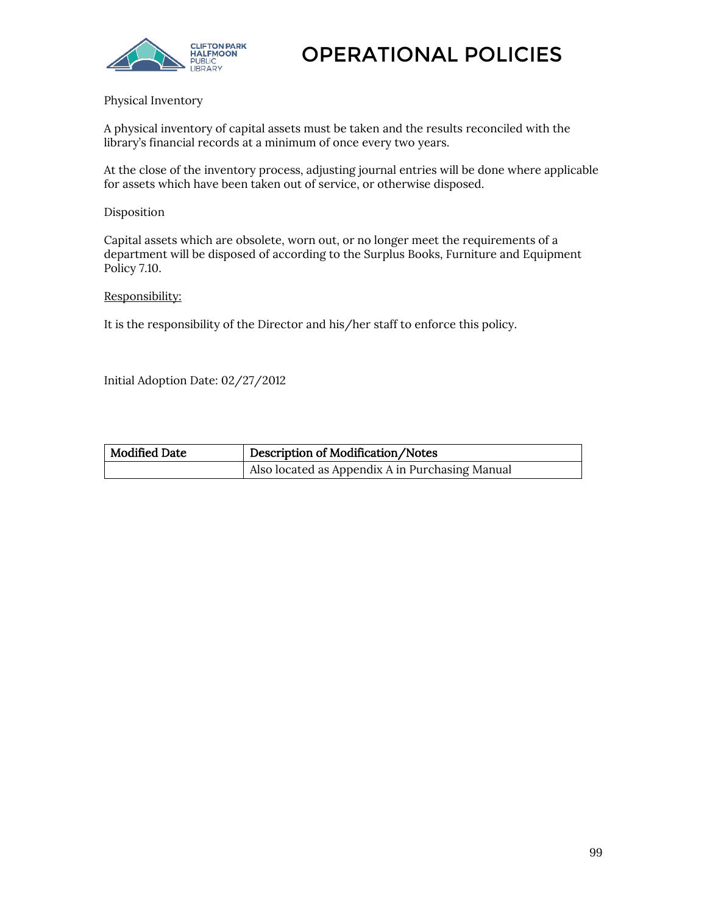

Physical Inventory

A physical inventory of capital assets must be taken and the results reconciled with the library's financial records at a minimum of once every two years.

At the close of the inventory process, adjusting journal entries will be done where applicable for assets which have been taken out of service, or otherwise disposed.

#### Disposition

Capital assets which are obsolete, worn out, or no longer meet the requirements of a department will be disposed of according to the Surplus Books, Furniture and Equipment Policy 7.10.

#### Responsibility:

It is the responsibility of the Director and his/her staff to enforce this policy.

Initial Adoption Date: 02/27/2012

| Modified Date | Description of Modification/Notes               |
|---------------|-------------------------------------------------|
|               | Also located as Appendix A in Purchasing Manual |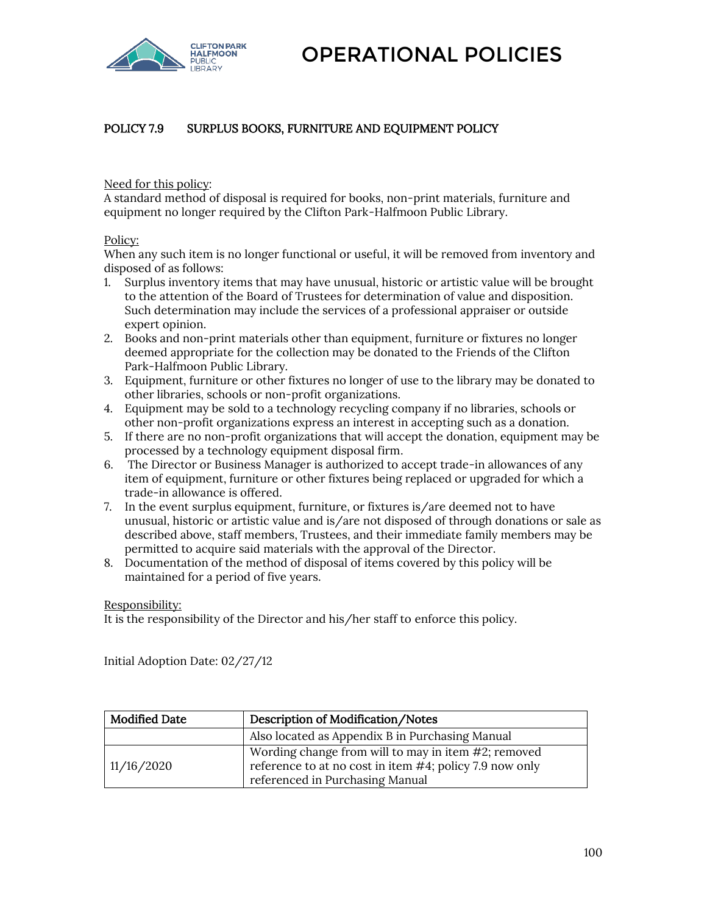



# POLICY 7.9 SURPLUS BOOKS, FURNITURE AND EQUIPMENT POLICY

Need for this policy:

A standard method of disposal is required for books, non-print materials, furniture and equipment no longer required by the Clifton Park-Halfmoon Public Library.

#### Policy:

When any such item is no longer functional or useful, it will be removed from inventory and disposed of as follows:

- 1. Surplus inventory items that may have unusual, historic or artistic value will be brought to the attention of the Board of Trustees for determination of value and disposition. Such determination may include the services of a professional appraiser or outside expert opinion.
- 2. Books and non-print materials other than equipment, furniture or fixtures no longer deemed appropriate for the collection may be donated to the Friends of the Clifton Park-Halfmoon Public Library.
- 3. Equipment, furniture or other fixtures no longer of use to the library may be donated to other libraries, schools or non-profit organizations.
- 4. Equipment may be sold to a technology recycling company if no libraries, schools or other non-profit organizations express an interest in accepting such as a donation.
- 5. If there are no non-profit organizations that will accept the donation, equipment may be processed by a technology equipment disposal firm.
- 6. The Director or Business Manager is authorized to accept trade-in allowances of any item of equipment, furniture or other fixtures being replaced or upgraded for which a trade-in allowance is offered.
- 7. In the event surplus equipment, furniture, or fixtures is/are deemed not to have unusual, historic or artistic value and is/are not disposed of through donations or sale as described above, staff members, Trustees, and their immediate family members may be permitted to acquire said materials with the approval of the Director.
- 8. Documentation of the method of disposal of items covered by this policy will be maintained for a period of five years.

#### Responsibility:

It is the responsibility of the Director and his/her staff to enforce this policy.

Initial Adoption Date: 02/27/12

| <b>Modified Date</b> | Description of Modification/Notes                                                                                                                 |
|----------------------|---------------------------------------------------------------------------------------------------------------------------------------------------|
|                      | Also located as Appendix B in Purchasing Manual                                                                                                   |
| 11/16/2020           | Wording change from will to may in item #2; removed<br>reference to at no cost in item #4; policy 7.9 now only<br>referenced in Purchasing Manual |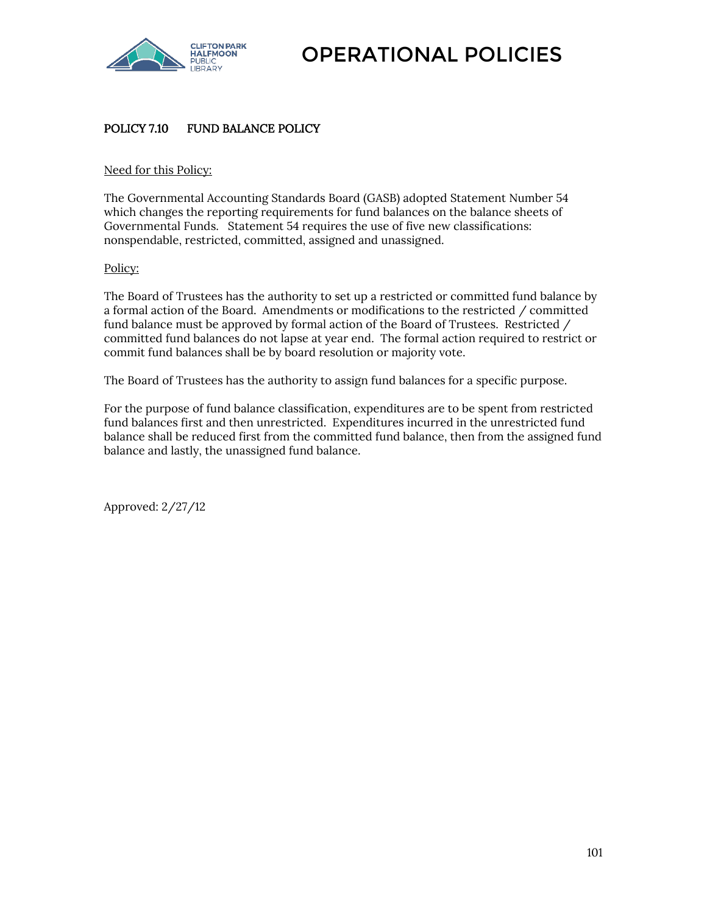

## POLICY 7.10 FUND BALANCE POLICY

#### Need for this Policy:

The Governmental Accounting Standards Board (GASB) adopted Statement Number 54 which changes the reporting requirements for fund balances on the balance sheets of Governmental Funds. Statement 54 requires the use of five new classifications: nonspendable, restricted, committed, assigned and unassigned.

#### Policy:

The Board of Trustees has the authority to set up a restricted or committed fund balance by a formal action of the Board. Amendments or modifications to the restricted / committed fund balance must be approved by formal action of the Board of Trustees. Restricted / committed fund balances do not lapse at year end. The formal action required to restrict or commit fund balances shall be by board resolution or majority vote.

The Board of Trustees has the authority to assign fund balances for a specific purpose.

For the purpose of fund balance classification, expenditures are to be spent from restricted fund balances first and then unrestricted. Expenditures incurred in the unrestricted fund balance shall be reduced first from the committed fund balance, then from the assigned fund balance and lastly, the unassigned fund balance.

Approved: 2/27/12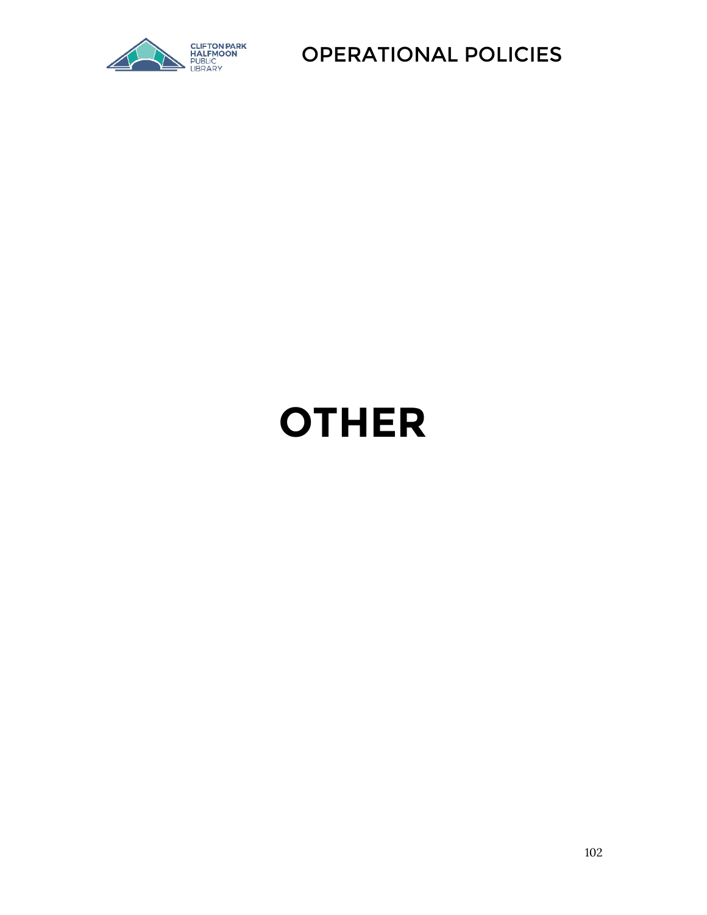

# **OTHER**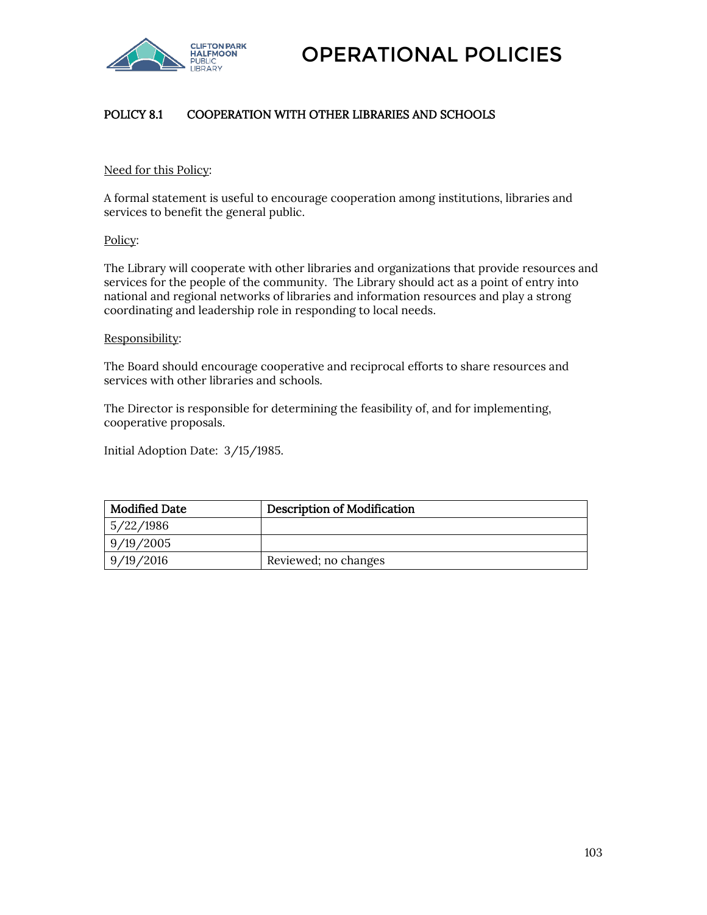

# POLICY 8.1 COOPERATION WITH OTHER LIBRARIES AND SCHOOLS

#### Need for this Policy:

A formal statement is useful to encourage cooperation among institutions, libraries and services to benefit the general public.

#### Policy:

The Library will cooperate with other libraries and organizations that provide resources and services for the people of the community. The Library should act as a point of entry into national and regional networks of libraries and information resources and play a strong coordinating and leadership role in responding to local needs.

#### Responsibility:

The Board should encourage cooperative and reciprocal efforts to share resources and services with other libraries and schools.

The Director is responsible for determining the feasibility of, and for implementing, cooperative proposals.

Initial Adoption Date: 3/15/1985.

| <b>Modified Date</b> | <b>Description of Modification</b> |
|----------------------|------------------------------------|
| 5/22/1986            |                                    |
| 9/19/2005            |                                    |
| 9/19/2016            | Reviewed; no changes               |